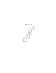COPY

CLIENT'S COPY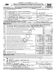| Form |  |  |
|------|--|--|

## EXTENDED TO NOVEMBER 15, 2021

**990** Return of Organization Exempt From Income Tax <br>
Under section 501(c), 527, or 4947(a)(1) of the Internal Revenue Code (except private foundations)<br> **PO20** 

**▶ Do not enter social security numbers on this form as it may be made public. Open to Public**<br>
inspection and the latest information. Inspection **| Go to www.irs.gov/Form990 for instructions and the latest information. Inspection**



Department of the Treasury Internal Revenue Service

|                                                                                                                                                                                                                                                                                                                                                                                                                                                                                                                                                                                                                   |                                      | A For the 2020 calendar year, or tax year beginning                                                                                                                                                                                                                                                                                                                                                                                                                                                                                                                                                                                                                                                                                                                                                                                                                                                                                                                                                                                                                                                                                                                                                                                                                                                                                                                                                                                                                                                                                                                                                                                                                                                                                                                                                                                                                                                                                                                                                                                                                                                                                                                                                                             |              |    |
|-------------------------------------------------------------------------------------------------------------------------------------------------------------------------------------------------------------------------------------------------------------------------------------------------------------------------------------------------------------------------------------------------------------------------------------------------------------------------------------------------------------------------------------------------------------------------------------------------------------------|--------------------------------------|---------------------------------------------------------------------------------------------------------------------------------------------------------------------------------------------------------------------------------------------------------------------------------------------------------------------------------------------------------------------------------------------------------------------------------------------------------------------------------------------------------------------------------------------------------------------------------------------------------------------------------------------------------------------------------------------------------------------------------------------------------------------------------------------------------------------------------------------------------------------------------------------------------------------------------------------------------------------------------------------------------------------------------------------------------------------------------------------------------------------------------------------------------------------------------------------------------------------------------------------------------------------------------------------------------------------------------------------------------------------------------------------------------------------------------------------------------------------------------------------------------------------------------------------------------------------------------------------------------------------------------------------------------------------------------------------------------------------------------------------------------------------------------------------------------------------------------------------------------------------------------------------------------------------------------------------------------------------------------------------------------------------------------------------------------------------------------------------------------------------------------------------------------------------------------------------------------------------------------|--------------|----|
|                                                                                                                                                                                                                                                                                                                                                                                                                                                                                                                                                                                                                   | <b>B</b> Check if applicable:        | <b>C</b> Name of organization                                                                                                                                                                                                                                                                                                                                                                                                                                                                                                                                                                                                                                                                                                                                                                                                                                                                                                                                                                                                                                                                                                                                                                                                                                                                                                                                                                                                                                                                                                                                                                                                                                                                                                                                                                                                                                                                                                                                                                                                                                                                                                                                                                                                   |              |    |
|                                                                                                                                                                                                                                                                                                                                                                                                                                                                                                                                                                                                                   | Address<br> change                   | WORLD MEDICAL RELIEF INCORPORATED                                                                                                                                                                                                                                                                                                                                                                                                                                                                                                                                                                                                                                                                                                                                                                                                                                                                                                                                                                                                                                                                                                                                                                                                                                                                                                                                                                                                                                                                                                                                                                                                                                                                                                                                                                                                                                                                                                                                                                                                                                                                                                                                                                                               |              |    |
|                                                                                                                                                                                                                                                                                                                                                                                                                                                                                                                                                                                                                   | Name<br> change<br>Initial           |                                                                                                                                                                                                                                                                                                                                                                                                                                                                                                                                                                                                                                                                                                                                                                                                                                                                                                                                                                                                                                                                                                                                                                                                                                                                                                                                                                                                                                                                                                                                                                                                                                                                                                                                                                                                                                                                                                                                                                                                                                                                                                                                                                                                                                 |              |    |
|                                                                                                                                                                                                                                                                                                                                                                                                                                                                                                                                                                                                                   | return                               |                                                                                                                                                                                                                                                                                                                                                                                                                                                                                                                                                                                                                                                                                                                                                                                                                                                                                                                                                                                                                                                                                                                                                                                                                                                                                                                                                                                                                                                                                                                                                                                                                                                                                                                                                                                                                                                                                                                                                                                                                                                                                                                                                                                                                                 |              |    |
|                                                                                                                                                                                                                                                                                                                                                                                                                                                                                                                                                                                                                   | Final<br> return/<br>termin-<br>ated |                                                                                                                                                                                                                                                                                                                                                                                                                                                                                                                                                                                                                                                                                                                                                                                                                                                                                                                                                                                                                                                                                                                                                                                                                                                                                                                                                                                                                                                                                                                                                                                                                                                                                                                                                                                                                                                                                                                                                                                                                                                                                                                                                                                                                                 |              |    |
|                                                                                                                                                                                                                                                                                                                                                                                                                                                                                                                                                                                                                   | Amended                              |                                                                                                                                                                                                                                                                                                                                                                                                                                                                                                                                                                                                                                                                                                                                                                                                                                                                                                                                                                                                                                                                                                                                                                                                                                                                                                                                                                                                                                                                                                                                                                                                                                                                                                                                                                                                                                                                                                                                                                                                                                                                                                                                                                                                                                 |              |    |
|                                                                                                                                                                                                                                                                                                                                                                                                                                                                                                                                                                                                                   | return<br>Applica-<br>Ition          |                                                                                                                                                                                                                                                                                                                                                                                                                                                                                                                                                                                                                                                                                                                                                                                                                                                                                                                                                                                                                                                                                                                                                                                                                                                                                                                                                                                                                                                                                                                                                                                                                                                                                                                                                                                                                                                                                                                                                                                                                                                                                                                                                                                                                                 |              |    |
|                                                                                                                                                                                                                                                                                                                                                                                                                                                                                                                                                                                                                   | pending                              |                                                                                                                                                                                                                                                                                                                                                                                                                                                                                                                                                                                                                                                                                                                                                                                                                                                                                                                                                                                                                                                                                                                                                                                                                                                                                                                                                                                                                                                                                                                                                                                                                                                                                                                                                                                                                                                                                                                                                                                                                                                                                                                                                                                                                                 |              |    |
|                                                                                                                                                                                                                                                                                                                                                                                                                                                                                                                                                                                                                   |                                      |                                                                                                                                                                                                                                                                                                                                                                                                                                                                                                                                                                                                                                                                                                                                                                                                                                                                                                                                                                                                                                                                                                                                                                                                                                                                                                                                                                                                                                                                                                                                                                                                                                                                                                                                                                                                                                                                                                                                                                                                                                                                                                                                                                                                                                 |              |    |
|                                                                                                                                                                                                                                                                                                                                                                                                                                                                                                                                                                                                                   |                                      |                                                                                                                                                                                                                                                                                                                                                                                                                                                                                                                                                                                                                                                                                                                                                                                                                                                                                                                                                                                                                                                                                                                                                                                                                                                                                                                                                                                                                                                                                                                                                                                                                                                                                                                                                                                                                                                                                                                                                                                                                                                                                                                                                                                                                                 |              |    |
|                                                                                                                                                                                                                                                                                                                                                                                                                                                                                                                                                                                                                   |                                      |                                                                                                                                                                                                                                                                                                                                                                                                                                                                                                                                                                                                                                                                                                                                                                                                                                                                                                                                                                                                                                                                                                                                                                                                                                                                                                                                                                                                                                                                                                                                                                                                                                                                                                                                                                                                                                                                                                                                                                                                                                                                                                                                                                                                                                 |              |    |
|                                                                                                                                                                                                                                                                                                                                                                                                                                                                                                                                                                                                                   |                                      | <b>Summary</b>                                                                                                                                                                                                                                                                                                                                                                                                                                                                                                                                                                                                                                                                                                                                                                                                                                                                                                                                                                                                                                                                                                                                                                                                                                                                                                                                                                                                                                                                                                                                                                                                                                                                                                                                                                                                                                                                                                                                                                                                                                                                                                                                                                                                                  |              |    |
|                                                                                                                                                                                                                                                                                                                                                                                                                                                                                                                                                                                                                   |                                      |                                                                                                                                                                                                                                                                                                                                                                                                                                                                                                                                                                                                                                                                                                                                                                                                                                                                                                                                                                                                                                                                                                                                                                                                                                                                                                                                                                                                                                                                                                                                                                                                                                                                                                                                                                                                                                                                                                                                                                                                                                                                                                                                                                                                                                 |              |    |
|                                                                                                                                                                                                                                                                                                                                                                                                                                                                                                                                                                                                                   |                                      |                                                                                                                                                                                                                                                                                                                                                                                                                                                                                                                                                                                                                                                                                                                                                                                                                                                                                                                                                                                                                                                                                                                                                                                                                                                                                                                                                                                                                                                                                                                                                                                                                                                                                                                                                                                                                                                                                                                                                                                                                                                                                                                                                                                                                                 |              |    |
|                                                                                                                                                                                                                                                                                                                                                                                                                                                                                                                                                                                                                   | 2                                    |                                                                                                                                                                                                                                                                                                                                                                                                                                                                                                                                                                                                                                                                                                                                                                                                                                                                                                                                                                                                                                                                                                                                                                                                                                                                                                                                                                                                                                                                                                                                                                                                                                                                                                                                                                                                                                                                                                                                                                                                                                                                                                                                                                                                                                 |              |    |
|                                                                                                                                                                                                                                                                                                                                                                                                                                                                                                                                                                                                                   | 3                                    |                                                                                                                                                                                                                                                                                                                                                                                                                                                                                                                                                                                                                                                                                                                                                                                                                                                                                                                                                                                                                                                                                                                                                                                                                                                                                                                                                                                                                                                                                                                                                                                                                                                                                                                                                                                                                                                                                                                                                                                                                                                                                                                                                                                                                                 | $\mathbf{3}$ | 14 |
| Part I<br>Briefly describe the organization's mission or most significant activities: TO FACILITATE THE DISTRIBUTION<br>1<br><b>Activities &amp; Governance</b><br>OF SURPLUS MEDICAL RESOURCES LOCALLY AND INTERNATIONALLY.<br>Check this box $\blacktriangleright \Box$ if the organization discontinued its operations or disposed of more than 25% of its net assets.<br>$\overline{4}$<br>4<br>$\overline{5}$<br>5<br>$6\phantom{1}$<br>6<br>7a<br>7 a Total unrelated business revenue from Part VIII, column (C), line 12 <b>Column 2016</b><br>7 <sub>b</sub><br><b>Current Year</b><br><b>Prior Year</b> | 14                                   |                                                                                                                                                                                                                                                                                                                                                                                                                                                                                                                                                                                                                                                                                                                                                                                                                                                                                                                                                                                                                                                                                                                                                                                                                                                                                                                                                                                                                                                                                                                                                                                                                                                                                                                                                                                                                                                                                                                                                                                                                                                                                                                                                                                                                                 |              |    |
|                                                                                                                                                                                                                                                                                                                                                                                                                                                                                                                                                                                                                   |                                      |                                                                                                                                                                                                                                                                                                                                                                                                                                                                                                                                                                                                                                                                                                                                                                                                                                                                                                                                                                                                                                                                                                                                                                                                                                                                                                                                                                                                                                                                                                                                                                                                                                                                                                                                                                                                                                                                                                                                                                                                                                                                                                                                                                                                                                 |              |    |
|                                                                                                                                                                                                                                                                                                                                                                                                                                                                                                                                                                                                                   |                                      |                                                                                                                                                                                                                                                                                                                                                                                                                                                                                                                                                                                                                                                                                                                                                                                                                                                                                                                                                                                                                                                                                                                                                                                                                                                                                                                                                                                                                                                                                                                                                                                                                                                                                                                                                                                                                                                                                                                                                                                                                                                                                                                                                                                                                                 |              |    |
|                                                                                                                                                                                                                                                                                                                                                                                                                                                                                                                                                                                                                   |                                      |                                                                                                                                                                                                                                                                                                                                                                                                                                                                                                                                                                                                                                                                                                                                                                                                                                                                                                                                                                                                                                                                                                                                                                                                                                                                                                                                                                                                                                                                                                                                                                                                                                                                                                                                                                                                                                                                                                                                                                                                                                                                                                                                                                                                                                 |              |    |
|                                                                                                                                                                                                                                                                                                                                                                                                                                                                                                                                                                                                                   |                                      |                                                                                                                                                                                                                                                                                                                                                                                                                                                                                                                                                                                                                                                                                                                                                                                                                                                                                                                                                                                                                                                                                                                                                                                                                                                                                                                                                                                                                                                                                                                                                                                                                                                                                                                                                                                                                                                                                                                                                                                                                                                                                                                                                                                                                                 |              |    |
|                                                                                                                                                                                                                                                                                                                                                                                                                                                                                                                                                                                                                   |                                      |                                                                                                                                                                                                                                                                                                                                                                                                                                                                                                                                                                                                                                                                                                                                                                                                                                                                                                                                                                                                                                                                                                                                                                                                                                                                                                                                                                                                                                                                                                                                                                                                                                                                                                                                                                                                                                                                                                                                                                                                                                                                                                                                                                                                                                 |              |    |
|                                                                                                                                                                                                                                                                                                                                                                                                                                                                                                                                                                                                                   | 8                                    |                                                                                                                                                                                                                                                                                                                                                                                                                                                                                                                                                                                                                                                                                                                                                                                                                                                                                                                                                                                                                                                                                                                                                                                                                                                                                                                                                                                                                                                                                                                                                                                                                                                                                                                                                                                                                                                                                                                                                                                                                                                                                                                                                                                                                                 |              |    |
| Revenue                                                                                                                                                                                                                                                                                                                                                                                                                                                                                                                                                                                                           | 9                                    |                                                                                                                                                                                                                                                                                                                                                                                                                                                                                                                                                                                                                                                                                                                                                                                                                                                                                                                                                                                                                                                                                                                                                                                                                                                                                                                                                                                                                                                                                                                                                                                                                                                                                                                                                                                                                                                                                                                                                                                                                                                                                                                                                                                                                                 |              |    |
|                                                                                                                                                                                                                                                                                                                                                                                                                                                                                                                                                                                                                   | 10                                   |                                                                                                                                                                                                                                                                                                                                                                                                                                                                                                                                                                                                                                                                                                                                                                                                                                                                                                                                                                                                                                                                                                                                                                                                                                                                                                                                                                                                                                                                                                                                                                                                                                                                                                                                                                                                                                                                                                                                                                                                                                                                                                                                                                                                                                 |              |    |
|                                                                                                                                                                                                                                                                                                                                                                                                                                                                                                                                                                                                                   | 11                                   | 38-1575570<br>Doing business as<br>Number and street (or P.O. box if mail is not delivered to street address)<br>Room/suite<br>E Telephone number<br>$(313) 866 - 5333$<br>21725 MELROSE AVE.<br>34, 283, 052.<br>G Gross receipts \$<br>City or town, state or province, country, and ZIP or foreign postal code<br>48075<br>SOUTHFIELD, MI<br>H(a) Is this a group return<br>F Name and address of principal officer: GEORGE V. SAMSON<br>$\sqrt{}$ Yes $\boxed{\text{X}}$ No<br>for subordinates?<br>SAME AS C ABOVE<br>H(b) Are all subordinates included? Ves<br>J No<br>Tax-exempt status: $X \over 301(c)(3)$<br>$501(c)$ (<br>$4947(a)(1)$ or<br>527<br>$\sqrt{\frac{1}{1}}$ (insert no.)<br>If "No," attach a list. See instructions<br>J Website: WWW.WORLDMEDICALRELIEF.ORG<br>$H(c)$ Group exemption number $\blacktriangleright$<br><b>K</b> Form of organization: $\boxed{\mathbf{X}}$ Corporation<br>Trust<br>Association<br>Other $\blacktriangleright$<br>L Year of formation: $1953$ M State of legal domicile: MT<br>$\overline{24}$<br>1320<br>Ο.<br>$\overline{0}$ .<br>35, 399, 135.<br>33, 533, 319.<br>679, 362.<br>691,747.<br>Program service revenue (Part VIII, line 2g)<br>25,384.<br>15,390.<br>Investment income (Part VIII, column (A), lines 3, 4, and 7d)<br>44,763.<br>45,416.<br>Other revenue (Part VIII, column (A), lines 5, 6d, 8c, 9c, 10c, and 11e)<br>36, 161, 029.<br>34, 273, 487.<br>Total revenue - add lines 8 through 11 (must equal Part VIII, column (A), line 12)<br>35,050,317.<br>33,067,903.<br>Grants and similar amounts paid (Part IX, column (A), lines 1-3)<br>0.<br>Benefits paid to or for members (Part IX, column (A), line 4)<br>720,692.<br>722, 122.<br>Salaries, other compensation, employee benefits (Part IX, column (A), lines 5-10)<br>0.<br>0.<br>16a Professional fundraising fees (Part IX, column (A), line 11e)<br>81,033.<br><b>b</b> Total fundraising expenses (Part IX, column (D), line 25) $\blacktriangleright$<br>378, 329.<br>442,340.<br>36, 149, 338.<br>34, 232, 365.<br>18 Total expenses. Add lines 13-17 (must equal Part IX, column (A), line 25)<br>11,691.<br>41,122.<br><b>Beginning of Current Year</b><br><b>End of Year</b> |              |    |
|                                                                                                                                                                                                                                                                                                                                                                                                                                                                                                                                                                                                                   | 12                                   |                                                                                                                                                                                                                                                                                                                                                                                                                                                                                                                                                                                                                                                                                                                                                                                                                                                                                                                                                                                                                                                                                                                                                                                                                                                                                                                                                                                                                                                                                                                                                                                                                                                                                                                                                                                                                                                                                                                                                                                                                                                                                                                                                                                                                                 |              |    |
|                                                                                                                                                                                                                                                                                                                                                                                                                                                                                                                                                                                                                   | 13<br>14                             |                                                                                                                                                                                                                                                                                                                                                                                                                                                                                                                                                                                                                                                                                                                                                                                                                                                                                                                                                                                                                                                                                                                                                                                                                                                                                                                                                                                                                                                                                                                                                                                                                                                                                                                                                                                                                                                                                                                                                                                                                                                                                                                                                                                                                                 |              |    |
|                                                                                                                                                                                                                                                                                                                                                                                                                                                                                                                                                                                                                   | 15                                   |                                                                                                                                                                                                                                                                                                                                                                                                                                                                                                                                                                                                                                                                                                                                                                                                                                                                                                                                                                                                                                                                                                                                                                                                                                                                                                                                                                                                                                                                                                                                                                                                                                                                                                                                                                                                                                                                                                                                                                                                                                                                                                                                                                                                                                 |              |    |
| Expenses                                                                                                                                                                                                                                                                                                                                                                                                                                                                                                                                                                                                          |                                      | and ending<br>D Employer identification number<br>2,738,112.<br>2,724,617.<br>307,459.<br>311,425.<br>2,426,687.<br>2,417,158.<br>Under penalties of perjury, I declare that I have examined this return, including accompanying schedules and statements, and to the best of my knowledge and belief, it is<br>true, correct, and complete. Declaration of preparer (other than officer) is based on all information of which preparer has any knowledge.                                                                                                                                                                                                                                                                                                                                                                                                                                                                                                                                                                                                                                                                                                                                                                                                                                                                                                                                                                                                                                                                                                                                                                                                                                                                                                                                                                                                                                                                                                                                                                                                                                                                                                                                                                      |              |    |
|                                                                                                                                                                                                                                                                                                                                                                                                                                                                                                                                                                                                                   |                                      |                                                                                                                                                                                                                                                                                                                                                                                                                                                                                                                                                                                                                                                                                                                                                                                                                                                                                                                                                                                                                                                                                                                                                                                                                                                                                                                                                                                                                                                                                                                                                                                                                                                                                                                                                                                                                                                                                                                                                                                                                                                                                                                                                                                                                                 |              |    |
|                                                                                                                                                                                                                                                                                                                                                                                                                                                                                                                                                                                                                   | 17                                   |                                                                                                                                                                                                                                                                                                                                                                                                                                                                                                                                                                                                                                                                                                                                                                                                                                                                                                                                                                                                                                                                                                                                                                                                                                                                                                                                                                                                                                                                                                                                                                                                                                                                                                                                                                                                                                                                                                                                                                                                                                                                                                                                                                                                                                 |              |    |
|                                                                                                                                                                                                                                                                                                                                                                                                                                                                                                                                                                                                                   |                                      |                                                                                                                                                                                                                                                                                                                                                                                                                                                                                                                                                                                                                                                                                                                                                                                                                                                                                                                                                                                                                                                                                                                                                                                                                                                                                                                                                                                                                                                                                                                                                                                                                                                                                                                                                                                                                                                                                                                                                                                                                                                                                                                                                                                                                                 |              |    |
|                                                                                                                                                                                                                                                                                                                                                                                                                                                                                                                                                                                                                   |                                      | 19 Revenue less expenses. Subtract line 18 from line 12                                                                                                                                                                                                                                                                                                                                                                                                                                                                                                                                                                                                                                                                                                                                                                                                                                                                                                                                                                                                                                                                                                                                                                                                                                                                                                                                                                                                                                                                                                                                                                                                                                                                                                                                                                                                                                                                                                                                                                                                                                                                                                                                                                         |              |    |
| Net Assets or                                                                                                                                                                                                                                                                                                                                                                                                                                                                                                                                                                                                     |                                      |                                                                                                                                                                                                                                                                                                                                                                                                                                                                                                                                                                                                                                                                                                                                                                                                                                                                                                                                                                                                                                                                                                                                                                                                                                                                                                                                                                                                                                                                                                                                                                                                                                                                                                                                                                                                                                                                                                                                                                                                                                                                                                                                                                                                                                 |              |    |
|                                                                                                                                                                                                                                                                                                                                                                                                                                                                                                                                                                                                                   | 20                                   | Total assets (Part X, line 16)                                                                                                                                                                                                                                                                                                                                                                                                                                                                                                                                                                                                                                                                                                                                                                                                                                                                                                                                                                                                                                                                                                                                                                                                                                                                                                                                                                                                                                                                                                                                                                                                                                                                                                                                                                                                                                                                                                                                                                                                                                                                                                                                                                                                  |              |    |
|                                                                                                                                                                                                                                                                                                                                                                                                                                                                                                                                                                                                                   | 21                                   | Total liabilities (Part X, line 26)                                                                                                                                                                                                                                                                                                                                                                                                                                                                                                                                                                                                                                                                                                                                                                                                                                                                                                                                                                                                                                                                                                                                                                                                                                                                                                                                                                                                                                                                                                                                                                                                                                                                                                                                                                                                                                                                                                                                                                                                                                                                                                                                                                                             |              |    |
|                                                                                                                                                                                                                                                                                                                                                                                                                                                                                                                                                                                                                   | 22                                   |                                                                                                                                                                                                                                                                                                                                                                                                                                                                                                                                                                                                                                                                                                                                                                                                                                                                                                                                                                                                                                                                                                                                                                                                                                                                                                                                                                                                                                                                                                                                                                                                                                                                                                                                                                                                                                                                                                                                                                                                                                                                                                                                                                                                                                 |              |    |
|                                                                                                                                                                                                                                                                                                                                                                                                                                                                                                                                                                                                                   | Part II                              | <b>Signature Block</b>                                                                                                                                                                                                                                                                                                                                                                                                                                                                                                                                                                                                                                                                                                                                                                                                                                                                                                                                                                                                                                                                                                                                                                                                                                                                                                                                                                                                                                                                                                                                                                                                                                                                                                                                                                                                                                                                                                                                                                                                                                                                                                                                                                                                          |              |    |
|                                                                                                                                                                                                                                                                                                                                                                                                                                                                                                                                                                                                                   |                                      |                                                                                                                                                                                                                                                                                                                                                                                                                                                                                                                                                                                                                                                                                                                                                                                                                                                                                                                                                                                                                                                                                                                                                                                                                                                                                                                                                                                                                                                                                                                                                                                                                                                                                                                                                                                                                                                                                                                                                                                                                                                                                                                                                                                                                                 |              |    |
|                                                                                                                                                                                                                                                                                                                                                                                                                                                                                                                                                                                                                   |                                      |                                                                                                                                                                                                                                                                                                                                                                                                                                                                                                                                                                                                                                                                                                                                                                                                                                                                                                                                                                                                                                                                                                                                                                                                                                                                                                                                                                                                                                                                                                                                                                                                                                                                                                                                                                                                                                                                                                                                                                                                                                                                                                                                                                                                                                 |              |    |
|                                                                                                                                                                                                                                                                                                                                                                                                                                                                                                                                                                                                                   |                                      | Signature of officer                                                                                                                                                                                                                                                                                                                                                                                                                                                                                                                                                                                                                                                                                                                                                                                                                                                                                                                                                                                                                                                                                                                                                                                                                                                                                                                                                                                                                                                                                                                                                                                                                                                                                                                                                                                                                                                                                                                                                                                                                                                                                                                                                                                                            | Date         |    |
| Sign                                                                                                                                                                                                                                                                                                                                                                                                                                                                                                                                                                                                              |                                      |                                                                                                                                                                                                                                                                                                                                                                                                                                                                                                                                                                                                                                                                                                                                                                                                                                                                                                                                                                                                                                                                                                                                                                                                                                                                                                                                                                                                                                                                                                                                                                                                                                                                                                                                                                                                                                                                                                                                                                                                                                                                                                                                                                                                                                 |              |    |

| வரா             |                                                                                 |                      |                                       |
|-----------------|---------------------------------------------------------------------------------|----------------------|---------------------------------------|
| Here            | SAMSON, PRESIDENT/CEO<br>GEORGE V.                                              |                      |                                       |
|                 | Type or print name and title                                                    |                      |                                       |
|                 | Print/Type preparer's name                                                      | Preparer's signature | <b>PTIN</b><br>Date<br>Check          |
| Paid            | MICHAEL B. BOISVENU,<br>CPA                                                     |                      | P01355707<br>$11/06/21$ self-employed |
| Preparer        | BOISVENU & COMPANY, P.C.<br>Firm's name                                         |                      | Firm's EIN $\, 38 - 2857129$          |
| Use Only        | Firm's address 30600 TELEGRAPH ROAD, SUITE 1300                                 |                      |                                       |
|                 | BINGHAM FARMS, MI 48025                                                         |                      | Phone no. ( $248$ ) $647 - 7200$      |
|                 | May the IRS discuss this return with the preparer shown above? See instructions |                      | $\mathbf{X}$ Yes<br><b>No</b>         |
| 032001 12-23-20 | LHA For Paperwork Reduction Act Notice, see the separate instructions.          |                      | Form 990 (2020)                       |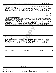|                | Part III   Statement of Program Service Accomplishments                                                                                                                                                                                                                                                                                                                            |
|----------------|------------------------------------------------------------------------------------------------------------------------------------------------------------------------------------------------------------------------------------------------------------------------------------------------------------------------------------------------------------------------------------|
|                | Check if Schedule O contains a response or note to any line in this Part III                                                                                                                                                                                                                                                                                                       |
| 1.             | Briefly describe the organization's mission:                                                                                                                                                                                                                                                                                                                                       |
|                | TO OBTAIN CONTRIBUTIONS OF MEDICAL AND DENTAL SUPPLIES, EQUIPMENT, AND<br>PRESCRIPTION DRUGS FOR DISTRIBUTION TO INDIVIDUALS, CLINICS, AND                                                                                                                                                                                                                                         |
|                | HOSPITALS THROUGHOUT THE WORLD FOR THE BENEFIT OF INDIGENT PERSONS.                                                                                                                                                                                                                                                                                                                |
|                |                                                                                                                                                                                                                                                                                                                                                                                    |
| $\overline{2}$ | Did the organization undertake any significant program services during the year which were not listed on the                                                                                                                                                                                                                                                                       |
|                | $ {\mathsf Y}\mathsf{es}\ \boxed{{\mathsf X}}$ No<br>prior Form 990 or 990-EZ?                                                                                                                                                                                                                                                                                                     |
|                | If "Yes," describe these new services on Schedule O.                                                                                                                                                                                                                                                                                                                               |
| 3              | $ {\mathsf Y}\mathsf{es}^- \overline{{\mathsf X}} $ No<br>Did the organization cease conducting, or make significant changes in how it conducts, any program services?                                                                                                                                                                                                             |
|                | If "Yes," describe these changes on Schedule O.                                                                                                                                                                                                                                                                                                                                    |
| 4              | Describe the organization's program service accomplishments for each of its three largest program services, as measured by expenses.                                                                                                                                                                                                                                               |
|                | Section 501(c)(3) and 501(c)(4) organizations are required to report the amount of grants and allocations to others, the total expenses, and                                                                                                                                                                                                                                       |
|                | revenue, if any, for each program service reported.<br>30,705,378. ) (Revenue \$<br>596, 673.                                                                                                                                                                                                                                                                                      |
| 4a             | $31,036,723$ . including grants of \$<br>(Expenses \$<br>(Code:<br>INTERNATIONAL PROGRAMS SHIPPED MEDICAL SUPPLIES, EQUIPMENT, AND                                                                                                                                                                                                                                                 |
|                | PRESCRIPTION DRUGS THROUGHOUT THE WORLD FOR THE BENEFIT OF INDIGENT                                                                                                                                                                                                                                                                                                                |
|                | ACTIVITY FOR THE YEAR CONSISTED OF 58 SHIPMENTS TO 17<br>PERSONS.                                                                                                                                                                                                                                                                                                                  |
|                | THIS WAS ACCOMPLISHED WITH THE HELP OF OVER 1,500<br>COUNTRIES.                                                                                                                                                                                                                                                                                                                    |
|                | VOLUNTEERS PROVIDING MORE THAN 13,500 HOURS OF SERVICE.                                                                                                                                                                                                                                                                                                                            |
|                |                                                                                                                                                                                                                                                                                                                                                                                    |
|                |                                                                                                                                                                                                                                                                                                                                                                                    |
|                |                                                                                                                                                                                                                                                                                                                                                                                    |
|                |                                                                                                                                                                                                                                                                                                                                                                                    |
|                |                                                                                                                                                                                                                                                                                                                                                                                    |
|                |                                                                                                                                                                                                                                                                                                                                                                                    |
|                |                                                                                                                                                                                                                                                                                                                                                                                    |
|                | LOCAL MEDICAL RELIEF PROGRAMS PROVIDED PRESCRIPTION DRUGS, DURABLE<br>MEDICAL EQUIPMENT, AND MEDICAL SUPPLIES TO NEEDY AREA CITIZENS.<br><b>DURING</b><br>2020, THESE PROGRAMS FILLED 6,805 PRESCRIPTIONS, LOANED 361 PIECES OF<br>EQUIPMENT, AND FILLED 511 MEDICAL SUPPLY ORDERS FOR THE BENEFIT OF<br>APPROXIMATELY 25, 200 INDIVIDUALS.<br>THIS WAS ACCOMPLISHED WITH THE HELP |
|                | OF OVER 1,500 VOLUNTEERS PROVIDING MORE THAN 13,500 HOURS OF SERVICE.                                                                                                                                                                                                                                                                                                              |
|                |                                                                                                                                                                                                                                                                                                                                                                                    |
|                |                                                                                                                                                                                                                                                                                                                                                                                    |
|                |                                                                                                                                                                                                                                                                                                                                                                                    |
|                |                                                                                                                                                                                                                                                                                                                                                                                    |
|                |                                                                                                                                                                                                                                                                                                                                                                                    |
| 4c             | ) (Revenue \$<br>(Code:<br>(Expenses \$<br>including grants of \$                                                                                                                                                                                                                                                                                                                  |
|                |                                                                                                                                                                                                                                                                                                                                                                                    |
|                |                                                                                                                                                                                                                                                                                                                                                                                    |
|                |                                                                                                                                                                                                                                                                                                                                                                                    |
|                |                                                                                                                                                                                                                                                                                                                                                                                    |
|                |                                                                                                                                                                                                                                                                                                                                                                                    |
|                |                                                                                                                                                                                                                                                                                                                                                                                    |
|                |                                                                                                                                                                                                                                                                                                                                                                                    |
|                |                                                                                                                                                                                                                                                                                                                                                                                    |
|                |                                                                                                                                                                                                                                                                                                                                                                                    |
|                |                                                                                                                                                                                                                                                                                                                                                                                    |
|                |                                                                                                                                                                                                                                                                                                                                                                                    |
|                |                                                                                                                                                                                                                                                                                                                                                                                    |
| 4d             | Other program services (Describe on Schedule O.)                                                                                                                                                                                                                                                                                                                                   |
|                | (Expenses \$<br>(Revenue \$<br>including grants of \$                                                                                                                                                                                                                                                                                                                              |
| 4е             | 34,059,423.<br>Total program service expenses<br>Form 990 (2020)                                                                                                                                                                                                                                                                                                                   |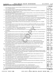|  | Form 990 (2020) |
|--|-----------------|
|  |                 |

**Part IV Checklist of Required Schedules**

Form 990 (2020) WORLD MEDICAL RELIEF INCORPORATED 38-1575570 <sub>Page</sub>

|                                                                                                                                                                                                                                                                                                                                                                                                                                                                                                                                                                                                                                                                                                                                                                                                                                                                                                                                                                                                                                                                                                                                                                                                                                                                                                                                                                                                                                                                                                                                                                                                                                                                                                                                                                                                                                                                                                                                                                                                                                                                                                                                                                                                                                                                                                                                                                                                                                                                                                                                                                                                                                                                                                                                                                                                                                                                                                                                                                                                                                                                                  |                                                                                                                                  |                 | Yes | No                      |
|----------------------------------------------------------------------------------------------------------------------------------------------------------------------------------------------------------------------------------------------------------------------------------------------------------------------------------------------------------------------------------------------------------------------------------------------------------------------------------------------------------------------------------------------------------------------------------------------------------------------------------------------------------------------------------------------------------------------------------------------------------------------------------------------------------------------------------------------------------------------------------------------------------------------------------------------------------------------------------------------------------------------------------------------------------------------------------------------------------------------------------------------------------------------------------------------------------------------------------------------------------------------------------------------------------------------------------------------------------------------------------------------------------------------------------------------------------------------------------------------------------------------------------------------------------------------------------------------------------------------------------------------------------------------------------------------------------------------------------------------------------------------------------------------------------------------------------------------------------------------------------------------------------------------------------------------------------------------------------------------------------------------------------------------------------------------------------------------------------------------------------------------------------------------------------------------------------------------------------------------------------------------------------------------------------------------------------------------------------------------------------------------------------------------------------------------------------------------------------------------------------------------------------------------------------------------------------------------------------------------------------------------------------------------------------------------------------------------------------------------------------------------------------------------------------------------------------------------------------------------------------------------------------------------------------------------------------------------------------------------------------------------------------------------------------------------------------|----------------------------------------------------------------------------------------------------------------------------------|-----------------|-----|-------------------------|
| 1                                                                                                                                                                                                                                                                                                                                                                                                                                                                                                                                                                                                                                                                                                                                                                                                                                                                                                                                                                                                                                                                                                                                                                                                                                                                                                                                                                                                                                                                                                                                                                                                                                                                                                                                                                                                                                                                                                                                                                                                                                                                                                                                                                                                                                                                                                                                                                                                                                                                                                                                                                                                                                                                                                                                                                                                                                                                                                                                                                                                                                                                                | Is the organization described in section 501(c)(3) or 4947(a)(1) (other than a private foundation)?                              |                 |     |                         |
|                                                                                                                                                                                                                                                                                                                                                                                                                                                                                                                                                                                                                                                                                                                                                                                                                                                                                                                                                                                                                                                                                                                                                                                                                                                                                                                                                                                                                                                                                                                                                                                                                                                                                                                                                                                                                                                                                                                                                                                                                                                                                                                                                                                                                                                                                                                                                                                                                                                                                                                                                                                                                                                                                                                                                                                                                                                                                                                                                                                                                                                                                  | If "Yes," complete Schedule A                                                                                                    | 1               | х   |                         |
| 2                                                                                                                                                                                                                                                                                                                                                                                                                                                                                                                                                                                                                                                                                                                                                                                                                                                                                                                                                                                                                                                                                                                                                                                                                                                                                                                                                                                                                                                                                                                                                                                                                                                                                                                                                                                                                                                                                                                                                                                                                                                                                                                                                                                                                                                                                                                                                                                                                                                                                                                                                                                                                                                                                                                                                                                                                                                                                                                                                                                                                                                                                |                                                                                                                                  | $\overline{2}$  |     | $\overline{\mathbf{X}}$ |
| 3                                                                                                                                                                                                                                                                                                                                                                                                                                                                                                                                                                                                                                                                                                                                                                                                                                                                                                                                                                                                                                                                                                                                                                                                                                                                                                                                                                                                                                                                                                                                                                                                                                                                                                                                                                                                                                                                                                                                                                                                                                                                                                                                                                                                                                                                                                                                                                                                                                                                                                                                                                                                                                                                                                                                                                                                                                                                                                                                                                                                                                                                                | Did the organization engage in direct or indirect political campaign activities on behalf of or in opposition to candidates for  |                 |     |                         |
|                                                                                                                                                                                                                                                                                                                                                                                                                                                                                                                                                                                                                                                                                                                                                                                                                                                                                                                                                                                                                                                                                                                                                                                                                                                                                                                                                                                                                                                                                                                                                                                                                                                                                                                                                                                                                                                                                                                                                                                                                                                                                                                                                                                                                                                                                                                                                                                                                                                                                                                                                                                                                                                                                                                                                                                                                                                                                                                                                                                                                                                                                  | public office? If "Yes," complete Schedule C, Part I                                                                             | 3               |     | х                       |
| 4                                                                                                                                                                                                                                                                                                                                                                                                                                                                                                                                                                                                                                                                                                                                                                                                                                                                                                                                                                                                                                                                                                                                                                                                                                                                                                                                                                                                                                                                                                                                                                                                                                                                                                                                                                                                                                                                                                                                                                                                                                                                                                                                                                                                                                                                                                                                                                                                                                                                                                                                                                                                                                                                                                                                                                                                                                                                                                                                                                                                                                                                                | Section 501(c)(3) organizations. Did the organization engage in lobbying activities, or have a section 501(h) election in effect | 4               |     | х                       |
|                                                                                                                                                                                                                                                                                                                                                                                                                                                                                                                                                                                                                                                                                                                                                                                                                                                                                                                                                                                                                                                                                                                                                                                                                                                                                                                                                                                                                                                                                                                                                                                                                                                                                                                                                                                                                                                                                                                                                                                                                                                                                                                                                                                                                                                                                                                                                                                                                                                                                                                                                                                                                                                                                                                                                                                                                                                                                                                                                                                                                                                                                  |                                                                                                                                  |                 |     |                         |
|                                                                                                                                                                                                                                                                                                                                                                                                                                                                                                                                                                                                                                                                                                                                                                                                                                                                                                                                                                                                                                                                                                                                                                                                                                                                                                                                                                                                                                                                                                                                                                                                                                                                                                                                                                                                                                                                                                                                                                                                                                                                                                                                                                                                                                                                                                                                                                                                                                                                                                                                                                                                                                                                                                                                                                                                                                                                                                                                                                                                                                                                                  |                                                                                                                                  | 5               |     | х                       |
|                                                                                                                                                                                                                                                                                                                                                                                                                                                                                                                                                                                                                                                                                                                                                                                                                                                                                                                                                                                                                                                                                                                                                                                                                                                                                                                                                                                                                                                                                                                                                                                                                                                                                                                                                                                                                                                                                                                                                                                                                                                                                                                                                                                                                                                                                                                                                                                                                                                                                                                                                                                                                                                                                                                                                                                                                                                                                                                                                                                                                                                                                  | provide advice on the distribution or investment of amounts in such funds or accounts? If "Yes," complete Schedule D, Part I     | 6               |     | х                       |
| 7                                                                                                                                                                                                                                                                                                                                                                                                                                                                                                                                                                                                                                                                                                                                                                                                                                                                                                                                                                                                                                                                                                                                                                                                                                                                                                                                                                                                                                                                                                                                                                                                                                                                                                                                                                                                                                                                                                                                                                                                                                                                                                                                                                                                                                                                                                                                                                                                                                                                                                                                                                                                                                                                                                                                                                                                                                                                                                                                                                                                                                                                                | Did the organization receive or hold a conservation easement, including easements to preserve open space,                        |                 |     |                         |
|                                                                                                                                                                                                                                                                                                                                                                                                                                                                                                                                                                                                                                                                                                                                                                                                                                                                                                                                                                                                                                                                                                                                                                                                                                                                                                                                                                                                                                                                                                                                                                                                                                                                                                                                                                                                                                                                                                                                                                                                                                                                                                                                                                                                                                                                                                                                                                                                                                                                                                                                                                                                                                                                                                                                                                                                                                                                                                                                                                                                                                                                                  | the environment, historic land areas, or historic structures? If "Yes," complete Schedule D, Part II.                            | $\overline{7}$  |     | х                       |
| 8                                                                                                                                                                                                                                                                                                                                                                                                                                                                                                                                                                                                                                                                                                                                                                                                                                                                                                                                                                                                                                                                                                                                                                                                                                                                                                                                                                                                                                                                                                                                                                                                                                                                                                                                                                                                                                                                                                                                                                                                                                                                                                                                                                                                                                                                                                                                                                                                                                                                                                                                                                                                                                                                                                                                                                                                                                                                                                                                                                                                                                                                                | Did the organization maintain collections of works of art, historical treasures, or other similar assets? If "Yes," complete     | 8               |     | х                       |
|                                                                                                                                                                                                                                                                                                                                                                                                                                                                                                                                                                                                                                                                                                                                                                                                                                                                                                                                                                                                                                                                                                                                                                                                                                                                                                                                                                                                                                                                                                                                                                                                                                                                                                                                                                                                                                                                                                                                                                                                                                                                                                                                                                                                                                                                                                                                                                                                                                                                                                                                                                                                                                                                                                                                                                                                                                                                                                                                                                                                                                                                                  |                                                                                                                                  |                 |     |                         |
|                                                                                                                                                                                                                                                                                                                                                                                                                                                                                                                                                                                                                                                                                                                                                                                                                                                                                                                                                                                                                                                                                                                                                                                                                                                                                                                                                                                                                                                                                                                                                                                                                                                                                                                                                                                                                                                                                                                                                                                                                                                                                                                                                                                                                                                                                                                                                                                                                                                                                                                                                                                                                                                                                                                                                                                                                                                                                                                                                                                                                                                                                  | amounts not listed in Part X; or provide credit counseling, debt management, credit repair, or debt negotiation services?        |                 |     | x                       |
|                                                                                                                                                                                                                                                                                                                                                                                                                                                                                                                                                                                                                                                                                                                                                                                                                                                                                                                                                                                                                                                                                                                                                                                                                                                                                                                                                                                                                                                                                                                                                                                                                                                                                                                                                                                                                                                                                                                                                                                                                                                                                                                                                                                                                                                                                                                                                                                                                                                                                                                                                                                                                                                                                                                                                                                                                                                                                                                                                                                                                                                                                  |                                                                                                                                  |                 |     |                         |
|                                                                                                                                                                                                                                                                                                                                                                                                                                                                                                                                                                                                                                                                                                                                                                                                                                                                                                                                                                                                                                                                                                                                                                                                                                                                                                                                                                                                                                                                                                                                                                                                                                                                                                                                                                                                                                                                                                                                                                                                                                                                                                                                                                                                                                                                                                                                                                                                                                                                                                                                                                                                                                                                                                                                                                                                                                                                                                                                                                                                                                                                                  |                                                                                                                                  |                 | х   |                         |
|                                                                                                                                                                                                                                                                                                                                                                                                                                                                                                                                                                                                                                                                                                                                                                                                                                                                                                                                                                                                                                                                                                                                                                                                                                                                                                                                                                                                                                                                                                                                                                                                                                                                                                                                                                                                                                                                                                                                                                                                                                                                                                                                                                                                                                                                                                                                                                                                                                                                                                                                                                                                                                                                                                                                                                                                                                                                                                                                                                                                                                                                                  | If the organization's answer to any of the following questions is "Yes," then complete Schedule D, Parts VI, VII, VIII, IX, or X |                 |     |                         |
|                                                                                                                                                                                                                                                                                                                                                                                                                                                                                                                                                                                                                                                                                                                                                                                                                                                                                                                                                                                                                                                                                                                                                                                                                                                                                                                                                                                                                                                                                                                                                                                                                                                                                                                                                                                                                                                                                                                                                                                                                                                                                                                                                                                                                                                                                                                                                                                                                                                                                                                                                                                                                                                                                                                                                                                                                                                                                                                                                                                                                                                                                  |                                                                                                                                  |                 |     |                         |
|                                                                                                                                                                                                                                                                                                                                                                                                                                                                                                                                                                                                                                                                                                                                                                                                                                                                                                                                                                                                                                                                                                                                                                                                                                                                                                                                                                                                                                                                                                                                                                                                                                                                                                                                                                                                                                                                                                                                                                                                                                                                                                                                                                                                                                                                                                                                                                                                                                                                                                                                                                                                                                                                                                                                                                                                                                                                                                                                                                                                                                                                                  | Part VI                                                                                                                          | 11a             | х   |                         |
|                                                                                                                                                                                                                                                                                                                                                                                                                                                                                                                                                                                                                                                                                                                                                                                                                                                                                                                                                                                                                                                                                                                                                                                                                                                                                                                                                                                                                                                                                                                                                                                                                                                                                                                                                                                                                                                                                                                                                                                                                                                                                                                                                                                                                                                                                                                                                                                                                                                                                                                                                                                                                                                                                                                                                                                                                                                                                                                                                                                                                                                                                  |                                                                                                                                  |                 |     |                         |
|                                                                                                                                                                                                                                                                                                                                                                                                                                                                                                                                                                                                                                                                                                                                                                                                                                                                                                                                                                                                                                                                                                                                                                                                                                                                                                                                                                                                                                                                                                                                                                                                                                                                                                                                                                                                                                                                                                                                                                                                                                                                                                                                                                                                                                                                                                                                                                                                                                                                                                                                                                                                                                                                                                                                                                                                                                                                                                                                                                                                                                                                                  |                                                                                                                                  | 11b             |     | х                       |
|                                                                                                                                                                                                                                                                                                                                                                                                                                                                                                                                                                                                                                                                                                                                                                                                                                                                                                                                                                                                                                                                                                                                                                                                                                                                                                                                                                                                                                                                                                                                                                                                                                                                                                                                                                                                                                                                                                                                                                                                                                                                                                                                                                                                                                                                                                                                                                                                                                                                                                                                                                                                                                                                                                                                                                                                                                                                                                                                                                                                                                                                                  |                                                                                                                                  |                 |     |                         |
|                                                                                                                                                                                                                                                                                                                                                                                                                                                                                                                                                                                                                                                                                                                                                                                                                                                                                                                                                                                                                                                                                                                                                                                                                                                                                                                                                                                                                                                                                                                                                                                                                                                                                                                                                                                                                                                                                                                                                                                                                                                                                                                                                                                                                                                                                                                                                                                                                                                                                                                                                                                                                                                                                                                                                                                                                                                                                                                                                                                                                                                                                  |                                                                                                                                  | 11c             |     | х                       |
|                                                                                                                                                                                                                                                                                                                                                                                                                                                                                                                                                                                                                                                                                                                                                                                                                                                                                                                                                                                                                                                                                                                                                                                                                                                                                                                                                                                                                                                                                                                                                                                                                                                                                                                                                                                                                                                                                                                                                                                                                                                                                                                                                                                                                                                                                                                                                                                                                                                                                                                                                                                                                                                                                                                                                                                                                                                                                                                                                                                                                                                                                  |                                                                                                                                  |                 |     |                         |
|                                                                                                                                                                                                                                                                                                                                                                                                                                                                                                                                                                                                                                                                                                                                                                                                                                                                                                                                                                                                                                                                                                                                                                                                                                                                                                                                                                                                                                                                                                                                                                                                                                                                                                                                                                                                                                                                                                                                                                                                                                                                                                                                                                                                                                                                                                                                                                                                                                                                                                                                                                                                                                                                                                                                                                                                                                                                                                                                                                                                                                                                                  |                                                                                                                                  | 11d             |     | x                       |
|                                                                                                                                                                                                                                                                                                                                                                                                                                                                                                                                                                                                                                                                                                                                                                                                                                                                                                                                                                                                                                                                                                                                                                                                                                                                                                                                                                                                                                                                                                                                                                                                                                                                                                                                                                                                                                                                                                                                                                                                                                                                                                                                                                                                                                                                                                                                                                                                                                                                                                                                                                                                                                                                                                                                                                                                                                                                                                                                                                                                                                                                                  |                                                                                                                                  | 11e             |     | $\overline{\mathtt{x}}$ |
|                                                                                                                                                                                                                                                                                                                                                                                                                                                                                                                                                                                                                                                                                                                                                                                                                                                                                                                                                                                                                                                                                                                                                                                                                                                                                                                                                                                                                                                                                                                                                                                                                                                                                                                                                                                                                                                                                                                                                                                                                                                                                                                                                                                                                                                                                                                                                                                                                                                                                                                                                                                                                                                                                                                                                                                                                                                                                                                                                                                                                                                                                  |                                                                                                                                  |                 |     | x                       |
|                                                                                                                                                                                                                                                                                                                                                                                                                                                                                                                                                                                                                                                                                                                                                                                                                                                                                                                                                                                                                                                                                                                                                                                                                                                                                                                                                                                                                                                                                                                                                                                                                                                                                                                                                                                                                                                                                                                                                                                                                                                                                                                                                                                                                                                                                                                                                                                                                                                                                                                                                                                                                                                                                                                                                                                                                                                                                                                                                                                                                                                                                  |                                                                                                                                  |                 |     |                         |
|                                                                                                                                                                                                                                                                                                                                                                                                                                                                                                                                                                                                                                                                                                                                                                                                                                                                                                                                                                                                                                                                                                                                                                                                                                                                                                                                                                                                                                                                                                                                                                                                                                                                                                                                                                                                                                                                                                                                                                                                                                                                                                                                                                                                                                                                                                                                                                                                                                                                                                                                                                                                                                                                                                                                                                                                                                                                                                                                                                                                                                                                                  | Schedule D, Parts XI and XII                                                                                                     | 12a             | х   |                         |
|                                                                                                                                                                                                                                                                                                                                                                                                                                                                                                                                                                                                                                                                                                                                                                                                                                                                                                                                                                                                                                                                                                                                                                                                                                                                                                                                                                                                                                                                                                                                                                                                                                                                                                                                                                                                                                                                                                                                                                                                                                                                                                                                                                                                                                                                                                                                                                                                                                                                                                                                                                                                                                                                                                                                                                                                                                                                                                                                                                                                                                                                                  |                                                                                                                                  |                 |     |                         |
|                                                                                                                                                                                                                                                                                                                                                                                                                                                                                                                                                                                                                                                                                                                                                                                                                                                                                                                                                                                                                                                                                                                                                                                                                                                                                                                                                                                                                                                                                                                                                                                                                                                                                                                                                                                                                                                                                                                                                                                                                                                                                                                                                                                                                                                                                                                                                                                                                                                                                                                                                                                                                                                                                                                                                                                                                                                                                                                                                                                                                                                                                  |                                                                                                                                  | 12b             |     | ▵                       |
|                                                                                                                                                                                                                                                                                                                                                                                                                                                                                                                                                                                                                                                                                                                                                                                                                                                                                                                                                                                                                                                                                                                                                                                                                                                                                                                                                                                                                                                                                                                                                                                                                                                                                                                                                                                                                                                                                                                                                                                                                                                                                                                                                                                                                                                                                                                                                                                                                                                                                                                                                                                                                                                                                                                                                                                                                                                                                                                                                                                                                                                                                  |                                                                                                                                  | 13              |     | $\overline{\textbf{x}}$ |
|                                                                                                                                                                                                                                                                                                                                                                                                                                                                                                                                                                                                                                                                                                                                                                                                                                                                                                                                                                                                                                                                                                                                                                                                                                                                                                                                                                                                                                                                                                                                                                                                                                                                                                                                                                                                                                                                                                                                                                                                                                                                                                                                                                                                                                                                                                                                                                                                                                                                                                                                                                                                                                                                                                                                                                                                                                                                                                                                                                                                                                                                                  |                                                                                                                                  | 14a             |     | x                       |
|                                                                                                                                                                                                                                                                                                                                                                                                                                                                                                                                                                                                                                                                                                                                                                                                                                                                                                                                                                                                                                                                                                                                                                                                                                                                                                                                                                                                                                                                                                                                                                                                                                                                                                                                                                                                                                                                                                                                                                                                                                                                                                                                                                                                                                                                                                                                                                                                                                                                                                                                                                                                                                                                                                                                                                                                                                                                                                                                                                                                                                                                                  |                                                                                                                                  |                 |     |                         |
|                                                                                                                                                                                                                                                                                                                                                                                                                                                                                                                                                                                                                                                                                                                                                                                                                                                                                                                                                                                                                                                                                                                                                                                                                                                                                                                                                                                                                                                                                                                                                                                                                                                                                                                                                                                                                                                                                                                                                                                                                                                                                                                                                                                                                                                                                                                                                                                                                                                                                                                                                                                                                                                                                                                                                                                                                                                                                                                                                                                                                                                                                  |                                                                                                                                  |                 |     |                         |
|                                                                                                                                                                                                                                                                                                                                                                                                                                                                                                                                                                                                                                                                                                                                                                                                                                                                                                                                                                                                                                                                                                                                                                                                                                                                                                                                                                                                                                                                                                                                                                                                                                                                                                                                                                                                                                                                                                                                                                                                                                                                                                                                                                                                                                                                                                                                                                                                                                                                                                                                                                                                                                                                                                                                                                                                                                                                                                                                                                                                                                                                                  |                                                                                                                                  | 14b             |     | х                       |
|                                                                                                                                                                                                                                                                                                                                                                                                                                                                                                                                                                                                                                                                                                                                                                                                                                                                                                                                                                                                                                                                                                                                                                                                                                                                                                                                                                                                                                                                                                                                                                                                                                                                                                                                                                                                                                                                                                                                                                                                                                                                                                                                                                                                                                                                                                                                                                                                                                                                                                                                                                                                                                                                                                                                                                                                                                                                                                                                                                                                                                                                                  |                                                                                                                                  |                 | х   |                         |
|                                                                                                                                                                                                                                                                                                                                                                                                                                                                                                                                                                                                                                                                                                                                                                                                                                                                                                                                                                                                                                                                                                                                                                                                                                                                                                                                                                                                                                                                                                                                                                                                                                                                                                                                                                                                                                                                                                                                                                                                                                                                                                                                                                                                                                                                                                                                                                                                                                                                                                                                                                                                                                                                                                                                                                                                                                                                                                                                                                                                                                                                                  |                                                                                                                                  |                 |     |                         |
|                                                                                                                                                                                                                                                                                                                                                                                                                                                                                                                                                                                                                                                                                                                                                                                                                                                                                                                                                                                                                                                                                                                                                                                                                                                                                                                                                                                                                                                                                                                                                                                                                                                                                                                                                                                                                                                                                                                                                                                                                                                                                                                                                                                                                                                                                                                                                                                                                                                                                                                                                                                                                                                                                                                                                                                                                                                                                                                                                                                                                                                                                  |                                                                                                                                  | 16              |     | X.                      |
|                                                                                                                                                                                                                                                                                                                                                                                                                                                                                                                                                                                                                                                                                                                                                                                                                                                                                                                                                                                                                                                                                                                                                                                                                                                                                                                                                                                                                                                                                                                                                                                                                                                                                                                                                                                                                                                                                                                                                                                                                                                                                                                                                                                                                                                                                                                                                                                                                                                                                                                                                                                                                                                                                                                                                                                                                                                                                                                                                                                                                                                                                  | Did the organization report a total of more than \$15,000 of expenses for professional fundraising services on Part IX,          |                 |     |                         |
|                                                                                                                                                                                                                                                                                                                                                                                                                                                                                                                                                                                                                                                                                                                                                                                                                                                                                                                                                                                                                                                                                                                                                                                                                                                                                                                                                                                                                                                                                                                                                                                                                                                                                                                                                                                                                                                                                                                                                                                                                                                                                                                                                                                                                                                                                                                                                                                                                                                                                                                                                                                                                                                                                                                                                                                                                                                                                                                                                                                                                                                                                  |                                                                                                                                  | 17              |     | X.                      |
|                                                                                                                                                                                                                                                                                                                                                                                                                                                                                                                                                                                                                                                                                                                                                                                                                                                                                                                                                                                                                                                                                                                                                                                                                                                                                                                                                                                                                                                                                                                                                                                                                                                                                                                                                                                                                                                                                                                                                                                                                                                                                                                                                                                                                                                                                                                                                                                                                                                                                                                                                                                                                                                                                                                                                                                                                                                                                                                                                                                                                                                                                  | Did the organization report more than \$15,000 total of fundraising event gross income and contributions on Part VIII, lines     |                 |     |                         |
|                                                                                                                                                                                                                                                                                                                                                                                                                                                                                                                                                                                                                                                                                                                                                                                                                                                                                                                                                                                                                                                                                                                                                                                                                                                                                                                                                                                                                                                                                                                                                                                                                                                                                                                                                                                                                                                                                                                                                                                                                                                                                                                                                                                                                                                                                                                                                                                                                                                                                                                                                                                                                                                                                                                                                                                                                                                                                                                                                                                                                                                                                  |                                                                                                                                  | 18              | х   |                         |
|                                                                                                                                                                                                                                                                                                                                                                                                                                                                                                                                                                                                                                                                                                                                                                                                                                                                                                                                                                                                                                                                                                                                                                                                                                                                                                                                                                                                                                                                                                                                                                                                                                                                                                                                                                                                                                                                                                                                                                                                                                                                                                                                                                                                                                                                                                                                                                                                                                                                                                                                                                                                                                                                                                                                                                                                                                                                                                                                                                                                                                                                                  | Did the organization report more than \$15,000 of gross income from gaming activities on Part VIII, line 9a? If "Yes,"           |                 |     |                         |
|                                                                                                                                                                                                                                                                                                                                                                                                                                                                                                                                                                                                                                                                                                                                                                                                                                                                                                                                                                                                                                                                                                                                                                                                                                                                                                                                                                                                                                                                                                                                                                                                                                                                                                                                                                                                                                                                                                                                                                                                                                                                                                                                                                                                                                                                                                                                                                                                                                                                                                                                                                                                                                                                                                                                                                                                                                                                                                                                                                                                                                                                                  |                                                                                                                                  | 19              |     | x                       |
|                                                                                                                                                                                                                                                                                                                                                                                                                                                                                                                                                                                                                                                                                                                                                                                                                                                                                                                                                                                                                                                                                                                                                                                                                                                                                                                                                                                                                                                                                                                                                                                                                                                                                                                                                                                                                                                                                                                                                                                                                                                                                                                                                                                                                                                                                                                                                                                                                                                                                                                                                                                                                                                                                                                                                                                                                                                                                                                                                                                                                                                                                  |                                                                                                                                  | 20a             |     | $\overline{\textbf{X}}$ |
|                                                                                                                                                                                                                                                                                                                                                                                                                                                                                                                                                                                                                                                                                                                                                                                                                                                                                                                                                                                                                                                                                                                                                                                                                                                                                                                                                                                                                                                                                                                                                                                                                                                                                                                                                                                                                                                                                                                                                                                                                                                                                                                                                                                                                                                                                                                                                                                                                                                                                                                                                                                                                                                                                                                                                                                                                                                                                                                                                                                                                                                                                  |                                                                                                                                  | 20 <sub>b</sub> |     |                         |
| Is the organization a section 501(c)(4), 501(c)(5), or 501(c)(6) organization that receives membership dues, assessments, or<br>5<br>Did the organization maintain any donor advised funds or any similar funds or accounts for which donors have the right to<br>6<br>Schedule D, Part III<br>Did the organization report an amount in Part X, line 21, for escrow or custodial account liability, serve as a custodian for<br>9<br>If "Yes," complete Schedule D, Part IV<br>Did the organization, directly or through a related organization, hold assets in donor-restricted endowments<br>10<br>11<br>as applicable.<br>a Did the organization report an amount for land, buildings, and equipment in Part X, line 10? If "Yes," complete Schedule D,<br><b>b</b> Did the organization report an amount for investments - other securities in Part X, line 12, that is 5% or more of its total<br>assets reported in Part X, line 16? If "Yes," complete Schedule D, Part VII<br>c Did the organization report an amount for investments - program related in Part X, line 13, that is 5% or more of its total<br>assets reported in Part X, line 16? If "Yes," complete Schedule D, Part VIII<br>d Did the organization report an amount for other assets in Part X, line 15, that is 5% or more of its total assets reported in<br>Part X, line 16? If "Yes," complete Schedule D, Part IX<br>e Did the organization report an amount for other liabilities in Part X, line 25? If "Yes," complete Schedule D, Part X<br>Did the organization's separate or consolidated financial statements for the tax year include a footnote that addresses<br>f.<br>the organization's liability for uncertain tax positions under FIN 48 (ASC 740)? If "Yes," complete Schedule D, Part X<br>12a Did the organization obtain separate, independent audited financial statements for the tax year? If "Yes," complete<br><b>b</b> Was the organization included in consolidated, independent audited financial statements for the tax year?<br>If "Yes," and if the organization answered "No" to line 12a, then completing Schedule D, Parts XI and XII is optional<br>Is the organization a school described in section 170(b)(1)(A)(ii)? If "Yes," complete Schedule E<br>13<br>14a Did the organization maintain an office, employees, or agents outside of the United States?<br><b>b</b> Did the organization have aggregate revenues or expenses of more than \$10,000 from grantmaking, fundraising, business,<br>investment, and program service activities outside the United States, or aggregate foreign investments valued at \$100,000<br>Did the organization report on Part IX, column (A), line 3, more than \$5,000 of grants or other assistance to or for any<br>15<br>Did the organization report on Part IX, column (A), line 3, more than \$5,000 of aggregate grants or other assistance to<br>16<br>17<br>18<br>19<br>Did the organization report more than \$5,000 of grants or other assistance to any domestic organization or<br>21<br>032003 12-23-20 |                                                                                                                                  |                 |     |                         |
|                                                                                                                                                                                                                                                                                                                                                                                                                                                                                                                                                                                                                                                                                                                                                                                                                                                                                                                                                                                                                                                                                                                                                                                                                                                                                                                                                                                                                                                                                                                                                                                                                                                                                                                                                                                                                                                                                                                                                                                                                                                                                                                                                                                                                                                                                                                                                                                                                                                                                                                                                                                                                                                                                                                                                                                                                                                                                                                                                                                                                                                                                  | 9<br>10<br>11f<br>15<br>21                                                                                                       |                 |     | х                       |
|                                                                                                                                                                                                                                                                                                                                                                                                                                                                                                                                                                                                                                                                                                                                                                                                                                                                                                                                                                                                                                                                                                                                                                                                                                                                                                                                                                                                                                                                                                                                                                                                                                                                                                                                                                                                                                                                                                                                                                                                                                                                                                                                                                                                                                                                                                                                                                                                                                                                                                                                                                                                                                                                                                                                                                                                                                                                                                                                                                                                                                                                                  |                                                                                                                                  |                 |     | Form 990 (2020)         |

032003 12-23-20

15351106 748923 WMR 2020.04011 WORLD MEDICAL RELIEF INCORP WMR\_\_\_\_1 3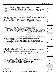|  | Form 990 (2020) |
|--|-----------------|
|  |                 |

*(continued)* **Part IV Checklist of Required Schedules**

|          |                                                                                                                                                                                                                                                                                    |                 | Yes   No |                         |
|----------|------------------------------------------------------------------------------------------------------------------------------------------------------------------------------------------------------------------------------------------------------------------------------------|-----------------|----------|-------------------------|
| 22       | Did the organization report more than \$5,000 of grants or other assistance to or for domestic individuals on                                                                                                                                                                      | 22              | X        |                         |
| 23       | Did the organization answer "Yes" to Part VII, Section A, line 3, 4, or 5 about compensation of the organization's current                                                                                                                                                         |                 |          |                         |
|          | and former officers, directors, trustees, key employees, and highest compensated employees? If "Yes," complete<br>Schedule J <b>www.communication.communication.communication.com</b>                                                                                              | 23              |          | x                       |
|          | 24a Did the organization have a tax-exempt bond issue with an outstanding principal amount of more than \$100,000 as of the                                                                                                                                                        |                 |          |                         |
|          | last day of the year, that was issued after December 31, 2002? If "Yes," answer lines 24b through 24d and complete                                                                                                                                                                 | 24a             |          | x                       |
|          |                                                                                                                                                                                                                                                                                    | 24 <sub>b</sub> |          |                         |
|          | c Did the organization maintain an escrow account other than a refunding escrow at any time during the year to defease                                                                                                                                                             | 24c             |          |                         |
|          |                                                                                                                                                                                                                                                                                    | 24d             |          |                         |
|          | 25a Section 501(c)(3), 501(c)(4), and 501(c)(29) organizations. Did the organization engage in an excess benefit                                                                                                                                                                   |                 |          |                         |
|          | transaction with a disqualified person during the year? If "Yes," complete Schedule L, Part I manufaction with a disqualified person during the year? If "Yes," complete Schedule L, Part I                                                                                        | 25a             |          | x                       |
|          | <b>b</b> Is the organization aware that it engaged in an excess benefit transaction with a disqualified person in a prior year, and<br>that the transaction has not been reported on any of the organization's prior Forms 990 or 990-EZ? If "Yes," complete<br>Schedule L, Part I | 25b             |          | x                       |
| 26       | Did the organization report any amount on Part X, line 5 or 22, for receivables from or payables to any current<br>or former officer, director, trustee, key employee, creator or founder, substantial contributor, or 35%                                                         |                 |          |                         |
|          |                                                                                                                                                                                                                                                                                    | 26              |          | X                       |
| 27       | Did the organization provide a grant or other assistance to any current or former officer, director, trustee, key employee,                                                                                                                                                        |                 |          |                         |
|          | creator or founder, substantial contributor or employee thereof, a grant selection committee member, or to a 35% controlled                                                                                                                                                        |                 |          |                         |
|          | entity (including an employee thereof) or family member of any of these persons? If "Yes," complete Schedule L, Part III                                                                                                                                                           | 27              |          | x                       |
| 28       | Was the organization a party to a business transaction with one of the following parties (see Schedule L, Part IV<br>instructions, for applicable filing thresholds, conditions, and exceptions):                                                                                  |                 |          |                         |
|          | a A current or former officer, director, trustee, key employee, creator or founder, or substantial contributor? If                                                                                                                                                                 | 28a             |          | х                       |
|          |                                                                                                                                                                                                                                                                                    | 28 <sub>b</sub> |          | $\overline{\texttt{x}}$ |
|          | c A 35% controlled entity of one or more individuals and/or organizations described in lines 28a or 28b?/f                                                                                                                                                                         | 28c             |          | х                       |
| 29       |                                                                                                                                                                                                                                                                                    | 29              | х        |                         |
| 30       | Did the organization receive contributions of art, historical treasures, or other similar assets, or qualified conservation                                                                                                                                                        | 30              |          | х                       |
| 31       | Did the organization liquidate, terminate, or dissolve and cease operations? If "Yes," complete Schedule N, Part I                                                                                                                                                                 | 31              |          | $\overline{\texttt{x}}$ |
| 32       | Did the organization sell, exchange, dispose of, or transfer more than 25% of its net assets? If "Yes," complete                                                                                                                                                                   | 32              |          | Х                       |
| 33       | Did the organization own 100% of an entity disregarded as separate from the organization under Regulations                                                                                                                                                                         |                 |          |                         |
| 34       | Was the organization related to any tax-exempt or taxable entity? If "Yes," complete Schedule R, Part II, III, or IV, and                                                                                                                                                          | 33              |          | x                       |
|          | Part V, line 1                                                                                                                                                                                                                                                                     | 34              | х        |                         |
|          |                                                                                                                                                                                                                                                                                    | 35a             |          | X                       |
|          | b If "Yes" to line 35a, did the organization receive any payment from or engage in any transaction with a controlled entity                                                                                                                                                        | 35b             |          |                         |
| 36       | Section 501(c)(3) organizations. Did the organization make any transfers to an exempt non-charitable related organization?                                                                                                                                                         | 36              |          | x                       |
|          |                                                                                                                                                                                                                                                                                    |                 |          |                         |
|          | Did the organization conduct more than 5% of its activities through an entity that is not a related organization                                                                                                                                                                   | 37              |          |                         |
| 37<br>38 | Did the organization complete Schedule O and provide explanations in Schedule O for Part VI, lines 11b and 19?                                                                                                                                                                     |                 | X        |                         |
|          | Part V<br><b>Statements Regarding Other IRS Filings and Tax Compliance</b>                                                                                                                                                                                                         | 38              |          |                         |
|          | Check if Schedule O contains a response or note to any line in this Part V <b>COLOGIT ACCO CONVICTS</b> (Check if Schedule O contains a response or note to any line in this Part V                                                                                                |                 |          |                         |
|          |                                                                                                                                                                                                                                                                                    |                 | Yes $ $  |                         |
|          | 6<br>1a<br>0                                                                                                                                                                                                                                                                       |                 |          |                         |
|          | 1 <sub>b</sub>                                                                                                                                                                                                                                                                     |                 |          |                         |
|          | c Did the organization comply with backup withholding rules for reportable payments to vendors and reportable gaming                                                                                                                                                               | 1c              |          | x<br>No                 |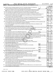| Form 990 (2020) |  |  |  |  | WORLD MEDICAL RELIEF INCORPORATED | 38-1575570 | Page |  |
|-----------------|--|--|--|--|-----------------------------------|------------|------|--|
|-----------------|--|--|--|--|-----------------------------------|------------|------|--|

**Part V Statements Regarding Other IRS Filings and Tax Compliance**

*(continued)*

| 2a Enter the number of employees reported on Form W-3, Transmittal of Wage and Tax Statements,<br>24<br>filed for the calendar year ending with or within the year covered by this return<br>2a<br>х<br>2 <sub>b</sub><br><b>Note:</b> If the sum of lines 1a and 2a is greater than 250, you may be required to e-file (see instructions) <i></i><br>3a Did the organization have unrelated business gross income of \$1,000 or more during the year?<br>За<br>3b<br>4a At any time during the calendar year, did the organization have an interest in, or a signature or other authority over, a<br>financial account in a foreign country (such as a bank account, securities account, or other financial account)?<br>4a<br><b>b</b> If "Yes," enter the name of the foreign country<br>See instructions for filing requirements for FinCEN Form 114, Report of Foreign Bank and Financial Accounts (FBAR).<br>5a<br>5b<br>5c<br>6a Does the organization have annual gross receipts that are normally greater than \$100,000, and did the organization solicit<br>any contributions that were not tax deductible as charitable contributions?<br>6a<br>b If "Yes," did the organization include with every solicitation an express statement that such contributions or gifts<br>were not tax deductible?<br>6b<br>Organizations that may receive deductible contributions under section 170(c).<br>7<br>Did the organization receive a payment in excess of \$75 made partly as a contribution and partly for goods and services provided to the payor?<br>7a<br>7b<br>c Did the organization sell, exchange, or otherwise dispose of tangible personal property for which it was required<br>to file Form 8282?<br>7c<br>7d<br>Did the organization receive any funds, directly or indirectly, to pay premiums on a personal benefit contract?<br>7e<br>7f<br>Ť.<br>If the organization received a contribution of qualified intellectual property, did the organization file Form 8899 as required?<br>7g<br>g<br>7h<br>If the organization received a contribution of cars, boats, airplanes, or other vehicles, did the organization file a Form 1098-C?<br>h.<br>Sponsoring organizations maintaining donor advised funds. Did a donor advised fund maintained by the<br>8<br>8<br>sponsoring organization have excess business holdings at any time during the year?<br>9<br>Sponsoring organizations maintaining donor advised funds.<br><b>9a</b><br>Did the sponsoring organization make any taxable distributions under section 4966?<br>a<br>Did the sponsoring organization make a distribution to a donor, donor advisor, or related person? [[[[[[[[[[[<br>9b<br>b<br>10<br>Section 501(c)(7) organizations. Enter:<br>10a<br>а<br>10 <sub>b</sub><br>Gross receipts, included on Form 990, Part VIII, line 12, for public use of club facilities<br>b<br>Section 501(c)(12) organizations. Enter:<br>11<br>I.I<br>11a<br><b>b</b> Gross income from other sources (Do not net amounts due or paid to other sources against<br>amounts due or received from them.)<br>11b<br>12a Section 4947(a)(1) non-exempt charitable trusts. Is the organization filing Form 990 in lieu of Form 1041?<br>12a<br><b>b</b> If "Yes," enter the amount of tax-exempt interest received or accrued during the year<br>12b<br>Section 501(c)(29) qualified nonprofit health insurance issuers.<br>13<br>1За<br>Note: See the instructions for additional information the organization must report on Schedule O.<br><b>b</b> Enter the amount of reserves the organization is required to maintain by the states in which the<br>13b<br>13c<br>14a Did the organization receive any payments for indoor tanning services during the tax year?<br>14a<br><b>b</b> If "Yes," has it filed a Form 720 to report these payments? If "No," provide an explanation on Schedule O<br>14b<br>Is the organization subject to the section 4960 tax on payment(s) of more than \$1,000,000 in remuneration or<br>15<br>15<br>If "Yes," see instructions and file Form 4720, Schedule N.<br>Is the organization an educational institution subject to the section 4968 excise tax on net investment income?<br>16<br>16<br>If "Yes," complete Form 4720, Schedule O. |  | Yes | No                      |
|---------------------------------------------------------------------------------------------------------------------------------------------------------------------------------------------------------------------------------------------------------------------------------------------------------------------------------------------------------------------------------------------------------------------------------------------------------------------------------------------------------------------------------------------------------------------------------------------------------------------------------------------------------------------------------------------------------------------------------------------------------------------------------------------------------------------------------------------------------------------------------------------------------------------------------------------------------------------------------------------------------------------------------------------------------------------------------------------------------------------------------------------------------------------------------------------------------------------------------------------------------------------------------------------------------------------------------------------------------------------------------------------------------------------------------------------------------------------------------------------------------------------------------------------------------------------------------------------------------------------------------------------------------------------------------------------------------------------------------------------------------------------------------------------------------------------------------------------------------------------------------------------------------------------------------------------------------------------------------------------------------------------------------------------------------------------------------------------------------------------------------------------------------------------------------------------------------------------------------------------------------------------------------------------------------------------------------------------------------------------------------------------------------------------------------------------------------------------------------------------------------------------------------------------------------------------------------------------------------------------------------------------------------------------------------------------------------------------------------------------------------------------------------------------------------------------------------------------------------------------------------------------------------------------------------------------------------------------------------------------------------------------------------------------------------------------------------------------------------------------------------------------------------------------------------------------------------------------------------------------------------------------------------------------------------------------------------------------------------------------------------------------------------------------------------------------------------------------------------------------------------------------------------------------------------------------------------------------------------------------------------------------------------------------------------------------------------------------------------------------------------------------------------------------------------------------------------------------------------------------------------------------------------------------------------------------------------------------------------------------------------------------------------------------------------------------------------------------------------------------------------------------------------------------------------------------------------------------------------------------------------------|--|-----|-------------------------|
|                                                                                                                                                                                                                                                                                                                                                                                                                                                                                                                                                                                                                                                                                                                                                                                                                                                                                                                                                                                                                                                                                                                                                                                                                                                                                                                                                                                                                                                                                                                                                                                                                                                                                                                                                                                                                                                                                                                                                                                                                                                                                                                                                                                                                                                                                                                                                                                                                                                                                                                                                                                                                                                                                                                                                                                                                                                                                                                                                                                                                                                                                                                                                                                                                                                                                                                                                                                                                                                                                                                                                                                                                                                                                                                                                                                                                                                                                                                                                                                                                                                                                                                                                                                                                                                               |  |     |                         |
|                                                                                                                                                                                                                                                                                                                                                                                                                                                                                                                                                                                                                                                                                                                                                                                                                                                                                                                                                                                                                                                                                                                                                                                                                                                                                                                                                                                                                                                                                                                                                                                                                                                                                                                                                                                                                                                                                                                                                                                                                                                                                                                                                                                                                                                                                                                                                                                                                                                                                                                                                                                                                                                                                                                                                                                                                                                                                                                                                                                                                                                                                                                                                                                                                                                                                                                                                                                                                                                                                                                                                                                                                                                                                                                                                                                                                                                                                                                                                                                                                                                                                                                                                                                                                                                               |  |     |                         |
|                                                                                                                                                                                                                                                                                                                                                                                                                                                                                                                                                                                                                                                                                                                                                                                                                                                                                                                                                                                                                                                                                                                                                                                                                                                                                                                                                                                                                                                                                                                                                                                                                                                                                                                                                                                                                                                                                                                                                                                                                                                                                                                                                                                                                                                                                                                                                                                                                                                                                                                                                                                                                                                                                                                                                                                                                                                                                                                                                                                                                                                                                                                                                                                                                                                                                                                                                                                                                                                                                                                                                                                                                                                                                                                                                                                                                                                                                                                                                                                                                                                                                                                                                                                                                                                               |  |     |                         |
|                                                                                                                                                                                                                                                                                                                                                                                                                                                                                                                                                                                                                                                                                                                                                                                                                                                                                                                                                                                                                                                                                                                                                                                                                                                                                                                                                                                                                                                                                                                                                                                                                                                                                                                                                                                                                                                                                                                                                                                                                                                                                                                                                                                                                                                                                                                                                                                                                                                                                                                                                                                                                                                                                                                                                                                                                                                                                                                                                                                                                                                                                                                                                                                                                                                                                                                                                                                                                                                                                                                                                                                                                                                                                                                                                                                                                                                                                                                                                                                                                                                                                                                                                                                                                                                               |  |     |                         |
|                                                                                                                                                                                                                                                                                                                                                                                                                                                                                                                                                                                                                                                                                                                                                                                                                                                                                                                                                                                                                                                                                                                                                                                                                                                                                                                                                                                                                                                                                                                                                                                                                                                                                                                                                                                                                                                                                                                                                                                                                                                                                                                                                                                                                                                                                                                                                                                                                                                                                                                                                                                                                                                                                                                                                                                                                                                                                                                                                                                                                                                                                                                                                                                                                                                                                                                                                                                                                                                                                                                                                                                                                                                                                                                                                                                                                                                                                                                                                                                                                                                                                                                                                                                                                                                               |  |     | x                       |
|                                                                                                                                                                                                                                                                                                                                                                                                                                                                                                                                                                                                                                                                                                                                                                                                                                                                                                                                                                                                                                                                                                                                                                                                                                                                                                                                                                                                                                                                                                                                                                                                                                                                                                                                                                                                                                                                                                                                                                                                                                                                                                                                                                                                                                                                                                                                                                                                                                                                                                                                                                                                                                                                                                                                                                                                                                                                                                                                                                                                                                                                                                                                                                                                                                                                                                                                                                                                                                                                                                                                                                                                                                                                                                                                                                                                                                                                                                                                                                                                                                                                                                                                                                                                                                                               |  |     |                         |
|                                                                                                                                                                                                                                                                                                                                                                                                                                                                                                                                                                                                                                                                                                                                                                                                                                                                                                                                                                                                                                                                                                                                                                                                                                                                                                                                                                                                                                                                                                                                                                                                                                                                                                                                                                                                                                                                                                                                                                                                                                                                                                                                                                                                                                                                                                                                                                                                                                                                                                                                                                                                                                                                                                                                                                                                                                                                                                                                                                                                                                                                                                                                                                                                                                                                                                                                                                                                                                                                                                                                                                                                                                                                                                                                                                                                                                                                                                                                                                                                                                                                                                                                                                                                                                                               |  |     |                         |
|                                                                                                                                                                                                                                                                                                                                                                                                                                                                                                                                                                                                                                                                                                                                                                                                                                                                                                                                                                                                                                                                                                                                                                                                                                                                                                                                                                                                                                                                                                                                                                                                                                                                                                                                                                                                                                                                                                                                                                                                                                                                                                                                                                                                                                                                                                                                                                                                                                                                                                                                                                                                                                                                                                                                                                                                                                                                                                                                                                                                                                                                                                                                                                                                                                                                                                                                                                                                                                                                                                                                                                                                                                                                                                                                                                                                                                                                                                                                                                                                                                                                                                                                                                                                                                                               |  |     | x                       |
|                                                                                                                                                                                                                                                                                                                                                                                                                                                                                                                                                                                                                                                                                                                                                                                                                                                                                                                                                                                                                                                                                                                                                                                                                                                                                                                                                                                                                                                                                                                                                                                                                                                                                                                                                                                                                                                                                                                                                                                                                                                                                                                                                                                                                                                                                                                                                                                                                                                                                                                                                                                                                                                                                                                                                                                                                                                                                                                                                                                                                                                                                                                                                                                                                                                                                                                                                                                                                                                                                                                                                                                                                                                                                                                                                                                                                                                                                                                                                                                                                                                                                                                                                                                                                                                               |  |     |                         |
|                                                                                                                                                                                                                                                                                                                                                                                                                                                                                                                                                                                                                                                                                                                                                                                                                                                                                                                                                                                                                                                                                                                                                                                                                                                                                                                                                                                                                                                                                                                                                                                                                                                                                                                                                                                                                                                                                                                                                                                                                                                                                                                                                                                                                                                                                                                                                                                                                                                                                                                                                                                                                                                                                                                                                                                                                                                                                                                                                                                                                                                                                                                                                                                                                                                                                                                                                                                                                                                                                                                                                                                                                                                                                                                                                                                                                                                                                                                                                                                                                                                                                                                                                                                                                                                               |  |     |                         |
|                                                                                                                                                                                                                                                                                                                                                                                                                                                                                                                                                                                                                                                                                                                                                                                                                                                                                                                                                                                                                                                                                                                                                                                                                                                                                                                                                                                                                                                                                                                                                                                                                                                                                                                                                                                                                                                                                                                                                                                                                                                                                                                                                                                                                                                                                                                                                                                                                                                                                                                                                                                                                                                                                                                                                                                                                                                                                                                                                                                                                                                                                                                                                                                                                                                                                                                                                                                                                                                                                                                                                                                                                                                                                                                                                                                                                                                                                                                                                                                                                                                                                                                                                                                                                                                               |  |     | x                       |
|                                                                                                                                                                                                                                                                                                                                                                                                                                                                                                                                                                                                                                                                                                                                                                                                                                                                                                                                                                                                                                                                                                                                                                                                                                                                                                                                                                                                                                                                                                                                                                                                                                                                                                                                                                                                                                                                                                                                                                                                                                                                                                                                                                                                                                                                                                                                                                                                                                                                                                                                                                                                                                                                                                                                                                                                                                                                                                                                                                                                                                                                                                                                                                                                                                                                                                                                                                                                                                                                                                                                                                                                                                                                                                                                                                                                                                                                                                                                                                                                                                                                                                                                                                                                                                                               |  |     | $\overline{\texttt{x}}$ |
|                                                                                                                                                                                                                                                                                                                                                                                                                                                                                                                                                                                                                                                                                                                                                                                                                                                                                                                                                                                                                                                                                                                                                                                                                                                                                                                                                                                                                                                                                                                                                                                                                                                                                                                                                                                                                                                                                                                                                                                                                                                                                                                                                                                                                                                                                                                                                                                                                                                                                                                                                                                                                                                                                                                                                                                                                                                                                                                                                                                                                                                                                                                                                                                                                                                                                                                                                                                                                                                                                                                                                                                                                                                                                                                                                                                                                                                                                                                                                                                                                                                                                                                                                                                                                                                               |  |     |                         |
|                                                                                                                                                                                                                                                                                                                                                                                                                                                                                                                                                                                                                                                                                                                                                                                                                                                                                                                                                                                                                                                                                                                                                                                                                                                                                                                                                                                                                                                                                                                                                                                                                                                                                                                                                                                                                                                                                                                                                                                                                                                                                                                                                                                                                                                                                                                                                                                                                                                                                                                                                                                                                                                                                                                                                                                                                                                                                                                                                                                                                                                                                                                                                                                                                                                                                                                                                                                                                                                                                                                                                                                                                                                                                                                                                                                                                                                                                                                                                                                                                                                                                                                                                                                                                                                               |  |     |                         |
|                                                                                                                                                                                                                                                                                                                                                                                                                                                                                                                                                                                                                                                                                                                                                                                                                                                                                                                                                                                                                                                                                                                                                                                                                                                                                                                                                                                                                                                                                                                                                                                                                                                                                                                                                                                                                                                                                                                                                                                                                                                                                                                                                                                                                                                                                                                                                                                                                                                                                                                                                                                                                                                                                                                                                                                                                                                                                                                                                                                                                                                                                                                                                                                                                                                                                                                                                                                                                                                                                                                                                                                                                                                                                                                                                                                                                                                                                                                                                                                                                                                                                                                                                                                                                                                               |  |     | x                       |
|                                                                                                                                                                                                                                                                                                                                                                                                                                                                                                                                                                                                                                                                                                                                                                                                                                                                                                                                                                                                                                                                                                                                                                                                                                                                                                                                                                                                                                                                                                                                                                                                                                                                                                                                                                                                                                                                                                                                                                                                                                                                                                                                                                                                                                                                                                                                                                                                                                                                                                                                                                                                                                                                                                                                                                                                                                                                                                                                                                                                                                                                                                                                                                                                                                                                                                                                                                                                                                                                                                                                                                                                                                                                                                                                                                                                                                                                                                                                                                                                                                                                                                                                                                                                                                                               |  |     |                         |
|                                                                                                                                                                                                                                                                                                                                                                                                                                                                                                                                                                                                                                                                                                                                                                                                                                                                                                                                                                                                                                                                                                                                                                                                                                                                                                                                                                                                                                                                                                                                                                                                                                                                                                                                                                                                                                                                                                                                                                                                                                                                                                                                                                                                                                                                                                                                                                                                                                                                                                                                                                                                                                                                                                                                                                                                                                                                                                                                                                                                                                                                                                                                                                                                                                                                                                                                                                                                                                                                                                                                                                                                                                                                                                                                                                                                                                                                                                                                                                                                                                                                                                                                                                                                                                                               |  |     |                         |
|                                                                                                                                                                                                                                                                                                                                                                                                                                                                                                                                                                                                                                                                                                                                                                                                                                                                                                                                                                                                                                                                                                                                                                                                                                                                                                                                                                                                                                                                                                                                                                                                                                                                                                                                                                                                                                                                                                                                                                                                                                                                                                                                                                                                                                                                                                                                                                                                                                                                                                                                                                                                                                                                                                                                                                                                                                                                                                                                                                                                                                                                                                                                                                                                                                                                                                                                                                                                                                                                                                                                                                                                                                                                                                                                                                                                                                                                                                                                                                                                                                                                                                                                                                                                                                                               |  |     |                         |
|                                                                                                                                                                                                                                                                                                                                                                                                                                                                                                                                                                                                                                                                                                                                                                                                                                                                                                                                                                                                                                                                                                                                                                                                                                                                                                                                                                                                                                                                                                                                                                                                                                                                                                                                                                                                                                                                                                                                                                                                                                                                                                                                                                                                                                                                                                                                                                                                                                                                                                                                                                                                                                                                                                                                                                                                                                                                                                                                                                                                                                                                                                                                                                                                                                                                                                                                                                                                                                                                                                                                                                                                                                                                                                                                                                                                                                                                                                                                                                                                                                                                                                                                                                                                                                                               |  |     | х                       |
|                                                                                                                                                                                                                                                                                                                                                                                                                                                                                                                                                                                                                                                                                                                                                                                                                                                                                                                                                                                                                                                                                                                                                                                                                                                                                                                                                                                                                                                                                                                                                                                                                                                                                                                                                                                                                                                                                                                                                                                                                                                                                                                                                                                                                                                                                                                                                                                                                                                                                                                                                                                                                                                                                                                                                                                                                                                                                                                                                                                                                                                                                                                                                                                                                                                                                                                                                                                                                                                                                                                                                                                                                                                                                                                                                                                                                                                                                                                                                                                                                                                                                                                                                                                                                                                               |  |     |                         |
|                                                                                                                                                                                                                                                                                                                                                                                                                                                                                                                                                                                                                                                                                                                                                                                                                                                                                                                                                                                                                                                                                                                                                                                                                                                                                                                                                                                                                                                                                                                                                                                                                                                                                                                                                                                                                                                                                                                                                                                                                                                                                                                                                                                                                                                                                                                                                                                                                                                                                                                                                                                                                                                                                                                                                                                                                                                                                                                                                                                                                                                                                                                                                                                                                                                                                                                                                                                                                                                                                                                                                                                                                                                                                                                                                                                                                                                                                                                                                                                                                                                                                                                                                                                                                                                               |  |     |                         |
|                                                                                                                                                                                                                                                                                                                                                                                                                                                                                                                                                                                                                                                                                                                                                                                                                                                                                                                                                                                                                                                                                                                                                                                                                                                                                                                                                                                                                                                                                                                                                                                                                                                                                                                                                                                                                                                                                                                                                                                                                                                                                                                                                                                                                                                                                                                                                                                                                                                                                                                                                                                                                                                                                                                                                                                                                                                                                                                                                                                                                                                                                                                                                                                                                                                                                                                                                                                                                                                                                                                                                                                                                                                                                                                                                                                                                                                                                                                                                                                                                                                                                                                                                                                                                                                               |  |     | x                       |
|                                                                                                                                                                                                                                                                                                                                                                                                                                                                                                                                                                                                                                                                                                                                                                                                                                                                                                                                                                                                                                                                                                                                                                                                                                                                                                                                                                                                                                                                                                                                                                                                                                                                                                                                                                                                                                                                                                                                                                                                                                                                                                                                                                                                                                                                                                                                                                                                                                                                                                                                                                                                                                                                                                                                                                                                                                                                                                                                                                                                                                                                                                                                                                                                                                                                                                                                                                                                                                                                                                                                                                                                                                                                                                                                                                                                                                                                                                                                                                                                                                                                                                                                                                                                                                                               |  |     | x                       |
|                                                                                                                                                                                                                                                                                                                                                                                                                                                                                                                                                                                                                                                                                                                                                                                                                                                                                                                                                                                                                                                                                                                                                                                                                                                                                                                                                                                                                                                                                                                                                                                                                                                                                                                                                                                                                                                                                                                                                                                                                                                                                                                                                                                                                                                                                                                                                                                                                                                                                                                                                                                                                                                                                                                                                                                                                                                                                                                                                                                                                                                                                                                                                                                                                                                                                                                                                                                                                                                                                                                                                                                                                                                                                                                                                                                                                                                                                                                                                                                                                                                                                                                                                                                                                                                               |  |     | $\mathbf x$             |
|                                                                                                                                                                                                                                                                                                                                                                                                                                                                                                                                                                                                                                                                                                                                                                                                                                                                                                                                                                                                                                                                                                                                                                                                                                                                                                                                                                                                                                                                                                                                                                                                                                                                                                                                                                                                                                                                                                                                                                                                                                                                                                                                                                                                                                                                                                                                                                                                                                                                                                                                                                                                                                                                                                                                                                                                                                                                                                                                                                                                                                                                                                                                                                                                                                                                                                                                                                                                                                                                                                                                                                                                                                                                                                                                                                                                                                                                                                                                                                                                                                                                                                                                                                                                                                                               |  |     |                         |
|                                                                                                                                                                                                                                                                                                                                                                                                                                                                                                                                                                                                                                                                                                                                                                                                                                                                                                                                                                                                                                                                                                                                                                                                                                                                                                                                                                                                                                                                                                                                                                                                                                                                                                                                                                                                                                                                                                                                                                                                                                                                                                                                                                                                                                                                                                                                                                                                                                                                                                                                                                                                                                                                                                                                                                                                                                                                                                                                                                                                                                                                                                                                                                                                                                                                                                                                                                                                                                                                                                                                                                                                                                                                                                                                                                                                                                                                                                                                                                                                                                                                                                                                                                                                                                                               |  |     |                         |
|                                                                                                                                                                                                                                                                                                                                                                                                                                                                                                                                                                                                                                                                                                                                                                                                                                                                                                                                                                                                                                                                                                                                                                                                                                                                                                                                                                                                                                                                                                                                                                                                                                                                                                                                                                                                                                                                                                                                                                                                                                                                                                                                                                                                                                                                                                                                                                                                                                                                                                                                                                                                                                                                                                                                                                                                                                                                                                                                                                                                                                                                                                                                                                                                                                                                                                                                                                                                                                                                                                                                                                                                                                                                                                                                                                                                                                                                                                                                                                                                                                                                                                                                                                                                                                                               |  |     |                         |
|                                                                                                                                                                                                                                                                                                                                                                                                                                                                                                                                                                                                                                                                                                                                                                                                                                                                                                                                                                                                                                                                                                                                                                                                                                                                                                                                                                                                                                                                                                                                                                                                                                                                                                                                                                                                                                                                                                                                                                                                                                                                                                                                                                                                                                                                                                                                                                                                                                                                                                                                                                                                                                                                                                                                                                                                                                                                                                                                                                                                                                                                                                                                                                                                                                                                                                                                                                                                                                                                                                                                                                                                                                                                                                                                                                                                                                                                                                                                                                                                                                                                                                                                                                                                                                                               |  |     |                         |
|                                                                                                                                                                                                                                                                                                                                                                                                                                                                                                                                                                                                                                                                                                                                                                                                                                                                                                                                                                                                                                                                                                                                                                                                                                                                                                                                                                                                                                                                                                                                                                                                                                                                                                                                                                                                                                                                                                                                                                                                                                                                                                                                                                                                                                                                                                                                                                                                                                                                                                                                                                                                                                                                                                                                                                                                                                                                                                                                                                                                                                                                                                                                                                                                                                                                                                                                                                                                                                                                                                                                                                                                                                                                                                                                                                                                                                                                                                                                                                                                                                                                                                                                                                                                                                                               |  |     |                         |
|                                                                                                                                                                                                                                                                                                                                                                                                                                                                                                                                                                                                                                                                                                                                                                                                                                                                                                                                                                                                                                                                                                                                                                                                                                                                                                                                                                                                                                                                                                                                                                                                                                                                                                                                                                                                                                                                                                                                                                                                                                                                                                                                                                                                                                                                                                                                                                                                                                                                                                                                                                                                                                                                                                                                                                                                                                                                                                                                                                                                                                                                                                                                                                                                                                                                                                                                                                                                                                                                                                                                                                                                                                                                                                                                                                                                                                                                                                                                                                                                                                                                                                                                                                                                                                                               |  |     |                         |
|                                                                                                                                                                                                                                                                                                                                                                                                                                                                                                                                                                                                                                                                                                                                                                                                                                                                                                                                                                                                                                                                                                                                                                                                                                                                                                                                                                                                                                                                                                                                                                                                                                                                                                                                                                                                                                                                                                                                                                                                                                                                                                                                                                                                                                                                                                                                                                                                                                                                                                                                                                                                                                                                                                                                                                                                                                                                                                                                                                                                                                                                                                                                                                                                                                                                                                                                                                                                                                                                                                                                                                                                                                                                                                                                                                                                                                                                                                                                                                                                                                                                                                                                                                                                                                                               |  |     |                         |
|                                                                                                                                                                                                                                                                                                                                                                                                                                                                                                                                                                                                                                                                                                                                                                                                                                                                                                                                                                                                                                                                                                                                                                                                                                                                                                                                                                                                                                                                                                                                                                                                                                                                                                                                                                                                                                                                                                                                                                                                                                                                                                                                                                                                                                                                                                                                                                                                                                                                                                                                                                                                                                                                                                                                                                                                                                                                                                                                                                                                                                                                                                                                                                                                                                                                                                                                                                                                                                                                                                                                                                                                                                                                                                                                                                                                                                                                                                                                                                                                                                                                                                                                                                                                                                                               |  |     |                         |
|                                                                                                                                                                                                                                                                                                                                                                                                                                                                                                                                                                                                                                                                                                                                                                                                                                                                                                                                                                                                                                                                                                                                                                                                                                                                                                                                                                                                                                                                                                                                                                                                                                                                                                                                                                                                                                                                                                                                                                                                                                                                                                                                                                                                                                                                                                                                                                                                                                                                                                                                                                                                                                                                                                                                                                                                                                                                                                                                                                                                                                                                                                                                                                                                                                                                                                                                                                                                                                                                                                                                                                                                                                                                                                                                                                                                                                                                                                                                                                                                                                                                                                                                                                                                                                                               |  |     |                         |
|                                                                                                                                                                                                                                                                                                                                                                                                                                                                                                                                                                                                                                                                                                                                                                                                                                                                                                                                                                                                                                                                                                                                                                                                                                                                                                                                                                                                                                                                                                                                                                                                                                                                                                                                                                                                                                                                                                                                                                                                                                                                                                                                                                                                                                                                                                                                                                                                                                                                                                                                                                                                                                                                                                                                                                                                                                                                                                                                                                                                                                                                                                                                                                                                                                                                                                                                                                                                                                                                                                                                                                                                                                                                                                                                                                                                                                                                                                                                                                                                                                                                                                                                                                                                                                                               |  |     |                         |
|                                                                                                                                                                                                                                                                                                                                                                                                                                                                                                                                                                                                                                                                                                                                                                                                                                                                                                                                                                                                                                                                                                                                                                                                                                                                                                                                                                                                                                                                                                                                                                                                                                                                                                                                                                                                                                                                                                                                                                                                                                                                                                                                                                                                                                                                                                                                                                                                                                                                                                                                                                                                                                                                                                                                                                                                                                                                                                                                                                                                                                                                                                                                                                                                                                                                                                                                                                                                                                                                                                                                                                                                                                                                                                                                                                                                                                                                                                                                                                                                                                                                                                                                                                                                                                                               |  |     |                         |
|                                                                                                                                                                                                                                                                                                                                                                                                                                                                                                                                                                                                                                                                                                                                                                                                                                                                                                                                                                                                                                                                                                                                                                                                                                                                                                                                                                                                                                                                                                                                                                                                                                                                                                                                                                                                                                                                                                                                                                                                                                                                                                                                                                                                                                                                                                                                                                                                                                                                                                                                                                                                                                                                                                                                                                                                                                                                                                                                                                                                                                                                                                                                                                                                                                                                                                                                                                                                                                                                                                                                                                                                                                                                                                                                                                                                                                                                                                                                                                                                                                                                                                                                                                                                                                                               |  |     |                         |
|                                                                                                                                                                                                                                                                                                                                                                                                                                                                                                                                                                                                                                                                                                                                                                                                                                                                                                                                                                                                                                                                                                                                                                                                                                                                                                                                                                                                                                                                                                                                                                                                                                                                                                                                                                                                                                                                                                                                                                                                                                                                                                                                                                                                                                                                                                                                                                                                                                                                                                                                                                                                                                                                                                                                                                                                                                                                                                                                                                                                                                                                                                                                                                                                                                                                                                                                                                                                                                                                                                                                                                                                                                                                                                                                                                                                                                                                                                                                                                                                                                                                                                                                                                                                                                                               |  |     |                         |
|                                                                                                                                                                                                                                                                                                                                                                                                                                                                                                                                                                                                                                                                                                                                                                                                                                                                                                                                                                                                                                                                                                                                                                                                                                                                                                                                                                                                                                                                                                                                                                                                                                                                                                                                                                                                                                                                                                                                                                                                                                                                                                                                                                                                                                                                                                                                                                                                                                                                                                                                                                                                                                                                                                                                                                                                                                                                                                                                                                                                                                                                                                                                                                                                                                                                                                                                                                                                                                                                                                                                                                                                                                                                                                                                                                                                                                                                                                                                                                                                                                                                                                                                                                                                                                                               |  |     |                         |
|                                                                                                                                                                                                                                                                                                                                                                                                                                                                                                                                                                                                                                                                                                                                                                                                                                                                                                                                                                                                                                                                                                                                                                                                                                                                                                                                                                                                                                                                                                                                                                                                                                                                                                                                                                                                                                                                                                                                                                                                                                                                                                                                                                                                                                                                                                                                                                                                                                                                                                                                                                                                                                                                                                                                                                                                                                                                                                                                                                                                                                                                                                                                                                                                                                                                                                                                                                                                                                                                                                                                                                                                                                                                                                                                                                                                                                                                                                                                                                                                                                                                                                                                                                                                                                                               |  |     |                         |
|                                                                                                                                                                                                                                                                                                                                                                                                                                                                                                                                                                                                                                                                                                                                                                                                                                                                                                                                                                                                                                                                                                                                                                                                                                                                                                                                                                                                                                                                                                                                                                                                                                                                                                                                                                                                                                                                                                                                                                                                                                                                                                                                                                                                                                                                                                                                                                                                                                                                                                                                                                                                                                                                                                                                                                                                                                                                                                                                                                                                                                                                                                                                                                                                                                                                                                                                                                                                                                                                                                                                                                                                                                                                                                                                                                                                                                                                                                                                                                                                                                                                                                                                                                                                                                                               |  |     |                         |
|                                                                                                                                                                                                                                                                                                                                                                                                                                                                                                                                                                                                                                                                                                                                                                                                                                                                                                                                                                                                                                                                                                                                                                                                                                                                                                                                                                                                                                                                                                                                                                                                                                                                                                                                                                                                                                                                                                                                                                                                                                                                                                                                                                                                                                                                                                                                                                                                                                                                                                                                                                                                                                                                                                                                                                                                                                                                                                                                                                                                                                                                                                                                                                                                                                                                                                                                                                                                                                                                                                                                                                                                                                                                                                                                                                                                                                                                                                                                                                                                                                                                                                                                                                                                                                                               |  |     |                         |
|                                                                                                                                                                                                                                                                                                                                                                                                                                                                                                                                                                                                                                                                                                                                                                                                                                                                                                                                                                                                                                                                                                                                                                                                                                                                                                                                                                                                                                                                                                                                                                                                                                                                                                                                                                                                                                                                                                                                                                                                                                                                                                                                                                                                                                                                                                                                                                                                                                                                                                                                                                                                                                                                                                                                                                                                                                                                                                                                                                                                                                                                                                                                                                                                                                                                                                                                                                                                                                                                                                                                                                                                                                                                                                                                                                                                                                                                                                                                                                                                                                                                                                                                                                                                                                                               |  |     |                         |
|                                                                                                                                                                                                                                                                                                                                                                                                                                                                                                                                                                                                                                                                                                                                                                                                                                                                                                                                                                                                                                                                                                                                                                                                                                                                                                                                                                                                                                                                                                                                                                                                                                                                                                                                                                                                                                                                                                                                                                                                                                                                                                                                                                                                                                                                                                                                                                                                                                                                                                                                                                                                                                                                                                                                                                                                                                                                                                                                                                                                                                                                                                                                                                                                                                                                                                                                                                                                                                                                                                                                                                                                                                                                                                                                                                                                                                                                                                                                                                                                                                                                                                                                                                                                                                                               |  |     |                         |
|                                                                                                                                                                                                                                                                                                                                                                                                                                                                                                                                                                                                                                                                                                                                                                                                                                                                                                                                                                                                                                                                                                                                                                                                                                                                                                                                                                                                                                                                                                                                                                                                                                                                                                                                                                                                                                                                                                                                                                                                                                                                                                                                                                                                                                                                                                                                                                                                                                                                                                                                                                                                                                                                                                                                                                                                                                                                                                                                                                                                                                                                                                                                                                                                                                                                                                                                                                                                                                                                                                                                                                                                                                                                                                                                                                                                                                                                                                                                                                                                                                                                                                                                                                                                                                                               |  |     |                         |
|                                                                                                                                                                                                                                                                                                                                                                                                                                                                                                                                                                                                                                                                                                                                                                                                                                                                                                                                                                                                                                                                                                                                                                                                                                                                                                                                                                                                                                                                                                                                                                                                                                                                                                                                                                                                                                                                                                                                                                                                                                                                                                                                                                                                                                                                                                                                                                                                                                                                                                                                                                                                                                                                                                                                                                                                                                                                                                                                                                                                                                                                                                                                                                                                                                                                                                                                                                                                                                                                                                                                                                                                                                                                                                                                                                                                                                                                                                                                                                                                                                                                                                                                                                                                                                                               |  |     |                         |
|                                                                                                                                                                                                                                                                                                                                                                                                                                                                                                                                                                                                                                                                                                                                                                                                                                                                                                                                                                                                                                                                                                                                                                                                                                                                                                                                                                                                                                                                                                                                                                                                                                                                                                                                                                                                                                                                                                                                                                                                                                                                                                                                                                                                                                                                                                                                                                                                                                                                                                                                                                                                                                                                                                                                                                                                                                                                                                                                                                                                                                                                                                                                                                                                                                                                                                                                                                                                                                                                                                                                                                                                                                                                                                                                                                                                                                                                                                                                                                                                                                                                                                                                                                                                                                                               |  |     | x                       |
|                                                                                                                                                                                                                                                                                                                                                                                                                                                                                                                                                                                                                                                                                                                                                                                                                                                                                                                                                                                                                                                                                                                                                                                                                                                                                                                                                                                                                                                                                                                                                                                                                                                                                                                                                                                                                                                                                                                                                                                                                                                                                                                                                                                                                                                                                                                                                                                                                                                                                                                                                                                                                                                                                                                                                                                                                                                                                                                                                                                                                                                                                                                                                                                                                                                                                                                                                                                                                                                                                                                                                                                                                                                                                                                                                                                                                                                                                                                                                                                                                                                                                                                                                                                                                                                               |  |     |                         |
|                                                                                                                                                                                                                                                                                                                                                                                                                                                                                                                                                                                                                                                                                                                                                                                                                                                                                                                                                                                                                                                                                                                                                                                                                                                                                                                                                                                                                                                                                                                                                                                                                                                                                                                                                                                                                                                                                                                                                                                                                                                                                                                                                                                                                                                                                                                                                                                                                                                                                                                                                                                                                                                                                                                                                                                                                                                                                                                                                                                                                                                                                                                                                                                                                                                                                                                                                                                                                                                                                                                                                                                                                                                                                                                                                                                                                                                                                                                                                                                                                                                                                                                                                                                                                                                               |  |     |                         |
|                                                                                                                                                                                                                                                                                                                                                                                                                                                                                                                                                                                                                                                                                                                                                                                                                                                                                                                                                                                                                                                                                                                                                                                                                                                                                                                                                                                                                                                                                                                                                                                                                                                                                                                                                                                                                                                                                                                                                                                                                                                                                                                                                                                                                                                                                                                                                                                                                                                                                                                                                                                                                                                                                                                                                                                                                                                                                                                                                                                                                                                                                                                                                                                                                                                                                                                                                                                                                                                                                                                                                                                                                                                                                                                                                                                                                                                                                                                                                                                                                                                                                                                                                                                                                                                               |  |     | x                       |
|                                                                                                                                                                                                                                                                                                                                                                                                                                                                                                                                                                                                                                                                                                                                                                                                                                                                                                                                                                                                                                                                                                                                                                                                                                                                                                                                                                                                                                                                                                                                                                                                                                                                                                                                                                                                                                                                                                                                                                                                                                                                                                                                                                                                                                                                                                                                                                                                                                                                                                                                                                                                                                                                                                                                                                                                                                                                                                                                                                                                                                                                                                                                                                                                                                                                                                                                                                                                                                                                                                                                                                                                                                                                                                                                                                                                                                                                                                                                                                                                                                                                                                                                                                                                                                                               |  |     |                         |
|                                                                                                                                                                                                                                                                                                                                                                                                                                                                                                                                                                                                                                                                                                                                                                                                                                                                                                                                                                                                                                                                                                                                                                                                                                                                                                                                                                                                                                                                                                                                                                                                                                                                                                                                                                                                                                                                                                                                                                                                                                                                                                                                                                                                                                                                                                                                                                                                                                                                                                                                                                                                                                                                                                                                                                                                                                                                                                                                                                                                                                                                                                                                                                                                                                                                                                                                                                                                                                                                                                                                                                                                                                                                                                                                                                                                                                                                                                                                                                                                                                                                                                                                                                                                                                                               |  |     | х                       |
|                                                                                                                                                                                                                                                                                                                                                                                                                                                                                                                                                                                                                                                                                                                                                                                                                                                                                                                                                                                                                                                                                                                                                                                                                                                                                                                                                                                                                                                                                                                                                                                                                                                                                                                                                                                                                                                                                                                                                                                                                                                                                                                                                                                                                                                                                                                                                                                                                                                                                                                                                                                                                                                                                                                                                                                                                                                                                                                                                                                                                                                                                                                                                                                                                                                                                                                                                                                                                                                                                                                                                                                                                                                                                                                                                                                                                                                                                                                                                                                                                                                                                                                                                                                                                                                               |  |     |                         |

Form (2020) **990**

032005 12-23-20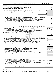| Form 990 (2020) |  |
|-----------------|--|
|-----------------|--|

#### Form 990 (2020) WORLD MEDICAL RELIEF INCORPORATED 38-1575570 <sub>Page</sub>

**Part VI** Governance, Management, and Disclosure For each "Yes" response to lines 2 through 7b below, and for a "No" response *to line 8a, 8b, or 10b below, describe the circumstances, processes, or changes on Schedule O. See instructions.*

|    |                                                                                                                                                  |          |                 |                         | $\boxed{\textbf{X}}$                               |
|----|--------------------------------------------------------------------------------------------------------------------------------------------------|----------|-----------------|-------------------------|----------------------------------------------------|
|    | <b>Section A. Governing Body and Management</b>                                                                                                  |          |                 |                         |                                                    |
|    |                                                                                                                                                  |          |                 | Yes                     | No                                                 |
|    | 1a Enter the number of voting members of the governing body at the end of the tax year                                                           | 14<br>1a |                 |                         |                                                    |
|    | If there are material differences in voting rights among members of the governing body, or if the governing                                      |          |                 |                         |                                                    |
|    | body delegated broad authority to an executive committee or similar committee, explain on Schedule O.                                            |          |                 |                         |                                                    |
|    | <b>b</b> Enter the number of voting members included on line 1a, above, who are independent                                                      | 14<br>1b |                 |                         |                                                    |
| 2  | Did any officer, director, trustee, or key employee have a family relationship or a business relationship with any other                         |          |                 |                         |                                                    |
|    |                                                                                                                                                  |          | 2               |                         | x                                                  |
| 3  | Did the organization delegate control over management duties customarily performed by or under the direct supervision                            |          |                 |                         |                                                    |
|    |                                                                                                                                                  |          | 3               |                         | х<br>$\overline{\textbf{x}}$                       |
| 4  | Did the organization make any significant changes to its governing documents since the prior Form 990 was filed?                                 |          | 4               |                         |                                                    |
| 5  |                                                                                                                                                  |          | 5               |                         | $\overline{\textbf{x}}$<br>$\overline{\texttt{x}}$ |
| 6  |                                                                                                                                                  |          | 6               |                         |                                                    |
| 7a | Did the organization have members, stockholders, or other persons who had the power to elect or appoint one or                                   |          |                 |                         |                                                    |
|    |                                                                                                                                                  |          | 7a              |                         | х                                                  |
|    | <b>b</b> Are any governance decisions of the organization reserved to (or subject to approval by) members, stockholders, or                      |          |                 |                         |                                                    |
|    | persons other than the governing body?                                                                                                           |          | 7b              |                         | x                                                  |
| 8  | Did the organization contemporaneously document the meetings held or written actions undertaken during the year by the following:                |          |                 |                         |                                                    |
|    |                                                                                                                                                  |          | 8a              | х                       |                                                    |
|    |                                                                                                                                                  |          | 8b              |                         |                                                    |
| 9  | Is there any officer, director, trustee, or key employee listed in Part VII, Section A, who cannot be reached at the                             |          |                 |                         |                                                    |
|    |                                                                                                                                                  |          | 9               |                         |                                                    |
|    | Section B. Policies (This Section B requests information about policies not required by the Internal Revenue Code.)                              |          |                 |                         |                                                    |
|    |                                                                                                                                                  |          |                 | Yes                     |                                                    |
|    |                                                                                                                                                  |          | 10a             |                         |                                                    |
|    | <b>b</b> If "Yes," did the organization have written policies and procedures governing the activities of such chapters, affiliates,              |          |                 |                         |                                                    |
|    | and branches to ensure their operations are consistent with the organization's exempt purposes? www.communition                                  |          | 10 <sub>b</sub> |                         |                                                    |
|    | 11a Has the organization provided a complete copy of this Form 990 to all members of its governing body before filing the form?                  |          | 11a             | X                       |                                                    |
|    | <b>b</b> Describe in Schedule O the process, if any, used by the organization to review this Form 990.                                           |          |                 |                         |                                                    |
|    |                                                                                                                                                  |          | 12a             | х                       |                                                    |
|    |                                                                                                                                                  |          | 12 <sub>b</sub> | $\overline{\textbf{x}}$ |                                                    |
| b  | c Did the organization regularly and consistently monitor and enforce compliance with the policy? If "Yes," describe                             |          |                 |                         |                                                    |
|    |                                                                                                                                                  |          |                 | X                       |                                                    |
|    | in Schedule O how this was done manufactured and continuum and contact the was done manufactured and contact t                                   |          | 12c             | $\overline{\textbf{x}}$ |                                                    |
| 13 |                                                                                                                                                  |          | 13              | $\overline{\textbf{x}}$ |                                                    |
| 14 | Did the organization have a written document retention and destruction policy? [11] manufaction manufaction in                                   |          | 14              |                         |                                                    |
| 15 | Did the process for determining compensation of the following persons include a review and approval by independent                               |          |                 |                         |                                                    |
|    | persons, comparability data, and contemporaneous substantiation of the deliberation and decision?                                                |          |                 |                         |                                                    |
|    |                                                                                                                                                  |          | 15a             | х                       |                                                    |
|    |                                                                                                                                                  |          | 15b             |                         |                                                    |
|    |                                                                                                                                                  |          |                 |                         |                                                    |
|    | If "Yes" to line 15a or 15b, describe the process in Schedule O (see instructions).                                                              |          |                 |                         |                                                    |
|    | 16a Did the organization invest in, contribute assets to, or participate in a joint venture or similar arrangement with a                        |          |                 |                         |                                                    |
|    | taxable entity during the year?                                                                                                                  |          | 16a             |                         |                                                    |
|    | b If "Yes," did the organization follow a written policy or procedure requiring the organization to evaluate its participation                   |          |                 |                         |                                                    |
|    | in joint venture arrangements under applicable federal tax law, and take steps to safeguard the organization's                                   |          |                 |                         |                                                    |
|    | exempt status with respect to such arrangements?                                                                                                 |          | 16b             |                         |                                                    |
|    | <b>Section C. Disclosure</b>                                                                                                                     |          |                 |                         |                                                    |
| 17 | List the states with which a copy of this Form 990 is required to be filed $\blacktriangleright\text{MI}$                                        |          |                 |                         |                                                    |
| 18 | Section 6104 requires an organization to make its Forms 1023 (1024 or 1024-A, if applicable), 990, and 990-T (Section 501(c)(3)s only) available |          |                 |                         |                                                    |
|    | for public inspection. Indicate how you made these available. Check all that apply.                                                              |          |                 |                         |                                                    |
|    | $\lfloor x \rfloor$ Upon request<br>  X   Own website<br>Another's website<br>Other (explain on Schedule O)                                      |          |                 |                         |                                                    |
| 19 | Describe on Schedule O whether (and if so, how) the organization made its governing documents, conflict of interest policy, and financial        |          |                 |                         |                                                    |
|    | statements available to the public during the tax year.                                                                                          |          |                 |                         |                                                    |
| 20 |                                                                                                                                                  |          |                 |                         |                                                    |
|    | State the name, address, and telephone number of the person who possesses the organization's books and records                                   |          |                 |                         |                                                    |
|    | DAVID BAZZY - (586) 248-1520                                                                                                                     |          |                 |                         |                                                    |
|    | 21725 MELROSE AVE., SOUTHFIELD, MI<br>48075<br>032006 12-23-20                                                                                   |          |                 | Form 990 (2020)         |                                                    |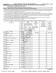$\Box$ 

| Part VII Compensation of Officers, Directors, Trustees, Key Employees, Highest Compensated |  |  |  |  |
|--------------------------------------------------------------------------------------------|--|--|--|--|
| <b>Employees, and Independent Contractors</b>                                              |  |  |  |  |

Check if Schedule O contains a response or note to any line in this Part VII

**Section A. Officers, Directors, Trustees, Key Employees, and Highest Compensated Employees**

**1a**  Complete this table for all persons required to be listed. Report compensation for the calendar year ending with or within the organization's tax year.  $\bullet$  List all of the organization's current officers, directors, trustees (whether individuals or organizations), regardless of amount of compensation.

Enter -0- in columns (D), (E), and (F) if no compensation was paid.

**•** List all of the organization's current key employees, if any. See instructions for definition of "key employee."

• List the organization's five *current* highest compensated employees (other than an officer, director, trustee, or key employee) who received reportable compensation (Box 5 of Form W-2 and/or Box 7 of Form 1099-MISC) of more than \$100,000 from the organization and any related organizations.

 $\bullet$  List all of the organization's former officers, key employees, and highest compensated employees who received more than \$100,000 of reportable compensation from the organization and any related organizations.

**•** List all of the organization's former directors or trustees that received, in the capacity as a former director or trustee of the organization, more than \$10,000 of reportable compensation from the organization and any related organizations.

See instructions for the order in which to list the persons above.

Check this box if neither the organization nor any related organization compensated any current officer, director, or trustee.  $\Box$ 

| (A)                              | (B)                  |                                         |                       | (C)                                                              |              |                                  |        | (D)                             | (E)             | (F)                      |
|----------------------------------|----------------------|-----------------------------------------|-----------------------|------------------------------------------------------------------|--------------|----------------------------------|--------|---------------------------------|-----------------|--------------------------|
| Name and title                   | Average              | Position<br>(do not check more than one |                       |                                                                  |              |                                  |        | Reportable                      | Reportable      | Estimated                |
|                                  | hours per            |                                         |                       | box, unless person is both an<br>officer and a director/trustee) |              |                                  |        | compensation                    | compensation    | amount of                |
|                                  | week                 |                                         |                       |                                                                  |              |                                  |        | from                            | from related    | other                    |
|                                  | (list any            |                                         |                       |                                                                  |              |                                  |        | the                             | organizations   | compensation             |
|                                  | hours for<br>related |                                         |                       |                                                                  |              |                                  |        | organization<br>(W-2/1099-MISC) | (W-2/1099-MISC) | from the<br>organization |
|                                  | organizations        |                                         |                       |                                                                  |              |                                  |        |                                 |                 | and related              |
|                                  | below                |                                         |                       |                                                                  |              |                                  |        |                                 |                 | organizations            |
|                                  | line)                | Individual trustee or director          | Institutional trustee | Officer                                                          | Key employee | Highest compensated<br> employee | Former |                                 |                 |                          |
| GEORGE V. SAMSON<br>(1)          | 40.00                |                                         |                       |                                                                  |              |                                  |        |                                 |                 |                          |
| PRESIDENT/CEO                    | 0.10                 |                                         |                       | $\mathbf X$                                                      |              |                                  |        | 94,067.                         | $\mathbf 0$ .   | 24,722.                  |
| REBECCA M. TUNGOL<br>(2)         | 0.58                 |                                         |                       |                                                                  |              |                                  |        |                                 |                 |                          |
| <b>TREASURER</b>                 | 0.10                 | $\mathbf X$                             |                       | $\mathbf X$                                                      |              |                                  |        | 0.                              | $\mathbf 0$ .   | 0.                       |
| (3)<br>MIKE M. BAYDOUN           | 1.92                 |                                         |                       |                                                                  |              |                                  |        |                                 |                 |                          |
| CHAIR                            | 0.10                 | X                                       |                       | Χ                                                                |              |                                  |        | $\mathbf 0$ .                   | 0.              | 0.                       |
| (4)<br>ERNESTINA DELOSSANTOS MAC | 0.58                 |                                         |                       |                                                                  |              |                                  |        |                                 |                 |                          |
| <b>DIRECTOR</b>                  |                      | X                                       |                       |                                                                  |              |                                  |        | $\mathbf 0$ .                   | $\mathbf 0$ .   | $\mathbf 0$ .            |
| (5) MICHAEL P. SKINNER           | 0.58                 |                                         |                       |                                                                  |              |                                  |        |                                 |                 |                          |
| <b>DIRECTOR</b>                  |                      | X                                       |                       |                                                                  |              |                                  |        | $\mathbf 0$                     | $\mathbf 0$ .   | $\mathbf 0$ .            |
| (6)<br>BARIMA OPONG-OWUSU        | 0.58                 |                                         |                       |                                                                  |              |                                  |        |                                 |                 |                          |
| <b>DIRECTOR</b>                  |                      | X                                       |                       |                                                                  |              |                                  |        | $\mathbf 0$                     | $\mathbf 0$ .   | 0.                       |
| <b>BARBARA GATES</b><br>(7)      | 0.58                 |                                         |                       |                                                                  |              |                                  |        |                                 |                 |                          |
| <b>DIRECTOR</b>                  |                      | $\mathbf X$                             |                       |                                                                  |              |                                  |        | $\mathbf 0$ .                   | $\mathbf 0$ .   | $\mathbf 0$ .            |
| <b>GUY SOHOU</b><br>(8)          | 0.58                 |                                         |                       |                                                                  |              |                                  |        |                                 |                 |                          |
| <b>SECRETARY</b>                 | 0.10                 | X                                       |                       | X                                                                |              |                                  |        | $\mathbf 0$ .                   | $\mathbf 0$ .   | $\mathbf 0$ .            |
| <b>BRUCE CARR</b><br>(9)         | 0.58                 |                                         |                       |                                                                  |              |                                  |        |                                 |                 |                          |
| <b>DIRECTOR</b>                  |                      | $\mathbf X$                             |                       |                                                                  |              |                                  |        | $\mathbf{0}$ .                  | $\mathbf 0$ .   | $\mathbf 0$ .            |
| (10) NIDHAL GARMO                | 0.58                 |                                         |                       |                                                                  |              |                                  |        |                                 |                 |                          |
| VICE-CHAIR                       | 0.10                 | X                                       |                       | $\mathbf X$                                                      |              |                                  |        | 0.                              | $\mathbf 0$ .   | $\mathbf 0$ .            |
| (11) THOMAS KOMJATHY             | 0.58                 |                                         |                       |                                                                  |              |                                  |        |                                 |                 |                          |
| <b>DIRECTOR</b>                  |                      | $\mathbf X$                             |                       |                                                                  |              |                                  |        | $\mathbf 0$                     | $\mathbf 0$     | $\mathbf 0$ .            |
| (12) KRISTI CRAWFORD             | 0.58                 |                                         |                       |                                                                  |              |                                  |        |                                 |                 |                          |
| <b>DIRECTOR</b>                  |                      | X                                       |                       |                                                                  |              |                                  |        | $\mathbf 0$                     | $\mathbf 0$ .   | 0.                       |
| (13) WALLY JADAN                 | 0.58                 |                                         |                       |                                                                  |              |                                  |        |                                 |                 |                          |
| <b>DIRECTOR</b>                  |                      | X                                       |                       |                                                                  |              |                                  |        | $\mathbf 0$                     | $\mathbf 0$ .   | $\mathbf 0$ .            |
| (14) FRANK JULIAN                | 0.58                 |                                         |                       |                                                                  |              |                                  |        |                                 |                 |                          |
| <b>DIRECTOR</b>                  |                      | $\mathbf X$                             |                       |                                                                  |              |                                  |        | 0.                              | $\mathbf 0$ .   | $\mathbf 0$ .            |
| (15) NED FAWAZ                   | 0.58                 |                                         |                       |                                                                  |              |                                  |        |                                 |                 |                          |
| <b>DIRECTOR</b>                  |                      | X                                       |                       |                                                                  |              |                                  |        | $\mathbf 0$                     | 0.              | $\mathbf 0$ .            |
| (16) BRADLEY WASSERMAN           | 0.58                 |                                         |                       |                                                                  |              |                                  |        |                                 |                 |                          |
| <b>DIRECTOR</b>                  |                      | X                                       |                       |                                                                  |              |                                  |        | $\mathbf{0}$ .                  | $\mathbf 0$ .   | $\mathbf 0$ .            |
| (17) AL ROMERO                   | 0.58                 |                                         |                       |                                                                  |              |                                  |        |                                 |                 |                          |
| <b>DIRECTOR</b>                  |                      | $\mathbf X$                             |                       |                                                                  |              |                                  |        | 0.                              | $\mathbf 0$ .   | $0$ .                    |
| 032007 12-23-20                  |                      |                                         |                       |                                                                  |              |                                  |        |                                 |                 | Form 990 (2020)          |

7

15351106 748923 WMR 2020.04011 WORLD MEDICAL RELIEF INCORP WMR\_\_\_\_1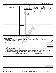|   | Form 990 (2020)                                                                                                                                                                                                                                                    | WORLD MEDICAL RELIEF INCORPORATED          |                                                               |                                                                                                                                                                                        |             |              |                                   |        |                                                                                       |                                                                                                        | 38-1575570   |                                                    |                                              |     | Page 8                       |
|---|--------------------------------------------------------------------------------------------------------------------------------------------------------------------------------------------------------------------------------------------------------------------|--------------------------------------------|---------------------------------------------------------------|----------------------------------------------------------------------------------------------------------------------------------------------------------------------------------------|-------------|--------------|-----------------------------------|--------|---------------------------------------------------------------------------------------|--------------------------------------------------------------------------------------------------------|--------------|----------------------------------------------------|----------------------------------------------|-----|------------------------------|
|   | <b>Part VII</b>                                                                                                                                                                                                                                                    |                                            |                                                               |                                                                                                                                                                                        |             |              |                                   |        |                                                                                       | Section A. Officers, Directors, Trustees, Key Employees, and Highest Compensated Employees (continued) |              |                                                    |                                              |     |                              |
|   | (A)<br>Name and title                                                                                                                                                                                                                                              |                                            | (B)<br>Average<br>hours per<br>week<br>(list any<br>hours for | (C)<br>(D)<br>Position<br>Reportable<br>(do not check more than one<br>compensation<br>box, unless person is both an<br>officer and a director/trustee)<br>from<br>the<br>organization |             |              |                                   |        | (E)<br>Reportable<br>compensation<br>from related<br>organizations<br>(W-2/1099-MISC) |                                                                                                        | compensation | (F)<br>Estimated<br>amount of<br>other<br>from the |                                              |     |                              |
|   |                                                                                                                                                                                                                                                                    | related<br>organizations<br>below<br>line) | Individual trustee or director                                | Institutional trustee                                                                                                                                                                  | Officer     | Key employee | Highest compensated<br>  employee | Former | (W-2/1099-MISC)                                                                       |                                                                                                        |              |                                                    | organization<br>and related<br>organizations |     |                              |
|   |                                                                                                                                                                                                                                                                    |                                            |                                                               |                                                                                                                                                                                        |             |              |                                   |        |                                                                                       |                                                                                                        |              |                                                    |                                              |     |                              |
|   |                                                                                                                                                                                                                                                                    |                                            |                                                               |                                                                                                                                                                                        |             |              |                                   |        |                                                                                       |                                                                                                        |              |                                                    |                                              |     |                              |
|   |                                                                                                                                                                                                                                                                    |                                            |                                                               |                                                                                                                                                                                        |             |              |                                   |        |                                                                                       |                                                                                                        |              |                                                    |                                              |     |                              |
|   |                                                                                                                                                                                                                                                                    |                                            |                                                               |                                                                                                                                                                                        |             |              |                                   |        |                                                                                       |                                                                                                        |              |                                                    |                                              |     |                              |
|   | 1b Subtotal                                                                                                                                                                                                                                                        |                                            |                                                               |                                                                                                                                                                                        |             |              |                                   |        |                                                                                       | 94,067.                                                                                                |              | $\overline{0}$ .                                   |                                              |     | 24, 722.                     |
|   |                                                                                                                                                                                                                                                                    |                                            |                                                               |                                                                                                                                                                                        |             |              |                                   |        |                                                                                       | 0.<br>94,067.                                                                                          |              | σ.<br>σ.                                           |                                              |     | $\overline{0}$ .<br>24, 722. |
| 2 | Total number of individuals (including but not limited to those listed above) who received more than \$100,000 of reportable<br>compensation from the organization $\blacktriangleright$                                                                           |                                            |                                                               |                                                                                                                                                                                        |             |              |                                   |        |                                                                                       |                                                                                                        |              |                                                    |                                              |     | 0                            |
|   |                                                                                                                                                                                                                                                                    |                                            |                                                               |                                                                                                                                                                                        |             |              |                                   |        |                                                                                       |                                                                                                        |              |                                                    |                                              | Yes | No                           |
| 3 | Did the organization list any former officer, director, trustee, key employee, or highest compensated employee on<br>line 1a? If "Yes," complete Schedule J for such individual [11] manufacture manufacture 1a? If "Yes," complete Schedule J for such individual |                                            |                                                               |                                                                                                                                                                                        |             |              |                                   |        |                                                                                       |                                                                                                        |              |                                                    | 3                                            |     | x                            |
|   | For any individual listed on line 1a, is the sum of reportable compensation and other compensation from the organization<br>and related organizations greater than \$150,000? If "Yes," complete Schedule J for such individual                                    |                                            |                                                               |                                                                                                                                                                                        |             |              |                                   |        |                                                                                       |                                                                                                        |              |                                                    | 4                                            |     | x                            |
| 5 | Did any person listed on line 1a receive or accrue compensation from any unrelated organization or individual for services<br>rendered to the organization? If "Yes," complete Schedule J for such person.<br><b>Section B. Independent Contractors</b>            |                                            |                                                               |                                                                                                                                                                                        |             |              |                                   |        |                                                                                       |                                                                                                        |              |                                                    | 5                                            |     | x                            |
| 1 | Complete this table for your five highest compensated independent contractors that received more than \$100,000 of compensation from                                                                                                                               |                                            |                                                               |                                                                                                                                                                                        |             |              |                                   |        |                                                                                       |                                                                                                        |              |                                                    |                                              |     |                              |
|   | the organization. Report compensation for the calendar year ending with or within the organization's tax year.                                                                                                                                                     |                                            |                                                               |                                                                                                                                                                                        |             |              |                                   |        |                                                                                       |                                                                                                        |              |                                                    |                                              |     |                              |
|   |                                                                                                                                                                                                                                                                    | (A)<br>Name and business address           |                                                               |                                                                                                                                                                                        | <b>NONE</b> |              |                                   |        |                                                                                       | (B)<br>Description of services                                                                         |              |                                                    | (C)<br>Compensation                          |     |                              |
|   |                                                                                                                                                                                                                                                                    |                                            |                                                               |                                                                                                                                                                                        |             |              |                                   |        |                                                                                       |                                                                                                        |              |                                                    |                                              |     |                              |
|   |                                                                                                                                                                                                                                                                    |                                            |                                                               |                                                                                                                                                                                        |             |              |                                   |        |                                                                                       |                                                                                                        |              |                                                    |                                              |     |                              |
|   |                                                                                                                                                                                                                                                                    |                                            |                                                               |                                                                                                                                                                                        |             |              |                                   |        |                                                                                       |                                                                                                        |              |                                                    |                                              |     |                              |
|   |                                                                                                                                                                                                                                                                    |                                            |                                                               |                                                                                                                                                                                        |             |              |                                   |        |                                                                                       |                                                                                                        |              |                                                    |                                              |     |                              |
| 2 | Total number of independent contractors (including but not limited to those listed above) who received more than<br>\$100,000 of compensation from the organization                                                                                                |                                            |                                                               |                                                                                                                                                                                        |             |              | 0                                 |        |                                                                                       |                                                                                                        |              |                                                    |                                              |     |                              |
|   |                                                                                                                                                                                                                                                                    |                                            |                                                               |                                                                                                                                                                                        |             |              |                                   |        |                                                                                       |                                                                                                        |              |                                                    | Form 990 (2020)                              |     |                              |

032008 12-23-20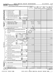|                                                           |              |                                                       |                                                 |                |                      | (A)           | (B)                               | (C)       | (D)                                  |
|-----------------------------------------------------------|--------------|-------------------------------------------------------|-------------------------------------------------|----------------|----------------------|---------------|-----------------------------------|-----------|--------------------------------------|
|                                                           |              |                                                       |                                                 |                |                      | Total revenue | Related or exempt                 | Unrelated | Revenue excluded                     |
|                                                           |              |                                                       |                                                 |                |                      |               | function revenue business revenue |           | from tax under<br>sections 512 - 514 |
|                                                           |              | 1 a Federated campaigns                               | 1a                                              |                |                      |               |                                   |           |                                      |
| Contributions, Gifts, Grants<br>and Other Similar Amounts |              | <b>b</b> Membership dues                              | 1 <sub>b</sub>                                  |                |                      |               |                                   |           |                                      |
|                                                           |              |                                                       | $\ldots \ldots \ldots \ldots$<br>1 <sub>c</sub> |                |                      |               |                                   |           |                                      |
|                                                           |              | c Fundraising events                                  |                                                 |                |                      |               |                                   |           |                                      |
|                                                           |              | d Related organizations                               | 1 <sub>d</sub>                                  |                |                      |               |                                   |           |                                      |
|                                                           |              | e Government grants (contributions)                   | 1e                                              |                | 198,416.             |               |                                   |           |                                      |
|                                                           |              | f All other contributions, gifts, grants, and         |                                                 |                |                      |               |                                   |           |                                      |
|                                                           |              | similar amounts not included above                    | 1f                                              |                | 33, 334, 903.        |               |                                   |           |                                      |
|                                                           |              | g Noncash contributions included in lines 1a-1f       | 1g                                              |                | 32,984,640.          |               |                                   |           |                                      |
|                                                           |              |                                                       |                                                 |                |                      | 33, 533, 319. |                                   |           |                                      |
|                                                           |              |                                                       |                                                 |                | <b>Business Code</b> |               |                                   |           |                                      |
|                                                           | 2а           | HANDLING SERV CHARGE                                  | 624200                                          | 596,673.       | 596,673.             |               |                                   |           |                                      |
|                                                           | b            | PRESCRIPTION SVC CHARGE                               | 624200                                          | 66,997.        | 66,997.              |               |                                   |           |                                      |
|                                                           | <sub>c</sub> | DURABLE MED EQUIP SERV                                |                                                 |                | 624200               | 15,692.       | 15,692.                           |           |                                      |
| Program Service<br>Revenue                                | d            |                                                       |                                                 |                |                      |               |                                   |           |                                      |
|                                                           | e            |                                                       |                                                 |                |                      |               |                                   |           |                                      |
|                                                           | f            | All other program service revenue                     |                                                 |                |                      |               |                                   |           |                                      |
|                                                           | a            |                                                       |                                                 |                |                      | 679, 362.     |                                   |           |                                      |
|                                                           | 3            | Investment income (including dividends, interest, and |                                                 |                |                      |               |                                   |           |                                      |
|                                                           |              |                                                       |                                                 |                |                      | 7,241         |                                   |           | 7,241.                               |
|                                                           | 4            | Income from investment of tax-exempt bond proceeds    |                                                 |                |                      |               |                                   |           |                                      |
|                                                           | 5            |                                                       |                                                 |                |                      |               |                                   |           |                                      |
|                                                           |              |                                                       | (i) Real                                        |                | (ii) Personal        |               |                                   |           |                                      |
|                                                           |              |                                                       |                                                 | 5,624.         |                      |               |                                   |           |                                      |
|                                                           |              | 6 a Gross rents<br>.                                  | 6a                                              | $\mathbf{0}$ . |                      |               |                                   |           |                                      |
|                                                           |              | <b>b</b> Less: rental expenses $\ldots$               | 6 <sub>b</sub>                                  |                |                      |               |                                   |           |                                      |
|                                                           | c            | Rental income or (loss)                               | 6c                                              | 5,624.         |                      |               |                                   |           |                                      |
|                                                           |              | d Net rental income or (loss)                         |                                                 |                |                      | 5,624.        |                                   |           | 5,624.                               |
|                                                           |              | 7 a Gross amount from sales of                        | (i) Securities                                  |                | (ii) Other           |               |                                   |           |                                      |
|                                                           |              | assets other than inventory                           | 7а                                              | 8,149.         |                      |               |                                   |           |                                      |
|                                                           |              | <b>b</b> Less: cost or other basis                    |                                                 |                |                      |               |                                   |           |                                      |
| ther Revenue                                              |              | and sales expenses                                    | 7b                                              | 0.             |                      |               |                                   |           |                                      |
|                                                           |              | c Gain or (loss)                                      | $\overline{7c}$                                 | 8,149.         |                      |               |                                   |           |                                      |
|                                                           |              |                                                       |                                                 |                | ▶                    | 8,149.        |                                   |           | 8,149.                               |
|                                                           |              | 8 a Gross income from fundraising events (not         |                                                 |                |                      |               |                                   |           |                                      |
| Ò                                                         |              | including \$                                          | оf                                              |                |                      |               |                                   |           |                                      |
|                                                           |              | contributions reported on line 1c). See               |                                                 |                |                      |               |                                   |           |                                      |
|                                                           |              |                                                       |                                                 | 8a             | 47,276.              |               |                                   |           |                                      |
|                                                           |              | <b>b</b> Less: direct expenses                        |                                                 | l 8b           | 9,565.               |               |                                   |           |                                      |
|                                                           |              | c Net income or (loss) from fundraising events        |                                                 |                | ▶                    | 37,711.       |                                   |           | 37,711.                              |
|                                                           |              | 9 a Gross income from gaming activities. See          |                                                 |                |                      |               |                                   |           |                                      |
|                                                           |              |                                                       |                                                 | l9a            |                      |               |                                   |           |                                      |
|                                                           |              |                                                       |                                                 | 9 <sub>b</sub> |                      |               |                                   |           |                                      |
|                                                           |              | c Net income or (loss) from gaming activities         |                                                 |                | ▶                    |               |                                   |           |                                      |
|                                                           |              |                                                       |                                                 |                |                      |               |                                   |           |                                      |
|                                                           |              | 10 a Gross sales of inventory, less returns           |                                                 |                |                      |               |                                   |           |                                      |
|                                                           |              |                                                       |                                                 | 10a            |                      |               |                                   |           |                                      |
|                                                           |              | <b>b</b> Less: cost of goods sold                     |                                                 | 10b            |                      |               |                                   |           |                                      |
|                                                           |              | c Net income or (loss) from sales of inventory        |                                                 |                |                      |               |                                   |           |                                      |
|                                                           |              |                                                       |                                                 |                | <b>Business Code</b> |               |                                   |           |                                      |
|                                                           | 11 a         | OTHER REVENUE                                         |                                                 |                | 900099               | 2,081.        |                                   |           | 2,081.                               |
|                                                           | b            |                                                       |                                                 |                |                      |               |                                   |           |                                      |
| Miscellaneous<br>Revenue                                  | c            |                                                       |                                                 |                |                      |               |                                   |           |                                      |
|                                                           |              |                                                       |                                                 |                |                      |               |                                   |           |                                      |
|                                                           |              |                                                       |                                                 |                |                      | 2,081.        |                                   |           |                                      |
|                                                           | 12           |                                                       |                                                 |                |                      | 34, 273, 487. | 679,362.                          | 0.        | 60,806.                              |

032009 12-23-20

Form (2020) **990**

| orm 990 (2020) |                                | <b>WORLD</b> M |  |
|----------------|--------------------------------|----------------|--|
|                | Part VIII Statement of Revenue |                |  |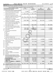Form 990 (2020) WORLD MEDICAL RELIEF INCORPORATED 38-1575570 <sub>Page</sub> **Part IX Statement of Functional Expenses**

38-1575570 Page 10

|                                                                              | Section 501(c)(3) and 501(c)(4) organizations must complete all columns. All other organizations must complete column (A).                               |                       |                                    |                                           |                                |  |  |  |  |  |
|------------------------------------------------------------------------------|----------------------------------------------------------------------------------------------------------------------------------------------------------|-----------------------|------------------------------------|-------------------------------------------|--------------------------------|--|--|--|--|--|
| Check if Schedule O contains a response or note to any line in this Part IX. |                                                                                                                                                          |                       |                                    |                                           |                                |  |  |  |  |  |
|                                                                              | Do not include amounts reported on lines 6b,<br>7b, 8b, 9b, and 10b of Part VIII.                                                                        | (A)<br>Total expenses | (B)<br>Program service<br>expenses | (C)<br>Management and<br>general expenses | (D)<br>Fundraising<br>expenses |  |  |  |  |  |
| 1.                                                                           | Grants and other assistance to domestic organizations                                                                                                    |                       |                                    |                                           |                                |  |  |  |  |  |
|                                                                              | and domestic governments. See Part IV, line 21                                                                                                           | 1,000.                | 1,000.                             |                                           |                                |  |  |  |  |  |
| $\mathbf{2}$                                                                 | Grants and other assistance to domestic                                                                                                                  |                       |                                    |                                           |                                |  |  |  |  |  |
|                                                                              | individuals. See Part IV, line 22                                                                                                                        | 2,362,525.            | 2,362,525.                         |                                           |                                |  |  |  |  |  |
| 3                                                                            | Grants and other assistance to foreign                                                                                                                   |                       |                                    |                                           |                                |  |  |  |  |  |
|                                                                              | organizations, foreign governments, and foreign                                                                                                          |                       |                                    |                                           |                                |  |  |  |  |  |
|                                                                              | individuals. See Part IV, lines 15 and 16                                                                                                                |                       | 30,704,378. 30,704,378.            |                                           |                                |  |  |  |  |  |
| 4                                                                            | Benefits paid to or for members                                                                                                                          |                       |                                    |                                           |                                |  |  |  |  |  |
| 5                                                                            | Compensation of current officers, directors,                                                                                                             |                       |                                    |                                           |                                |  |  |  |  |  |
|                                                                              | trustees, and key employees                                                                                                                              | 118,788.              | 84,526.                            | 28,323.                                   | 5,939.                         |  |  |  |  |  |
| 6                                                                            | Compensation not included above to disqualified                                                                                                          |                       |                                    |                                           |                                |  |  |  |  |  |
|                                                                              | persons (as defined under section 4958(f)(1)) and                                                                                                        |                       |                                    |                                           |                                |  |  |  |  |  |
|                                                                              | persons described in section 4958(c)(3)(B)                                                                                                               |                       |                                    |                                           |                                |  |  |  |  |  |
| 7                                                                            | Other salaries and wages                                                                                                                                 | 532,044.              | 452, 259.                          | 33,460.                                   | 46,325.                        |  |  |  |  |  |
| 8                                                                            | Pension plan accruals and contributions (include                                                                                                         |                       |                                    |                                           |                                |  |  |  |  |  |
|                                                                              | section 401(k) and 403(b) employer contributions)                                                                                                        |                       |                                    |                                           |                                |  |  |  |  |  |
| 9                                                                            | Other employee benefits                                                                                                                                  | 28, 102.              | 25,033.                            |                                           | $\frac{3,069}{3,520}$ .        |  |  |  |  |  |
| 10                                                                           |                                                                                                                                                          | 43,188.               | 35,738.                            | 3,930.                                    |                                |  |  |  |  |  |
| 11                                                                           | Fees for services (nonemployees):                                                                                                                        |                       |                                    |                                           |                                |  |  |  |  |  |
|                                                                              |                                                                                                                                                          |                       |                                    |                                           |                                |  |  |  |  |  |
|                                                                              |                                                                                                                                                          |                       |                                    |                                           |                                |  |  |  |  |  |
|                                                                              |                                                                                                                                                          |                       |                                    |                                           |                                |  |  |  |  |  |
|                                                                              |                                                                                                                                                          |                       |                                    |                                           |                                |  |  |  |  |  |
|                                                                              | e Professional fundraising services. See Part IV, line 17                                                                                                |                       |                                    |                                           |                                |  |  |  |  |  |
|                                                                              | Investment management fees                                                                                                                               |                       |                                    |                                           |                                |  |  |  |  |  |
|                                                                              | g Other. (If line 11g amount exceeds 10% of line 25,                                                                                                     |                       |                                    |                                           |                                |  |  |  |  |  |
|                                                                              | column (A) amount, list line 11g expenses on Sch O.)                                                                                                     | 133,366.              | 116,331.                           | 8,986.                                    | 8,049.                         |  |  |  |  |  |
| 12                                                                           |                                                                                                                                                          | 68,052.               | 57,118.                            | 5,478.                                    | 5,456.                         |  |  |  |  |  |
| 13                                                                           |                                                                                                                                                          |                       |                                    |                                           |                                |  |  |  |  |  |
| 14                                                                           |                                                                                                                                                          |                       |                                    |                                           |                                |  |  |  |  |  |
| 15                                                                           |                                                                                                                                                          | 53,480.               | 48, 132.                           | 3,209.                                    | 2,139.                         |  |  |  |  |  |
| 16                                                                           |                                                                                                                                                          |                       |                                    |                                           |                                |  |  |  |  |  |
| 17<br>18                                                                     |                                                                                                                                                          |                       |                                    |                                           |                                |  |  |  |  |  |
|                                                                              | Payments of travel or entertainment expenses<br>for any federal, state, or local public officials                                                        |                       |                                    |                                           |                                |  |  |  |  |  |
| 19                                                                           | Conferences, conventions, and meetings                                                                                                                   | 3,463.                | 2,866.                             | 315.                                      | 282.                           |  |  |  |  |  |
| 20                                                                           | Interest                                                                                                                                                 | 6, 268.               | 5,642.                             | 376.                                      | 250.                           |  |  |  |  |  |
| 21                                                                           |                                                                                                                                                          |                       |                                    |                                           |                                |  |  |  |  |  |
| 22                                                                           | Depreciation, depletion, and amortization                                                                                                                | 25,522.               | 22,969.                            | 1,532.                                    | 1,021.                         |  |  |  |  |  |
| 23                                                                           | Insurance                                                                                                                                                | 40, 229.              | 36, 206.                           | 2,012.                                    | 2,011.                         |  |  |  |  |  |
| 24                                                                           | Other expenses. Itemize expenses not covered<br>above (List miscellaneous expenses on line 24e. If<br>line 24e amount exceeds 10% of line 25, column (A) |                       |                                    |                                           |                                |  |  |  |  |  |
|                                                                              | amount, list line 24e expenses on Schedule O.)<br>MAINTENANCE                                                                                            | 63, 196.              |                                    | 3,792.                                    | 2,528.                         |  |  |  |  |  |
| a                                                                            |                                                                                                                                                          |                       | 56,876.                            |                                           |                                |  |  |  |  |  |
|                                                                              | PROGRAM SUPPLIES                                                                                                                                         | 28,192.               | 28, 192.                           |                                           |                                |  |  |  |  |  |
|                                                                              | VEHICLE<br>DUES, LICENSES & PERMITS                                                                                                                      | 15,121.<br>5,451.     | 15,121.<br>4,511.                  | 496.                                      | 444.                           |  |  |  |  |  |
|                                                                              |                                                                                                                                                          |                       |                                    |                                           |                                |  |  |  |  |  |
|                                                                              | e All other expenses                                                                                                                                     | 34, 232, 365.         | 34,059,423.                        | 91,909.                                   | 81,033.                        |  |  |  |  |  |
| 25                                                                           | Total functional expenses. Add lines 1 through 24e                                                                                                       |                       |                                    |                                           |                                |  |  |  |  |  |
| 26                                                                           | Joint costs. Complete this line only if the organization<br>reported in column (B) joint costs from a combined                                           |                       |                                    |                                           |                                |  |  |  |  |  |
|                                                                              | educational campaign and fundraising solicitation.                                                                                                       |                       |                                    |                                           |                                |  |  |  |  |  |
|                                                                              | Check here $\blacktriangleright$<br>if following SOP 98-2 (ASC 958-720)                                                                                  |                       |                                    |                                           |                                |  |  |  |  |  |

032010 12-23-20

10

Form (2020) **990**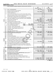**Part X Balance Sheet**

Form 990 (2020) Page WORLD MEDICAL RELIEF INCORPORATED 38-1575570 38-1575570 Page 11

|                             |    |                                                                                                                                               |                 |                           | (A)<br>Beginning of year |                 | (B)<br>End of year         |
|-----------------------------|----|-----------------------------------------------------------------------------------------------------------------------------------------------|-----------------|---------------------------|--------------------------|-----------------|----------------------------|
|                             | 1  |                                                                                                                                               |                 |                           | 34, 276.                 | $\mathbf{1}$    | 119,967.                   |
|                             | 2  |                                                                                                                                               |                 |                           |                          | $\mathbf{2}$    | 26,959.                    |
|                             | з  |                                                                                                                                               |                 |                           | 51,274.                  | 3               | 36, 103.                   |
|                             | 4  |                                                                                                                                               |                 |                           |                          | 4               |                            |
|                             | 5  | Loans and other receivables from any current or former officer, director,                                                                     |                 |                           |                          |                 |                            |
|                             |    | trustee, key employee, creator or founder, substantial contributor, or 35%                                                                    |                 |                           |                          |                 |                            |
|                             |    | controlled entity or family member of any of these persons                                                                                    |                 |                           |                          | 5               |                            |
|                             | 6  | Loans and other receivables from other disqualified persons (as defined                                                                       |                 |                           |                          |                 |                            |
|                             |    | under section 4958(f)(1)), and persons described in section 4958(c)(3)(B)                                                                     |                 | $\ldots$                  | 350.                     | 6               | ο.                         |
|                             | 7  |                                                                                                                                               |                 |                           | 161,806.                 | $\overline{7}$  | 123,450.                   |
| Assets                      | 8  |                                                                                                                                               |                 |                           | 2,326,510.               | 8               | 2, 275, 126.               |
|                             | 9  | Prepaid expenses and deferred charges                                                                                                         |                 |                           | 2,769.                   | 9               | 5,773.                     |
|                             |    | <b>10a</b> Land, buildings, and equipment: cost or other                                                                                      |                 |                           |                          |                 |                            |
|                             |    | basis. Complete Part VI of Schedule D  10a                                                                                                    |                 | $\frac{211,259}{138,954}$ |                          |                 |                            |
|                             |    | <b>b</b> Less: accumulated depreciation                                                                                                       | 10 <sub>b</sub> |                           | 97,827.                  | 10 <sub>c</sub> | 72,305.                    |
|                             | 11 |                                                                                                                                               |                 |                           |                          | 11              |                            |
|                             | 12 |                                                                                                                                               |                 |                           | 63,300.                  | 12              | 64,934.                    |
|                             | 13 |                                                                                                                                               |                 |                           |                          | 13              |                            |
|                             | 14 |                                                                                                                                               |                 |                           |                          | 14              |                            |
|                             | 15 |                                                                                                                                               |                 |                           |                          | 15              |                            |
|                             | 16 |                                                                                                                                               |                 |                           | 2,738,112.               | 16              | 2,724,617.                 |
|                             | 17 |                                                                                                                                               |                 |                           | 88,801.                  | 17              | 104,656.                   |
|                             | 18 |                                                                                                                                               |                 |                           | 18                       |                 |                            |
|                             | 19 |                                                                                                                                               | 129,000.        | 19                        | 127, 239.                |                 |                            |
|                             | 20 |                                                                                                                                               |                 |                           |                          | 20              |                            |
|                             | 21 | Escrow or custodial account liability. Complete Part IV of Schedule D                                                                         |                 |                           |                          | 21              |                            |
|                             | 22 | Loans and other payables to any current or former officer, director,                                                                          |                 |                           |                          |                 |                            |
| Liabilities                 |    | trustee, key employee, creator or founder, substantial contributor, or 35%                                                                    |                 |                           |                          |                 |                            |
|                             |    | controlled entity or family member of any of these persons <b>with all and the controlled</b> entity or family member of any of these persons |                 |                           |                          | 22              |                            |
|                             | 23 | Secured mortgages and notes payable to unrelated third parties                                                                                |                 |                           | 93,624.                  | 23              | 75,564.                    |
|                             | 24 | Unsecured notes and loans payable to unrelated third parties                                                                                  |                 |                           |                          | 24              |                            |
|                             | 25 | Other liabilities (including federal income tax, payables to related third                                                                    |                 |                           |                          |                 |                            |
|                             |    | parties, and other liabilities not included on lines 17-24). Complete Part X                                                                  |                 |                           |                          |                 |                            |
|                             |    | of Schedule D                                                                                                                                 |                 |                           |                          | 25              |                            |
|                             | 26 | Total liabilities. Add lines 17 through 25                                                                                                    |                 |                           | 311, 425.                | 26              | $307,459$ .                |
|                             |    | Organizations that follow FASB ASC 958, check here $\blacktriangleright \lfloor \underline{X} \rfloor$                                        |                 |                           |                          |                 |                            |
|                             |    | and complete lines 27, 28, 32, and 33.                                                                                                        |                 |                           |                          |                 |                            |
|                             | 27 |                                                                                                                                               |                 |                           | 2,358,508.               | 27              | $\frac{2,333,942}{83,216}$ |
|                             | 28 |                                                                                                                                               |                 |                           | 68, 179.                 | 28              |                            |
| Net Assets or Fund Balances |    | Organizations that do not follow FASB ASC 958, check here $\blacktriangleright$                                                               |                 |                           |                          |                 |                            |
|                             |    | and complete lines 29 through 33.                                                                                                             |                 |                           |                          |                 |                            |
|                             | 29 |                                                                                                                                               |                 |                           |                          | 29              |                            |
|                             | 30 | Paid-in or capital surplus, or land, building, or equipment fund                                                                              |                 |                           |                          | 30              |                            |
|                             | 31 | Retained earnings, endowment, accumulated income, or other funds                                                                              |                 |                           |                          | 31              |                            |
|                             | 32 |                                                                                                                                               |                 |                           | 2,426,687.               | 32              | 2,417,158.                 |
|                             | 33 |                                                                                                                                               |                 |                           | 2,738,112.               | 33              | 2,724,617.                 |

Form (2020) **990**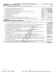|    | WORLD MEDICAL RELIEF INCORPORATED<br>Form 990 (2020)                                                                                                                                                                          |                         | 38-1575570      |         | Page 12            |  |  |
|----|-------------------------------------------------------------------------------------------------------------------------------------------------------------------------------------------------------------------------------|-------------------------|-----------------|---------|--------------------|--|--|
|    | <b>Part XI</b><br><b>Reconciliation of Net Assets</b>                                                                                                                                                                         |                         |                 |         |                    |  |  |
|    |                                                                                                                                                                                                                               |                         |                 |         | $\boxed{\text{X}}$ |  |  |
|    |                                                                                                                                                                                                                               |                         |                 |         |                    |  |  |
| 1  |                                                                                                                                                                                                                               | $\mathbf{1}$            | 34, 273, 487.   |         |                    |  |  |
| 2  |                                                                                                                                                                                                                               | $\overline{2}$          | 34, 232, 365.   | 41,122. |                    |  |  |
| 3  | 3                                                                                                                                                                                                                             |                         |                 |         |                    |  |  |
| 4  |                                                                                                                                                                                                                               | $\overline{\mathbf{4}}$ | 2,426,687.      |         |                    |  |  |
| 5  | Net unrealized gains (losses) on investments [11] matter in the content of the state of the state of the state of the state of the state of the state of the state of the state of the state of the state of the state of the | 5                       |                 | 1,634.  |                    |  |  |
| 6  |                                                                                                                                                                                                                               | 6                       |                 |         |                    |  |  |
| 7  |                                                                                                                                                                                                                               | $\overline{7}$          |                 |         |                    |  |  |
| 8  | Prior period adjustments www.communication.communication.communication.com/                                                                                                                                                   | 8                       |                 |         |                    |  |  |
| 9  | Other changes in net assets or fund balances (explain on Schedule O)                                                                                                                                                          | $\mathbf{q}$            | $-52, 285.$     |         |                    |  |  |
| 10 | Net assets or fund balances at end of year. Combine lines 3 through 9 (must equal Part X, line 32,                                                                                                                            |                         |                 |         |                    |  |  |
|    |                                                                                                                                                                                                                               | 10                      | 2,417,158.      |         |                    |  |  |
|    | <b>Part XII Financial Statements and Reporting</b>                                                                                                                                                                            |                         |                 |         |                    |  |  |
|    |                                                                                                                                                                                                                               |                         |                 |         |                    |  |  |
|    |                                                                                                                                                                                                                               |                         |                 | Yes     | No                 |  |  |
| 1  | $\boxed{\text{X}}$ Accrual<br>Accounting method used to prepare the Form 990: [130] Cash<br>Other                                                                                                                             |                         |                 |         |                    |  |  |
|    | If the organization changed its method of accounting from a prior year or checked "Other," explain in Schedule O.                                                                                                             |                         |                 |         |                    |  |  |
|    |                                                                                                                                                                                                                               |                         | 2a              |         | х                  |  |  |
|    | If "Yes," check a box below to indicate whether the financial statements for the year were compiled or reviewed on a                                                                                                          |                         |                 |         |                    |  |  |
|    | separate basis, consolidated basis, or both:                                                                                                                                                                                  |                         |                 |         |                    |  |  |
|    | Separate basis<br>Consolidated basis<br>Both consolidated and separate basis                                                                                                                                                  |                         |                 |         |                    |  |  |
|    | b Were the organization's financial statements audited by an independent accountant?                                                                                                                                          |                         | 2 <sub>b</sub>  | x       |                    |  |  |
|    | If "Yes," check a box below to indicate whether the financial statements for the year were audited on a separate basis,                                                                                                       |                         |                 |         |                    |  |  |
|    | consolidated basis, or both:                                                                                                                                                                                                  |                         |                 |         |                    |  |  |
|    | $\lfloor x \rfloor$ Separate basis<br>Consolidated basis<br>Both consolidated and separate basis                                                                                                                              |                         |                 |         |                    |  |  |
|    | c If "Yes" to line 2a or 2b, does the organization have a committee that assumes responsibility for oversight of the audit,                                                                                                   |                         |                 |         |                    |  |  |
|    | review, or compilation of its financial statements and selection of an independent accountant?                                                                                                                                |                         | 2c              | X       |                    |  |  |
|    | If the organization changed either its oversight process or selection process during the tax year, explain on Schedule O.                                                                                                     |                         |                 |         |                    |  |  |
|    | 3a As a result of a federal award, was the organization required to undergo an audit or audits as set forth in the Single Audit                                                                                               |                         |                 |         |                    |  |  |
|    |                                                                                                                                                                                                                               |                         | За              |         | x                  |  |  |
|    | b If "Yes," did the organization undergo the required audit or audits? If the organization did not undergo the required audit                                                                                                 |                         |                 |         |                    |  |  |
|    |                                                                                                                                                                                                                               |                         | 3 <sub>b</sub>  |         |                    |  |  |
|    |                                                                                                                                                                                                                               |                         | Form 990 (2020) |         |                    |  |  |

032012 12-23-20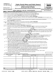| <b>SCHEDULE A</b> |  |
|-------------------|--|
|-------------------|--|

## Form 990 or 990-EZ) **Public Charity Status and Public Support**<br>
Complete if the organization is a section 501(c)(3) organization or a section<br> **2020**

**4947(a)(1) nonexempt charitable trust.**

| OMB No 1545-0047                    |
|-------------------------------------|
| 2020                                |
| <b>Open to Public</b><br>Inspection |

| Department of the Treasury<br>Internal Revenue Service |                 |                                                                                                                                                                                                                                                                                  |  | Attach to Form 990 or Form 990-EZ.<br>Go to www.irs.gov/Form990 for instructions and the latest information. |                                                                                                                                              | <b>Open to Public</b><br>Inspection |                                                                |                            |  |                                       |
|--------------------------------------------------------|-----------------|----------------------------------------------------------------------------------------------------------------------------------------------------------------------------------------------------------------------------------------------------------------------------------|--|--------------------------------------------------------------------------------------------------------------|----------------------------------------------------------------------------------------------------------------------------------------------|-------------------------------------|----------------------------------------------------------------|----------------------------|--|---------------------------------------|
|                                                        |                 | Name of the organization                                                                                                                                                                                                                                                         |  |                                                                                                              |                                                                                                                                              |                                     |                                                                |                            |  | <b>Employer identification number</b> |
|                                                        |                 |                                                                                                                                                                                                                                                                                  |  |                                                                                                              | WORLD MEDICAL RELIEF INCORPORATED                                                                                                            |                                     |                                                                |                            |  | 38-1575570                            |
| <b>Part I</b>                                          |                 |                                                                                                                                                                                                                                                                                  |  |                                                                                                              | Reason for Public Charity Status. (All organizations must complete this part.) See instructions.                                             |                                     |                                                                |                            |  |                                       |
|                                                        |                 |                                                                                                                                                                                                                                                                                  |  |                                                                                                              | The organization is not a private foundation because it is: (For lines 1 through 12, check only one box.)                                    |                                     |                                                                |                            |  |                                       |
| 1                                                      |                 |                                                                                                                                                                                                                                                                                  |  |                                                                                                              | A church, convention of churches, or association of churches described in section 170(b)(1)(A)(i).                                           |                                     |                                                                |                            |  |                                       |
| 2                                                      |                 |                                                                                                                                                                                                                                                                                  |  |                                                                                                              | A school described in section 170(b)(1)(A)(ii). (Attach Schedule E (Form 990 or 990-EZ).)                                                    |                                     |                                                                |                            |  |                                       |
| 3                                                      |                 |                                                                                                                                                                                                                                                                                  |  |                                                                                                              | A hospital or a cooperative hospital service organization described in section 170(b)(1)(A)(iii).                                            |                                     |                                                                |                            |  |                                       |
| 4                                                      |                 |                                                                                                                                                                                                                                                                                  |  |                                                                                                              | A medical research organization operated in conjunction with a hospital described in section 170(b)(1)(A)(iii). Enter the hospital's name,   |                                     |                                                                |                            |  |                                       |
|                                                        |                 | city, and state:                                                                                                                                                                                                                                                                 |  |                                                                                                              |                                                                                                                                              |                                     |                                                                |                            |  |                                       |
| 5                                                      |                 |                                                                                                                                                                                                                                                                                  |  |                                                                                                              | An organization operated for the benefit of a college or university owned or operated by a governmental unit described in                    |                                     |                                                                |                            |  |                                       |
|                                                        |                 |                                                                                                                                                                                                                                                                                  |  | section 170(b)(1)(A)(iv). (Complete Part II.)                                                                |                                                                                                                                              |                                     |                                                                |                            |  |                                       |
| 6                                                      |                 |                                                                                                                                                                                                                                                                                  |  |                                                                                                              | A federal, state, or local government or governmental unit described in section 170(b)(1)(A)(v).                                             |                                     |                                                                |                            |  |                                       |
|                                                        | $7 \mid X \mid$ |                                                                                                                                                                                                                                                                                  |  |                                                                                                              | An organization that normally receives a substantial part of its support from a governmental unit or from the general public described in    |                                     |                                                                |                            |  |                                       |
|                                                        |                 |                                                                                                                                                                                                                                                                                  |  | section 170(b)(1)(A)(vi). (Complete Part II.)                                                                |                                                                                                                                              |                                     |                                                                |                            |  |                                       |
| 8                                                      |                 |                                                                                                                                                                                                                                                                                  |  |                                                                                                              | A community trust described in section 170(b)(1)(A)(vi). (Complete Part II.)                                                                 |                                     |                                                                |                            |  |                                       |
| 9                                                      |                 |                                                                                                                                                                                                                                                                                  |  |                                                                                                              | An agricultural research organization described in section 170(b)(1)(A)(ix) operated in conjunction with a land-grant college                |                                     |                                                                |                            |  |                                       |
|                                                        |                 |                                                                                                                                                                                                                                                                                  |  |                                                                                                              | or university or a non-land-grant college of agriculture (see instructions). Enter the name, city, and state of the college or               |                                     |                                                                |                            |  |                                       |
|                                                        |                 | university:                                                                                                                                                                                                                                                                      |  |                                                                                                              |                                                                                                                                              |                                     |                                                                |                            |  |                                       |
| 10                                                     |                 |                                                                                                                                                                                                                                                                                  |  |                                                                                                              | An organization that normally receives (1) more than 33 1/3% of its support from contributions, membership fees, and gross receipts from     |                                     |                                                                |                            |  |                                       |
|                                                        |                 |                                                                                                                                                                                                                                                                                  |  |                                                                                                              | activities related to its exempt functions, subject to certain exceptions; and (2) no more than 33 1/3% of its support from gross investment |                                     |                                                                |                            |  |                                       |
|                                                        |                 |                                                                                                                                                                                                                                                                                  |  |                                                                                                              | income and unrelated business taxable income (less section 511 tax) from businesses acquired by the organization after June 30, 1975.        |                                     |                                                                |                            |  |                                       |
|                                                        |                 |                                                                                                                                                                                                                                                                                  |  | See section 509(a)(2). (Complete Part III.)                                                                  |                                                                                                                                              |                                     |                                                                |                            |  |                                       |
| 11                                                     |                 |                                                                                                                                                                                                                                                                                  |  |                                                                                                              | An organization organized and operated exclusively to test for public safety. See section 509(a)(4).                                         |                                     |                                                                |                            |  |                                       |
| 12                                                     |                 | An organization organized and operated exclusively for the benefit of, to perform the functions of, or to carry out the purposes of one or<br>more publicly supported organizations described in section 509(a)(1) or section 509(a)(2). See section 509(a)(3). Check the box in |  |                                                                                                              |                                                                                                                                              |                                     |                                                                |                            |  |                                       |
|                                                        |                 |                                                                                                                                                                                                                                                                                  |  |                                                                                                              |                                                                                                                                              |                                     |                                                                |                            |  |                                       |
|                                                        |                 |                                                                                                                                                                                                                                                                                  |  |                                                                                                              | lines 12a through 12d that describes the type of supporting organization and complete lines 12e, 12f, and 12g.                               |                                     |                                                                |                            |  |                                       |
| а                                                      |                 |                                                                                                                                                                                                                                                                                  |  |                                                                                                              | Type I. A supporting organization operated, supervised, or controlled by its supported organization(s), typically by giving                  |                                     |                                                                |                            |  |                                       |
|                                                        |                 |                                                                                                                                                                                                                                                                                  |  |                                                                                                              | the supported organization(s) the power to regularly appoint or elect a majority of the directors or trustees of the supporting              |                                     |                                                                |                            |  |                                       |
| b                                                      |                 |                                                                                                                                                                                                                                                                                  |  | organization. You must complete Part IV, Sections A and B.                                                   | Type II. A supporting organization supervised or controlled in connection with its supported organization(s), by having                      |                                     |                                                                |                            |  |                                       |
|                                                        |                 |                                                                                                                                                                                                                                                                                  |  |                                                                                                              | control or management of the supporting organization vested in the same persons that control or manage the supported                         |                                     |                                                                |                            |  |                                       |
|                                                        |                 |                                                                                                                                                                                                                                                                                  |  | organization(s). You must complete Part IV, Sections A and C.                                                |                                                                                                                                              |                                     |                                                                |                            |  |                                       |
| c                                                      |                 |                                                                                                                                                                                                                                                                                  |  |                                                                                                              | Type III functionally integrated. A supporting organization operated in connection with, and functionally integrated with,                   |                                     |                                                                |                            |  |                                       |
|                                                        |                 |                                                                                                                                                                                                                                                                                  |  |                                                                                                              | its supported organization(s) (see instructions). You must complete Part IV, Sections A, D, and E.                                           |                                     |                                                                |                            |  |                                       |
| d                                                      |                 |                                                                                                                                                                                                                                                                                  |  |                                                                                                              | Type III non-functionally integrated. A supporting organization operated in connection with its supported organization(s)                    |                                     |                                                                |                            |  |                                       |
|                                                        |                 |                                                                                                                                                                                                                                                                                  |  |                                                                                                              | that is not functionally integrated. The organization generally must satisfy a distribution requirement and an attentiveness                 |                                     |                                                                |                            |  |                                       |
|                                                        |                 |                                                                                                                                                                                                                                                                                  |  |                                                                                                              | requirement (see instructions). You must complete Part IV, Sections A and D, and Part V.                                                     |                                     |                                                                |                            |  |                                       |
| e                                                      |                 |                                                                                                                                                                                                                                                                                  |  |                                                                                                              | Check this box if the organization received a written determination from the IRS that it is a Type I, Type II, Type III                      |                                     |                                                                |                            |  |                                       |
|                                                        |                 |                                                                                                                                                                                                                                                                                  |  |                                                                                                              | functionally integrated, or Type III non-functionally integrated supporting organization.                                                    |                                     |                                                                |                            |  |                                       |
|                                                        |                 |                                                                                                                                                                                                                                                                                  |  |                                                                                                              |                                                                                                                                              |                                     |                                                                |                            |  |                                       |
|                                                        |                 |                                                                                                                                                                                                                                                                                  |  | Provide the following information about the supported organization(s).                                       |                                                                                                                                              |                                     |                                                                |                            |  |                                       |
|                                                        |                 | (i) Name of supported                                                                                                                                                                                                                                                            |  | (ii) EIN                                                                                                     | (iii) Type of organization<br>(described on lines 1-10)                                                                                      |                                     | (iv) Is the organization listed<br>in your governing document? | (v) Amount of monetary     |  | (vi) Amount of other                  |
|                                                        |                 | organization                                                                                                                                                                                                                                                                     |  |                                                                                                              | above (see instructions))                                                                                                                    | Yes                                 | No                                                             | support (see instructions) |  | support (see instructions)            |
|                                                        |                 |                                                                                                                                                                                                                                                                                  |  |                                                                                                              |                                                                                                                                              |                                     |                                                                |                            |  |                                       |
|                                                        |                 |                                                                                                                                                                                                                                                                                  |  |                                                                                                              |                                                                                                                                              |                                     |                                                                |                            |  |                                       |
|                                                        |                 |                                                                                                                                                                                                                                                                                  |  |                                                                                                              |                                                                                                                                              |                                     |                                                                |                            |  |                                       |
|                                                        |                 |                                                                                                                                                                                                                                                                                  |  |                                                                                                              |                                                                                                                                              |                                     |                                                                |                            |  |                                       |
|                                                        |                 |                                                                                                                                                                                                                                                                                  |  |                                                                                                              |                                                                                                                                              |                                     |                                                                |                            |  |                                       |
|                                                        |                 |                                                                                                                                                                                                                                                                                  |  |                                                                                                              |                                                                                                                                              |                                     |                                                                |                            |  |                                       |
|                                                        |                 |                                                                                                                                                                                                                                                                                  |  |                                                                                                              |                                                                                                                                              |                                     |                                                                |                            |  |                                       |
|                                                        |                 |                                                                                                                                                                                                                                                                                  |  |                                                                                                              |                                                                                                                                              |                                     |                                                                |                            |  |                                       |
|                                                        |                 |                                                                                                                                                                                                                                                                                  |  |                                                                                                              |                                                                                                                                              |                                     |                                                                |                            |  |                                       |
| Total                                                  |                 |                                                                                                                                                                                                                                                                                  |  |                                                                                                              |                                                                                                                                              |                                     |                                                                |                            |  |                                       |

LHA For Paperwork Reduction Act Notice, see the Instructions for Form 990 or 990-EZ. 032021 01-25-21 Schedule A (Form 990 or 990-EZ) 2020 13

15351106 748923 WMR 2020.04011 WORLD MEDICAL RELIEF INCORP WMR\_\_\_\_1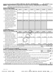#### Schedule A (Form 990 or 990-EZ) 2020  $\,$  WORLD  $\,$  MEDICAL RELIEF INCORPORATED  $\,$  38 – 1575570  $\,$  Page

(Complete only if you checked the box on line 5, 7, or 8 of Part I or if the organization failed to qualify under Part III. If the organization **Part II** | Support Schedule for Organizations Described in Sections 170(b)(1)(A)(iv) and 170(b)(1)(A)(vi)

fails to qualify under the tests listed below, please complete Part III.)

|     | <b>Section A. Public Support</b>                                                                                                                                                                                                                                                    |                             |          |            |            |                                      |                                                        |
|-----|-------------------------------------------------------------------------------------------------------------------------------------------------------------------------------------------------------------------------------------------------------------------------------------|-----------------------------|----------|------------|------------|--------------------------------------|--------------------------------------------------------|
|     | Calendar year (or fiscal year beginning in)                                                                                                                                                                                                                                         | (a) 2016                    | (b) 2017 | $(c)$ 2018 | $(d)$ 2019 | (e) 2020                             | (f) Total                                              |
|     | 1 Gifts, grants, contributions, and                                                                                                                                                                                                                                                 |                             |          |            |            |                                      |                                                        |
|     | membership fees received. (Do not                                                                                                                                                                                                                                                   |                             |          |            |            |                                      |                                                        |
|     | include any "unusual grants.")                                                                                                                                                                                                                                                      |                             |          |            |            |                                      | 29458832.29873547.33687521.35399135.33533319.161952354 |
|     | 2 Tax revenues levied for the organ-                                                                                                                                                                                                                                                |                             |          |            |            |                                      |                                                        |
|     | ization's benefit and either paid to                                                                                                                                                                                                                                                |                             |          |            |            |                                      |                                                        |
|     | or expended on its behalf                                                                                                                                                                                                                                                           |                             |          |            |            |                                      |                                                        |
|     | 3 The value of services or facilities                                                                                                                                                                                                                                               |                             |          |            |            |                                      |                                                        |
|     | furnished by a governmental unit to                                                                                                                                                                                                                                                 |                             |          |            |            |                                      |                                                        |
|     | the organization without charge                                                                                                                                                                                                                                                     |                             |          |            |            |                                      |                                                        |
|     | 4 Total. Add lines 1 through 3                                                                                                                                                                                                                                                      |                             |          |            |            |                                      | 29458832.29873547.33687521.35399135.33533319.161952354 |
| 5   | The portion of total contributions                                                                                                                                                                                                                                                  |                             |          |            |            |                                      |                                                        |
|     | by each person (other than a                                                                                                                                                                                                                                                        |                             |          |            |            |                                      |                                                        |
|     | governmental unit or publicly                                                                                                                                                                                                                                                       |                             |          |            |            |                                      |                                                        |
|     | supported organization) included                                                                                                                                                                                                                                                    |                             |          |            |            |                                      |                                                        |
|     | on line 1 that exceeds 2% of the                                                                                                                                                                                                                                                    |                             |          |            |            |                                      |                                                        |
|     | amount shown on line 11,                                                                                                                                                                                                                                                            |                             |          |            |            |                                      |                                                        |
|     | column (f)                                                                                                                                                                                                                                                                          |                             |          |            |            |                                      |                                                        |
|     | 6 Public support. Subtract line 5 from line 4.                                                                                                                                                                                                                                      |                             |          |            |            |                                      | 161952354                                              |
|     | <b>Section B. Total Support</b>                                                                                                                                                                                                                                                     |                             |          |            |            |                                      |                                                        |
|     | Calendar year (or fiscal year beginning in)                                                                                                                                                                                                                                         | (a) 2016                    | (b) 2017 | $(c)$ 2018 | $(d)$ 2019 | (e) 2020                             | (f) Total                                              |
|     | 7 Amounts from line 4                                                                                                                                                                                                                                                               | 29458832.29873547.33687521. |          |            |            |                                      | 35399135.33533319.161952354                            |
| 8   | Gross income from interest.                                                                                                                                                                                                                                                         |                             |          |            |            |                                      |                                                        |
|     | dividends, payments received on                                                                                                                                                                                                                                                     |                             |          |            |            |                                      |                                                        |
|     | securities loans, rents, royalties,                                                                                                                                                                                                                                                 |                             |          |            |            |                                      |                                                        |
|     | and income from similar sources                                                                                                                                                                                                                                                     | 19,455.                     | 15,519.  | 10,330.    | 9,086.     | 12,865.                              | 67,255.                                                |
|     | 9 Net income from unrelated business                                                                                                                                                                                                                                                |                             |          |            |            |                                      |                                                        |
|     | activities, whether or not the                                                                                                                                                                                                                                                      |                             |          |            |            |                                      |                                                        |
|     | business is regularly carried on                                                                                                                                                                                                                                                    |                             |          |            |            |                                      |                                                        |
|     | 10 Other income. Do not include gain                                                                                                                                                                                                                                                |                             |          |            |            |                                      |                                                        |
|     | or loss from the sale of capital                                                                                                                                                                                                                                                    |                             |          |            |            |                                      |                                                        |
|     | assets (Explain in Part VI.)                                                                                                                                                                                                                                                        | 11,535.                     | 6,828.   | 2,914.     | 547.       | 2,081.                               | 23,905.                                                |
|     | 11 Total support. Add lines 7 through 10                                                                                                                                                                                                                                            |                             |          |            |            |                                      | 162043514                                              |
|     | <b>12</b> Gross receipts from related activities, etc. (see instructions)                                                                                                                                                                                                           |                             |          |            |            | 12                                   | 3,693,142.                                             |
|     | 13 First 5 years. If the Form 990 is for the organization's first, second, third, fourth, or fifth tax year as a section 501(c)(3)                                                                                                                                                  |                             |          |            |            |                                      |                                                        |
|     | organization, check this box and stop here                                                                                                                                                                                                                                          |                             |          |            |            |                                      |                                                        |
|     | <b>Section C. Computation of Public Support Percentage</b>                                                                                                                                                                                                                          |                             |          |            |            |                                      | 99.94                                                  |
|     |                                                                                                                                                                                                                                                                                     |                             |          |            |            | 14                                   | %<br>99.87                                             |
|     |                                                                                                                                                                                                                                                                                     |                             |          |            |            | 15                                   | %                                                      |
|     | 16a 33 1/3% support test - 2020. If the organization did not check the box on line 13, and line 14 is 33 1/3% or more, check this box and                                                                                                                                           |                             |          |            |            |                                      | $\blacktriangleright$ $\boxed{\text{X}}$               |
|     | stop here. The organization qualifies as a publicly supported organization manufaction manufacture or the organization manufacture or the organization manufacture or the organization of the state of the state of the state                                                       |                             |          |            |            |                                      |                                                        |
|     | b 33 1/3% support test - 2019. If the organization did not check a box on line 13 or 16a, and line 15 is 33 1/3% or more, check this box                                                                                                                                            |                             |          |            |            |                                      |                                                        |
|     |                                                                                                                                                                                                                                                                                     |                             |          |            |            |                                      |                                                        |
|     | 17a 10% -facts-and-circumstances test - 2020. If the organization did not check a box on line 13, 16a, or 16b, and line 14 is 10% or more,<br>and if the organization meets the facts-and-circumstances test, check this box and stop here. Explain in Part VI how the organization |                             |          |            |            |                                      |                                                        |
|     | meets the facts-and-circumstances test. The organization qualifies as a publicly supported organization                                                                                                                                                                             |                             |          |            |            |                                      |                                                        |
|     | <b>b 10%</b> -facts-and-circumstances test - 2019. If the organization did not check a box on line 13, 16a, 16b, or 17a, and line 15 is 10% or                                                                                                                                      |                             |          |            |            |                                      |                                                        |
|     | more, and if the organization meets the facts-and-circumstances test, check this box and stop here. Explain in Part VI how the                                                                                                                                                      |                             |          |            |            |                                      |                                                        |
|     | organization meets the facts-and-circumstances test. The organization qualifies as a publicly supported organization                                                                                                                                                                |                             |          |            |            |                                      |                                                        |
| 18. | Private foundation. If the organization did not check a box on line 13, 16a, 16b, 17a, or 17b, check this box and see instructions                                                                                                                                                  |                             |          |            |            |                                      |                                                        |
|     |                                                                                                                                                                                                                                                                                     |                             |          |            |            | Schedule A (Form 990 or 990-EZ) 2020 |                                                        |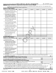#### Schedule A (Form 990 or 990-EZ) 2020  $\,$  WORLD  $\,$  MEDICAL RELIEF INCORPORATED  $\,$  38 – 1575570  $\,$  Page **Part III | Support Schedule for Organizations Described in Section 509(a)(2)**

(Complete only if you checked the box on line 10 of Part I or if the organization failed to qualify under Part II. If the organization fails to qualify under the tests listed below, please complete Part II.)

| Calendar year (or fiscal year beginning in)                                                                                                                                      | (a) 2016 | (b) 2017 | $(c)$ 2018 | $(d)$ 2019 |    | (e) 2020 | (f) Total                            |
|----------------------------------------------------------------------------------------------------------------------------------------------------------------------------------|----------|----------|------------|------------|----|----------|--------------------------------------|
| 1 Gifts, grants, contributions, and                                                                                                                                              |          |          |            |            |    |          |                                      |
| membership fees received. (Do not                                                                                                                                                |          |          |            |            |    |          |                                      |
| include any "unusual grants.")                                                                                                                                                   |          |          |            |            |    |          |                                      |
| Gross receipts from admissions,<br>$\mathbf{2}$<br>merchandise sold or services per-<br>formed, or facilities furnished in<br>any activity that is related to the                |          |          |            |            |    |          |                                      |
| organization's tax-exempt purpose                                                                                                                                                |          |          |            |            |    |          |                                      |
| Gross receipts from activities that<br>З.                                                                                                                                        |          |          |            |            |    |          |                                      |
| are not an unrelated trade or bus-                                                                                                                                               |          |          |            |            |    |          |                                      |
| iness under section 513                                                                                                                                                          |          |          |            |            |    |          |                                      |
| Tax revenues levied for the organ-<br>4                                                                                                                                          |          |          |            |            |    |          |                                      |
| ization's benefit and either paid to<br>or expended on its behalf                                                                                                                |          |          |            |            |    |          |                                      |
| The value of services or facilities<br>5                                                                                                                                         |          |          |            |            |    |          |                                      |
| furnished by a governmental unit to                                                                                                                                              |          |          |            |            |    |          |                                      |
| the organization without charge                                                                                                                                                  |          |          |            |            |    |          |                                      |
| Total. Add lines 1 through 5<br>6                                                                                                                                                |          |          |            |            |    |          |                                      |
| 7a Amounts included on lines 1, 2, and                                                                                                                                           |          |          |            |            |    |          |                                      |
| 3 received from disqualified persons                                                                                                                                             |          |          |            |            |    |          |                                      |
| <b>b</b> Amounts included on lines 2 and 3 received<br>from other than disqualified persons that<br>exceed the greater of \$5,000 or 1% of the<br>amount on line 13 for the year |          |          |            |            |    |          |                                      |
| c Add lines 7a and 7b                                                                                                                                                            |          |          |            |            |    |          |                                      |
| 8 Public support. (Subtract line 7c from line 6.)                                                                                                                                |          |          |            |            |    |          |                                      |
| <b>Section B. Total Support</b>                                                                                                                                                  |          |          |            |            |    |          |                                      |
| Calendar year (or fiscal year beginning in)                                                                                                                                      | (a) 2016 | (b) 2017 | $(c)$ 2018 | $(d)$ 2019 |    | (e) 2020 | (f) Total                            |
| 9 Amounts from line 6                                                                                                                                                            |          |          |            |            |    |          |                                      |
| <b>10a</b> Gross income from interest,<br>dividends, payments received on<br>securities loans, rents, royalties,<br>and income from similar sources                              |          |          |            |            |    |          |                                      |
| <b>b</b> Unrelated business taxable income                                                                                                                                       |          |          |            |            |    |          |                                      |
| (less section 511 taxes) from businesses<br>acquired after June 30, 1975                                                                                                         |          |          |            |            |    |          |                                      |
| c Add lines 10a and 10b                                                                                                                                                          |          |          |            |            |    |          |                                      |
| 11 Net income from unrelated business<br>activities not included in line 10b.<br>whether or not the business is<br>regularly carried on                                          |          |          |            |            |    |          |                                      |
| <b>12</b> Other income. Do not include gain<br>or loss from the sale of capital                                                                                                  |          |          |            |            |    |          |                                      |
| assets (Explain in Part VI.)<br>13 Total support. (Add lines 9, 10c, 11, and 12.)                                                                                                |          |          |            |            |    |          |                                      |
| 14 First 5 years. If the Form 990 is for the organization's first, second, third, fourth, or fifth tax year as a section 501(c)(3) organization,                                 |          |          |            |            |    |          |                                      |
|                                                                                                                                                                                  |          |          |            |            |    |          |                                      |
| <b>Section C. Computation of Public Support Percentage</b>                                                                                                                       |          |          |            |            |    |          |                                      |
|                                                                                                                                                                                  |          |          |            |            | 15 |          | %                                    |
|                                                                                                                                                                                  |          |          |            |            | 16 |          | %                                    |
| Section D. Computation of Investment Income Percentage                                                                                                                           |          |          |            |            |    |          |                                      |
|                                                                                                                                                                                  |          |          |            |            | 17 |          | %                                    |
|                                                                                                                                                                                  |          |          |            |            | 18 |          | %                                    |
| 19a 33 1/3% support tests - 2020. If the organization did not check the box on line 14, and line 15 is more than 33 1/3%, and line 17 is not                                     |          |          |            |            |    |          |                                      |
|                                                                                                                                                                                  |          |          |            |            |    |          |                                      |
| more than 33 1/3%, check this box and stop here. The organization qualifies as a publicly supported organization                                                                 |          |          |            |            |    |          |                                      |
| <b>b 33 1/3% support tests - 2019.</b> If the organization did not check a box on line 14 or line 19a, and line 16 is more than 33 1/3%, and                                     |          |          |            |            |    |          |                                      |
|                                                                                                                                                                                  |          |          |            |            |    |          |                                      |
| line 18 is not more than 33 1/3%, check this box and stop here. The organization qualifies as a publicly supported organization                                                  |          |          |            |            |    |          |                                      |
|                                                                                                                                                                                  |          |          |            |            |    |          |                                      |
| 032023 01-25-21                                                                                                                                                                  |          |          | 15         |            |    |          | Schedule A (Form 990 or 990-EZ) 2020 |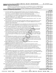**1**

**2**

**3a**

**3b**

**3c**

**4a**

**4b**

**4c**

**5a**

**5b 5c**

**6**

**7**

**8**

**9a**

**9b**

**9c**

**10a**

**10b**

**Yes No**

#### **Part IV Supporting Organizations**

(Complete only if you checked a box in line 12 on Part I. If you checked box 12a, Part I, complete Sections A and B. If you checked box 12b, Part I, complete Sections A and C. If you checked box 12c, Part I, complete Sections A, D, and E. If you checked box 12d, Part I, complete Sections A and D, and complete Part V.)

#### **Section A. All Supporting Organizations**

- **1** Are all of the organization's supported organizations listed by name in the organization's governing documents? If "No," describe in Part VI how the supported organizations are designated. If designated by *class or purpose, describe the designation. If historic and continuing relationship, explain.*
- **2** Did the organization have any supported organization that does not have an IRS determination of status under section 509(a)(1) or (2)? If "Yes," explain in Part **VI** how the organization determined that the supported *organization was described in section 509(a)(1) or (2).*
- **3a** Did the organization have a supported organization described in section 501(c)(4), (5), or (6)? If "Yes," answer *lines 3b and 3c below.*
- **b** Did the organization confirm that each supported organization qualified under section 501(c)(4), (5), or (6) and satisfied the public support tests under section 509(a)(2)? If "Yes," describe in Part VI when and how the *organization made the determination.*
- **c** Did the organization ensure that all support to such organizations was used exclusively for section 170(c)(2)(B) purposes? If "Yes," explain in Part VI what controls the organization put in place to ensure such use.
- **4 a** *If* Was any supported organization not organized in the United States ("foreign supported organization")? *"Yes," and if you checked box 12a or 12b in Part I, answer lines 4b and 4c below.*
- **b** Did the organization have ultimate control and discretion in deciding whether to make grants to the foreign supported organization? If "Yes," describe in Part VI how the organization had such control and discretion *despite being controlled or supervised by or in connection with its supported organizations.*
- **c** Did the organization support any foreign supported organization that does not have an IRS determination under sections 501(c)(3) and 509(a)(1) or (2)? If "Yes," explain in Part VI what controls the organization used *to ensure that all support to the foreign supported organization was used exclusively for section 170(c)(2)(B) purposes.*
- the United States ("foreign supported organization")? *I*<br>answer lines 4b and 4c below.<br>Consider the foreign supported organization")? *I*<br>answer lines 4b and 4c below.<br>**VI** how the organization had such control and discre **5a** Did the organization add, substitute, or remove any supported organizations during the tax year? If "Yes," answer lines 5b and 5c below (if applicable). Also, provide detail in **Part VI,** including (i) the names and EIN *numbers of the supported organizations added, substituted, or removed; (ii) the reasons for each such action; (iii) the authority under the organization's organizing document authorizing such action; and (iv) how the action was accomplished (such as by amendment to the organizing document).*
- **b** Type I or Type II only. Was any added or substituted supported organization part of a class already designated in the organization's organizing document?
- **c Substitutions only.**  Was the substitution the result of an event beyond the organization's control?
- **6** Did the organization provide support (whether in the form of grants or the provision of services or facilities) to **Part VI.** support or benefit one or more of the filing organization's supported organizations? If "Yes," provide detail in anyone other than (i) its supported organizations, (ii) individuals that are part of the charitable class benefited by one or more of its supported organizations, or (iii) other supporting organizations that also
- **7** Did the organization provide a grant, loan, compensation, or other similar payment to a substantial contributor regard to a substantial contributor? If "Yes," complete Part I of Schedule L (Form 990 or 990-EZ). (as defined in section 4958(c)(3)(C)), a family member of a substantial contributor, or a 35% controlled entity with
- **8** Did the organization make a loan to a disqualified person (as defined in section 4958) not described in line 7? *If "Yes," complete Part I of Schedule L (Form 990 or 990-EZ).*
- **9 a** Was the organization controlled directly or indirectly at any time during the tax year by one or more in section 509(a)(1) or (2))? If "Yes," provide detail in **Part VI.** disqualified persons, as defined in section 4946 (other than foundation managers and organizations described
- **b** Did one or more disqualified persons (as defined in line 9a) hold a controlling interest in any entity in which the supporting organization had an interest? If "Yes," provide detail in Part VI.
- **c** Did a disqualified person (as defined in line 9a) have an ownership interest in, or derive any personal benefit from, assets in which the supporting organization also had an interest? If "Yes," provide detail in Part VI.
- **10 a** Was the organization subject to the excess business holdings rules of section 4943 because of section supporting organizations)? If "Yes," answer line 10b below. 4943(f) (regarding certain Type II supporting organizations, and all Type III non-functionally integrated
	- **b** Did the organization have any excess business holdings in the tax year? (Use Schedule C, Form 4720, to *determine whether the organization had excess business holdings.)*

16

032024 01-25-21

15351106 748923 WMR 2020.04011 WORLD MEDICAL RELIEF INCORP WMR\_\_\_\_1

**Schedule A (Form 990 or 990-EZ) 2020**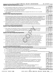#### Schedule A (Form 990 or 990-EZ) 2020  $\,$  WORLD  $\,$  MEDICAL RELIEF INCORPORATED  $\,$  38 – 1575570  $\,$  Page **Part IV | Supporting Organizations** *(continued)*

|              |                                                                                                                                                                                                                                                            |     | Yes        | No  |
|--------------|------------------------------------------------------------------------------------------------------------------------------------------------------------------------------------------------------------------------------------------------------------|-----|------------|-----|
| 11           | Has the organization accepted a gift or contribution from any of the following persons?                                                                                                                                                                    |     |            |     |
|              | a A person who directly or indirectly controls, either alone or together with persons described in lines 11b and                                                                                                                                           |     |            |     |
|              | 11c below, the governing body of a supported organization?                                                                                                                                                                                                 | 11a |            |     |
|              | <b>b</b> A family member of a person described in line 11a above?                                                                                                                                                                                          | 11b |            |     |
|              | c A 35% controlled entity of a person described in line 11a or 11b above? If "Yes" to line 11a, 11b, or 11c, provide                                                                                                                                       |     |            |     |
|              | detail in <b>Part VI.</b>                                                                                                                                                                                                                                  | 11c |            |     |
|              | <b>Section B. Type I Supporting Organizations</b>                                                                                                                                                                                                          |     |            |     |
|              |                                                                                                                                                                                                                                                            |     | <b>Yes</b> | No. |
| 1            | Did the governing body, members of the governing body, officers acting in their official capacity, or membership of one or                                                                                                                                 |     |            |     |
|              | more supported organizations have the power to regularly appoint or elect at least a majority of the organization's officers,                                                                                                                              |     |            |     |
|              | directors, or trustees at all times during the tax year? If "No," describe in Part VI how the supported organization(s)                                                                                                                                    |     |            |     |
|              | effectively operated, supervised, or controlled the organization's activities. If the organization had more than one supported<br>organization, describe how the powers to appoint and/or remove officers, directors, or trustees were allocated among the |     |            |     |
|              | supported organizations and what conditions or restrictions, if any, applied to such powers during the tax year.                                                                                                                                           | 1   |            |     |
| $\mathbf{2}$ | Did the organization operate for the benefit of any supported organization other than the supported                                                                                                                                                        |     |            |     |
|              | organization(s) that operated, supervised, or controlled the supporting organization? If "Yes," explain in                                                                                                                                                 |     |            |     |
|              | Part VI how providing such benefit carried out the purposes of the supported organization(s) that operated,                                                                                                                                                |     |            |     |
|              | supervised, or controlled the supporting organization.                                                                                                                                                                                                     | 2   |            |     |
|              | <b>Section C. Type II Supporting Organizations</b>                                                                                                                                                                                                         |     |            |     |
|              |                                                                                                                                                                                                                                                            |     | <b>Yes</b> | No. |
| 1.           | Were a majority of the organization's directors or trustees during the tax year also a majority of the directors                                                                                                                                           |     |            |     |
|              | or trustees of each of the organization's supported organization(s)? If "No," describe in Part VI how control                                                                                                                                              |     |            |     |
|              | or management of the supporting organization was vested in the same persons that controlled or managed                                                                                                                                                     |     |            |     |
|              | the supported organization(s).                                                                                                                                                                                                                             | 1   |            |     |
|              | Section D. All Type III Supporting Organizations                                                                                                                                                                                                           |     |            |     |
|              |                                                                                                                                                                                                                                                            |     | <b>Yes</b> | No  |
| 1            | Did the organization provide to each of its supported organizations, by the last day of the fifth month of the                                                                                                                                             |     |            |     |
|              | organization's tax year, (i) a written notice describing the type and amount of support provided during the prior tax                                                                                                                                      |     |            |     |
|              | year, (ii) a copy of the Form 990 that was most recently filed as of the date of notification, and (iii) copies of the                                                                                                                                     |     |            |     |
|              | organization's governing documents in effect on the date of notification, to the extent not previously provided?                                                                                                                                           | 1   |            |     |
| 2            | Were any of the organization's officers, directors, or trustees either (i) appointed or elected by the supported                                                                                                                                           |     |            |     |
|              | organization(s) or (ii) serving on the governing body of a supported organization? If "No," explain in Part VI how                                                                                                                                         |     |            |     |
|              | the organization maintained a close and continuous working relationship with the supported organization(s).                                                                                                                                                | 2   |            |     |
| 3            | By reason of the relationship described in line 2, above, did the organization's supported organizations have a                                                                                                                                            |     |            |     |
|              | significant voice in the organization's investment policies and in directing the use of the organization's                                                                                                                                                 |     |            |     |
|              | income or assets at all times during the tax year? If "Yes," describe in Part VI the role the organization's                                                                                                                                               |     |            |     |
|              | supported organizations played in this regard.                                                                                                                                                                                                             | З   |            |     |
|              | Section E. Type III Functionally Integrated Supporting Organizations                                                                                                                                                                                       |     |            |     |
| 1            | Check the box next to the method that the organization used to satisfy the Integral Part Test during the yealsee instructions).                                                                                                                            |     |            |     |
| a            | The organization satisfied the Activities Test. Complete line 2 below.                                                                                                                                                                                     |     |            |     |
| b            | The organization is the parent of each of its supported organizations. Complete line 3 below.                                                                                                                                                              |     |            |     |
| c            | The organization supported a governmental entity. Describe in Part VI how you supported a governmental entity (see instructions).                                                                                                                          |     |            |     |
| 2            | Activities Test. Answer lines 2a and 2b below.                                                                                                                                                                                                             |     | Yes        | No  |
| а            | Did substantially all of the organization's activities during the tax year directly further the exempt purposes of                                                                                                                                         |     |            |     |
|              | the supported organization(s) to which the organization was responsive? If "Yes," then in Part VI identify                                                                                                                                                 |     |            |     |
|              | those supported organizations and explain how these activities directly furthered their exempt purposes,                                                                                                                                                   |     |            |     |
|              | how the organization was responsive to those supported organizations, and how the organization determined                                                                                                                                                  |     |            |     |
|              | that these activities constituted substantially all of its activities.                                                                                                                                                                                     | 2a  |            |     |
|              | <b>b</b> Did the activities described in line 2a, above, constitute activities that, but for the organization's involvement,                                                                                                                               |     |            |     |
|              | one or more of the organization's supported organization(s) would have been engaged in? If "Yes," explain in                                                                                                                                               |     |            |     |
|              | <b>Part VI</b> the reasons for the organization's position that its supported organization(s) would have engaged in                                                                                                                                        |     |            |     |
|              | these activities but for the organization's involvement.                                                                                                                                                                                                   | 2b  |            |     |
| З            | Parent of Supported Organizations. Answer lines 3a and 3b below.                                                                                                                                                                                           |     |            |     |
| а            | Did the organization have the power to regularly appoint or elect a majority of the officers, directors, or                                                                                                                                                |     |            |     |
|              | trustees of each of the supported organizations? If "Yes" or "No" provide details in Part VI.                                                                                                                                                              | За  |            |     |
|              | <b>b</b> Did the organization exercise a substantial degree of direction over the policies, programs, and activities of each                                                                                                                               |     |            |     |
|              | of its supported organizations? If "Yes," describe in Part VI the role played by the organization in this regard.                                                                                                                                          | Зb  |            |     |
|              | Schedule A (Form 990 or 990-EZ) 2020<br>032025 01-25-21                                                                                                                                                                                                    |     |            |     |

15351106 748923 WMR 2020.04011 WORLD MEDICAL RELIEF INCORP WMR\_\_\_\_1

17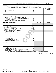#### Schedule A (Form 990 or 990-EZ) 2020  $\,$  WORLD  $\,$  MEDICAL RELIEF INCORPORATED  $\,$  38 – 1575570  $\,$  Page **Part V** | Type III Non-Functionally Integrated 509(a)(3) Supporting Organizations

1 Check here if the organization satisfied the Integral Part Test as a qualifying trust on Nov. 20, 1970 (explain in Part VI). See instructions. All other Type III non-functionally integrated supporting organizations must complete Sections A through E.

|    | Section A - Adjusted Net Income                                                                                                   |                | (A) Prior Year | (B) Current Year<br>(optional) |
|----|-----------------------------------------------------------------------------------------------------------------------------------|----------------|----------------|--------------------------------|
| 1  | Net short-term capital gain                                                                                                       | 1              |                |                                |
| 2  | Recoveries of prior-year distributions                                                                                            | 2              |                |                                |
| З  | Other gross income (see instructions)                                                                                             | 3              |                |                                |
| 4  | Add lines 1 through 3.                                                                                                            | 4              |                |                                |
| 5  | Depreciation and depletion                                                                                                        | 5              |                |                                |
| 6  | Portion of operating expenses paid or incurred for production or                                                                  |                |                |                                |
|    | collection of gross income or for management, conservation, or                                                                    |                |                |                                |
|    | maintenance of property held for production of income (see instructions)                                                          | 6              |                |                                |
| 7  | Other expenses (see instructions)                                                                                                 | 7              |                |                                |
| 8  | Adjusted Net Income (subtract lines 5, 6, and 7 from line 4)                                                                      | 8              |                |                                |
|    | <b>Section B - Minimum Asset Amount</b>                                                                                           |                | (A) Prior Year | (B) Current Year<br>(optional) |
| 1. | Aggregate fair market value of all non-exempt-use assets (see                                                                     |                |                |                                |
|    | instructions for short tax year or assets held for part of year):                                                                 |                |                |                                |
|    | <b>a</b> Average monthly value of securities                                                                                      | 1a             |                |                                |
|    | <b>b</b> Average monthly cash balances                                                                                            | 1 <sub>b</sub> |                |                                |
|    | c Fair market value of other non-exempt-use assets                                                                                | 1 <sub>c</sub> |                |                                |
|    | d Total (add lines 1a, 1b, and 1c)                                                                                                | 1 <sub>d</sub> |                |                                |
|    | e Discount claimed for blockage or other factors                                                                                  |                |                |                                |
|    | (explain in detail in <b>Part VI</b> ):                                                                                           |                |                |                                |
| 2  | Acquisition indebtedness applicable to non-exempt-use assets                                                                      | 2              |                |                                |
| 3  | Subtract line 2 from line 1d.                                                                                                     | 3              |                |                                |
| 4  | Cash deemed held for exempt use. Enter 0.015 of line 3 (for greater amount,                                                       |                |                |                                |
|    | see instructions).                                                                                                                | 4              |                |                                |
| 5  | Net value of non-exempt-use assets (subtract line 4 from line 3)                                                                  | 5              |                |                                |
| 6  | Multiply line 5 by 0.035.                                                                                                         | 6              |                |                                |
| 7  | Recoveries of prior-year distributions                                                                                            | 7              |                |                                |
| 8  | Minimum Asset Amount (add line 7 to line 6)                                                                                       | 8              |                |                                |
|    | <b>Section C - Distributable Amount</b>                                                                                           |                |                | <b>Current Year</b>            |
| 1  | Adjusted net income for prior year (from Section A, line 8, column A)                                                             | 1              |                |                                |
| 2  | Enter 0.85 of line 1.                                                                                                             | $\overline{2}$ |                |                                |
| З  | Minimum asset amount for prior year (from Section B, line 8, column A)                                                            | 3              |                |                                |
| 4  | Enter greater of line 2 or line 3.                                                                                                | 4              |                |                                |
| 5  | Income tax imposed in prior year                                                                                                  | 5              |                |                                |
| 6  | <b>Distributable Amount.</b> Subtract line 5 from line 4, unless subject to                                                       |                |                |                                |
|    | emergency temporary reduction (see instructions).                                                                                 | 6              |                |                                |
| 7  | Check here if the current year is the organization's first as a non-functionally integrated Type III supporting organization (see |                |                |                                |

instructions).

**Schedule A (Form 990 or 990-EZ) 2020**

032026 01-25-21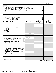#### Schedule A (Form 990 or 990-EZ) 2020 Page WORLD MEDICAL RELIEF INCORPORATED 38-1575570

| <b>Part V</b> | Type III Non-Functionally Integrated 509(a)(3) Supporting Organizations (continued)        |                                    |                                               |    |                                                  |
|---------------|--------------------------------------------------------------------------------------------|------------------------------------|-----------------------------------------------|----|--------------------------------------------------|
|               | <b>Section D - Distributions</b>                                                           |                                    |                                               |    | <b>Current Year</b>                              |
| 1             | Amounts paid to supported organizations to accomplish exempt purposes                      |                                    | 1                                             |    |                                                  |
| 2             | Amounts paid to perform activity that directly furthers exempt purposes of supported       |                                    |                                               |    |                                                  |
|               | organizations, in excess of income from activity                                           |                                    | 2                                             |    |                                                  |
| 3             | Administrative expenses paid to accomplish exempt purposes of supported organizations      |                                    | 3                                             |    |                                                  |
| 4             | Amounts paid to acquire exempt-use assets                                                  |                                    |                                               | 4  |                                                  |
| 5             | Qualified set-aside amounts (prior IRS approval required - provide details in Part VI)     |                                    |                                               | 5  |                                                  |
| 6             | Other distributions ( <i>describe in Part VI</i> ). See instructions.                      |                                    |                                               | 6  |                                                  |
| 7             | Total annual distributions. Add lines 1 through 6.                                         |                                    |                                               | 7  |                                                  |
| 8             | Distributions to attentive supported organizations to which the organization is responsive |                                    |                                               |    |                                                  |
|               | (provide details in Part VI). See instructions.                                            |                                    |                                               | 8  |                                                  |
| 9             | Distributable amount for 2020 from Section C, line 6                                       |                                    |                                               | 9  |                                                  |
| 10            | Line 8 amount divided by line 9 amount                                                     |                                    |                                               | 10 |                                                  |
|               | <b>Section E - Distribution Allocations (see instructions)</b>                             | (i)<br><b>Excess Distributions</b> | (ii)<br><b>Underdistributions</b><br>Pre-2020 |    | (iii)<br><b>Distributable</b><br>Amount for 2020 |
| 1             | Distributable amount for 2020 from Section C, line 6                                       |                                    |                                               |    |                                                  |
| 2             | Underdistributions, if any, for years prior to 2020 (reason-                               |                                    |                                               |    |                                                  |
|               | able cause required - explain in Part VI). See instructions.                               |                                    |                                               |    |                                                  |
| 3             | Excess distributions carryover, if any, to 2020                                            |                                    |                                               |    |                                                  |
|               | a From 2015                                                                                |                                    |                                               |    |                                                  |
|               | $b$ From 2016                                                                              |                                    |                                               |    |                                                  |
|               | c From 2017                                                                                |                                    |                                               |    |                                                  |
|               | <b>d</b> From 2018                                                                         |                                    |                                               |    |                                                  |
|               | e From 2019                                                                                |                                    |                                               |    |                                                  |
|               | f Total of lines 3a through 3e                                                             |                                    |                                               |    |                                                  |
|               | g Applied to underdistributions of prior years                                             |                                    |                                               |    |                                                  |
|               | <b>h</b> Applied to 2020 distributable amount                                              |                                    |                                               |    |                                                  |
| Ť.            | Carryover from 2015 not applied (see instructions)                                         |                                    |                                               |    |                                                  |
|               | Remainder. Subtract lines 3g, 3h, and 3i from line 3f.                                     |                                    |                                               |    |                                                  |
| 4             | Distributions for 2020 from Section D,                                                     |                                    |                                               |    |                                                  |
|               | line 7:                                                                                    |                                    |                                               |    |                                                  |
|               | a Applied to underdistributions of prior years                                             |                                    |                                               |    |                                                  |
|               | <b>b</b> Applied to 2020 distributable amount                                              |                                    |                                               |    |                                                  |
|               | c Remainder. Subtract lines 4a and 4b from line 4.                                         |                                    |                                               |    |                                                  |
| 5             | Remaining underdistributions for years prior to 2020, if                                   |                                    |                                               |    |                                                  |
|               | any. Subtract lines 3g and 4a from line 2. For result greater                              |                                    |                                               |    |                                                  |
|               | than zero, explain in Part VI. See instructions.                                           |                                    |                                               |    |                                                  |
| 6             | Remaining underdistributions for 2020. Subtract lines 3h                                   |                                    |                                               |    |                                                  |
|               | and 4b from line 1. For result greater than zero, explain in                               |                                    |                                               |    |                                                  |
|               | <b>Part VI.</b> See instructions.                                                          |                                    |                                               |    |                                                  |
| 7             | Excess distributions carryover to 2021. Add lines 3j                                       |                                    |                                               |    |                                                  |
|               | and 4c.                                                                                    |                                    |                                               |    |                                                  |
| 8             | Breakdown of line 7:                                                                       |                                    |                                               |    |                                                  |
|               | a Excess from 2016                                                                         |                                    |                                               |    |                                                  |
|               | <b>b</b> Excess from 2017                                                                  |                                    |                                               |    |                                                  |
|               | c Excess from 2018                                                                         |                                    |                                               |    |                                                  |
|               | d Excess from 2019                                                                         |                                    |                                               |    |                                                  |
|               | e Excess from 2020                                                                         |                                    |                                               |    |                                                  |

**Schedule A (Form 990 or 990-EZ) 2020**

032027 01-25-21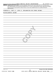|                 |                      |  | Schedule A (Form 990 or 990-EZ) 2020 WORLD MEDICAL RELIEF INCORPORATED                                                                                                                                                                                                                                                                                                                                                                                                                                                                                               |    |  |                                      | 38-1575570 Page 8 |
|-----------------|----------------------|--|----------------------------------------------------------------------------------------------------------------------------------------------------------------------------------------------------------------------------------------------------------------------------------------------------------------------------------------------------------------------------------------------------------------------------------------------------------------------------------------------------------------------------------------------------------------------|----|--|--------------------------------------|-------------------|
| Part VI         |                      |  | Supplemental Information. Provide the explanations required by Part II, line 10; Part II, line 17a or 17b; Part III, line 12;<br>Part IV, Section A, lines 1, 2, 3b, 3c, 4b, 4c, 5a, 6, 9a, 9b, 9c, 11a, 11b, and 11c; Part IV, Section B, lines 1 and 2; Part IV, Section C,<br>line 1; Part IV, Section D, lines 2 and 3; Part IV, Section E, lines 1c, 2a, 2b, 3a, and 3b; Part V, line 1; Part V, Section B, line 1e; Part V,<br>Section D, lines 5, 6, and 8; and Part V, Section E, lines 2, 5, and 6. Also complete this part for any additional information. |    |  |                                      |                   |
|                 | (See instructions.)  |  |                                                                                                                                                                                                                                                                                                                                                                                                                                                                                                                                                                      |    |  |                                      |                   |
|                 |                      |  | SCHEDULE A, PART II, LINE 10, EXPLANATION FOR OTHER INCOME:                                                                                                                                                                                                                                                                                                                                                                                                                                                                                                          |    |  |                                      |                   |
|                 |                      |  |                                                                                                                                                                                                                                                                                                                                                                                                                                                                                                                                                                      |    |  |                                      |                   |
|                 | MISCELLANEOUS INCOME |  |                                                                                                                                                                                                                                                                                                                                                                                                                                                                                                                                                                      |    |  |                                      |                   |
|                 |                      |  |                                                                                                                                                                                                                                                                                                                                                                                                                                                                                                                                                                      |    |  |                                      |                   |
|                 |                      |  |                                                                                                                                                                                                                                                                                                                                                                                                                                                                                                                                                                      |    |  |                                      |                   |
|                 |                      |  |                                                                                                                                                                                                                                                                                                                                                                                                                                                                                                                                                                      |    |  |                                      |                   |
|                 |                      |  |                                                                                                                                                                                                                                                                                                                                                                                                                                                                                                                                                                      |    |  |                                      |                   |
|                 |                      |  |                                                                                                                                                                                                                                                                                                                                                                                                                                                                                                                                                                      |    |  |                                      |                   |
|                 |                      |  |                                                                                                                                                                                                                                                                                                                                                                                                                                                                                                                                                                      |    |  |                                      |                   |
|                 |                      |  |                                                                                                                                                                                                                                                                                                                                                                                                                                                                                                                                                                      |    |  |                                      |                   |
|                 |                      |  |                                                                                                                                                                                                                                                                                                                                                                                                                                                                                                                                                                      |    |  |                                      |                   |
|                 |                      |  |                                                                                                                                                                                                                                                                                                                                                                                                                                                                                                                                                                      |    |  |                                      |                   |
|                 |                      |  |                                                                                                                                                                                                                                                                                                                                                                                                                                                                                                                                                                      |    |  |                                      |                   |
|                 |                      |  |                                                                                                                                                                                                                                                                                                                                                                                                                                                                                                                                                                      |    |  |                                      |                   |
|                 |                      |  |                                                                                                                                                                                                                                                                                                                                                                                                                                                                                                                                                                      |    |  |                                      |                   |
|                 |                      |  |                                                                                                                                                                                                                                                                                                                                                                                                                                                                                                                                                                      |    |  |                                      |                   |
|                 |                      |  |                                                                                                                                                                                                                                                                                                                                                                                                                                                                                                                                                                      |    |  |                                      |                   |
|                 |                      |  |                                                                                                                                                                                                                                                                                                                                                                                                                                                                                                                                                                      |    |  |                                      |                   |
|                 |                      |  |                                                                                                                                                                                                                                                                                                                                                                                                                                                                                                                                                                      |    |  |                                      |                   |
|                 |                      |  |                                                                                                                                                                                                                                                                                                                                                                                                                                                                                                                                                                      |    |  |                                      |                   |
|                 |                      |  |                                                                                                                                                                                                                                                                                                                                                                                                                                                                                                                                                                      |    |  |                                      |                   |
|                 |                      |  |                                                                                                                                                                                                                                                                                                                                                                                                                                                                                                                                                                      |    |  |                                      |                   |
|                 |                      |  |                                                                                                                                                                                                                                                                                                                                                                                                                                                                                                                                                                      |    |  |                                      |                   |
|                 |                      |  |                                                                                                                                                                                                                                                                                                                                                                                                                                                                                                                                                                      |    |  |                                      |                   |
|                 |                      |  |                                                                                                                                                                                                                                                                                                                                                                                                                                                                                                                                                                      |    |  |                                      |                   |
|                 |                      |  |                                                                                                                                                                                                                                                                                                                                                                                                                                                                                                                                                                      |    |  |                                      |                   |
|                 |                      |  |                                                                                                                                                                                                                                                                                                                                                                                                                                                                                                                                                                      |    |  |                                      |                   |
|                 |                      |  |                                                                                                                                                                                                                                                                                                                                                                                                                                                                                                                                                                      |    |  |                                      |                   |
|                 |                      |  |                                                                                                                                                                                                                                                                                                                                                                                                                                                                                                                                                                      |    |  |                                      |                   |
|                 |                      |  |                                                                                                                                                                                                                                                                                                                                                                                                                                                                                                                                                                      |    |  |                                      |                   |
|                 |                      |  |                                                                                                                                                                                                                                                                                                                                                                                                                                                                                                                                                                      |    |  |                                      |                   |
|                 |                      |  |                                                                                                                                                                                                                                                                                                                                                                                                                                                                                                                                                                      |    |  |                                      |                   |
|                 |                      |  |                                                                                                                                                                                                                                                                                                                                                                                                                                                                                                                                                                      |    |  |                                      |                   |
|                 |                      |  |                                                                                                                                                                                                                                                                                                                                                                                                                                                                                                                                                                      |    |  |                                      |                   |
|                 |                      |  |                                                                                                                                                                                                                                                                                                                                                                                                                                                                                                                                                                      |    |  |                                      |                   |
|                 |                      |  |                                                                                                                                                                                                                                                                                                                                                                                                                                                                                                                                                                      |    |  |                                      |                   |
|                 |                      |  |                                                                                                                                                                                                                                                                                                                                                                                                                                                                                                                                                                      |    |  |                                      |                   |
| 032028 01-25-21 |                      |  |                                                                                                                                                                                                                                                                                                                                                                                                                                                                                                                                                                      |    |  | Schedule A (Form 990 or 990-EZ) 2020 |                   |
|                 |                      |  |                                                                                                                                                                                                                                                                                                                                                                                                                                                                                                                                                                      | 20 |  |                                      |                   |
|                 | 15351106 748923 WMR  |  | 2020.04011 WORLD MEDICAL RELIEF INCORP WMR                                                                                                                                                                                                                                                                                                                                                                                                                                                                                                                           |    |  |                                      |                   |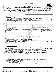| (Form 990) |  |
|------------|--|
|------------|--|

# **SCHEDULE D Supplemental Financial Statements**<br> **Example 5 Agent IV** line 6 7 A 9 10 11a 11b 11d 11d 11d 11d 12a or 12b

**(Form 990) | Complete if the organization answered "Yes" on Form 990, Part IV, line 6, 7, 8, 9, 10, 11a, 11b, 11c, 11d, 11e, 11f, 12a, or 12b.**

**| Attach to Form 990. |Go to www.irs.gov/Form990 for instructions and the latest information.**



Department of the Treasury Internal Revenue Service

**Name of the organization Employer identification number** WORLD MEDICAL RELIEF INCORPORATED

|    |                                                                                                                                                | (a) Donor advised funds | (b) Funds and other accounts                          |
|----|------------------------------------------------------------------------------------------------------------------------------------------------|-------------------------|-------------------------------------------------------|
| 1  |                                                                                                                                                |                         |                                                       |
| 2  | Aggregate value of contributions to (during year)                                                                                              |                         |                                                       |
| З  |                                                                                                                                                |                         |                                                       |
| 4  |                                                                                                                                                |                         |                                                       |
| 5  | Did the organization inform all donors and donor advisors in writing that the assets held in donor advised funds                               |                         |                                                       |
|    |                                                                                                                                                |                         | Yes<br><b>No</b>                                      |
| 6  | Did the organization inform all grantees, donors, and donor advisors in writing that grant funds can be used only                              |                         |                                                       |
|    | for charitable purposes and not for the benefit of the donor or donor advisor, or for any other purpose conferring                             |                         |                                                       |
|    |                                                                                                                                                |                         | Yes<br>No                                             |
|    | Part II<br>Conservation Easements. Complete if the organization answered "Yes" on Form 990, Part IV, line 7.                                   |                         |                                                       |
| 1. | Purpose(s) of conservation easements held by the organization (check all that apply).                                                          |                         |                                                       |
|    | Preservation of land for public use (for example, recreation or education)                                                                     |                         | Preservation of a historically important land area    |
|    | Protection of natural habitat                                                                                                                  |                         | Preservation of a certified historic structure        |
|    | Preservation of open space                                                                                                                     |                         |                                                       |
| 2  | Complete lines 2a through 2d if the organization held a qualified conservation contribution in the form of a conservation easement on the last |                         |                                                       |
|    | day of the tax year.                                                                                                                           |                         | Held at the End of the Tax Year                       |
| а  |                                                                                                                                                |                         | 2a                                                    |
|    | Total acreage restricted by conservation easements                                                                                             |                         | 2 <sub>b</sub>                                        |
|    |                                                                                                                                                |                         | 2c                                                    |
| d  | Number of conservation easements included in (c) acquired after 7/25/06, and not on a historic structure                                       |                         |                                                       |
|    | listed in the National Register [111] March 1997 (120) 1997 (120) 1998 (130) 1998 (130) 1999 (130) 1999 (130) 1                                |                         | 2d                                                    |
| 3  | Number of conservation easements modified, transferred, released, extinguished, or terminated by the organization during the tax               |                         |                                                       |
|    | year                                                                                                                                           |                         |                                                       |
| 4  | Number of states where property subject to conservation easement is located >                                                                  |                         |                                                       |
| 5  | Does the organization have a written policy regarding the periodic monitoring, inspection, handling of                                         |                         |                                                       |
|    | violations, and enforcement of the conservation easements it holds?                                                                            |                         | Yes<br><b>No</b>                                      |
| 6  | Staff and volunteer hours devoted to monitoring, inspecting, handling of violations, and enforcing conservation easements during the year      |                         |                                                       |
|    |                                                                                                                                                |                         |                                                       |
| 7  | Amount of expenses incurred in monitoring, inspecting, handling of violations, and enforcing conservation easements during the year            |                         |                                                       |
|    | $\blacktriangleright$ \$                                                                                                                       |                         |                                                       |
| 8  | Does each conservation easement reported on line 2(d) above satisfy the requirements of section 170(h)(4)(B)(i)                                |                         |                                                       |
|    |                                                                                                                                                |                         | Yes<br>No                                             |
| 9  | In Part XIII, describe how the organization reports conservation easements in its revenue and expense statement and                            |                         |                                                       |
|    | balance sheet, and include, if applicable, the text of the footnote to the organization's financial statements that describes the              |                         |                                                       |
|    | organization's accounting for conservation easements.                                                                                          |                         |                                                       |
|    | Organizations Maintaining Collections of Art, Historical Treasures, or Other Similar Assets.<br>Part III                                       |                         |                                                       |
|    | Complete if the organization answered "Yes" on Form 990, Part IV, line 8.                                                                      |                         |                                                       |
|    | 1a If the organization elected, as permitted under FASB ASC 958, not to report in its revenue statement and balance sheet works                |                         |                                                       |
|    | of art, historical treasures, or other similar assets held for public exhibition, education, or research in furtherance of public              |                         |                                                       |
|    | service, provide in Part XIII the text of the footnote to its financial statements that describes these items.                                 |                         |                                                       |
|    |                                                                                                                                                |                         |                                                       |
|    |                                                                                                                                                |                         |                                                       |
|    | <b>b</b> If the organization elected, as permitted under FASB ASC 958, to report in its revenue statement and balance sheet works of           |                         |                                                       |
|    | art, historical treasures, or other similar assets held for public exhibition, education, or research in furtherance of public service,        |                         |                                                       |
|    | provide the following amounts relating to these items:                                                                                         |                         |                                                       |
|    |                                                                                                                                                |                         |                                                       |
|    | (ii) Assets included in Form 990, Part X                                                                                                       |                         | $\blacktriangleright$ \$                              |
| 2  | If the organization received or held works of art, historical treasures, or other similar assets for financial gain, provide                   |                         |                                                       |
|    | the following amounts required to be reported under FASB ASC 958 relating to these items:                                                      |                         |                                                       |
| а  |                                                                                                                                                |                         | - \$                                                  |
|    | LHA For Paperwork Reduction Act Notice, see the Instructions for Form 990.                                                                     |                         | $\blacktriangleright$ s<br>Schedule D (Form 990) 2020 |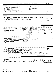|               | Schedule D (Form 990) 2020                                                                                                                                                                                                     | WORLD MEDICAL RELIEF INCORPORATED |                |                                                                                                                                                                                                                                |         |                 | 38-1575570 Page 2          |                     |         |         |
|---------------|--------------------------------------------------------------------------------------------------------------------------------------------------------------------------------------------------------------------------------|-----------------------------------|----------------|--------------------------------------------------------------------------------------------------------------------------------------------------------------------------------------------------------------------------------|---------|-----------------|----------------------------|---------------------|---------|---------|
|               | Organizations Maintaining Collections of Art, Historical Treasures, or Other Similar Assets (continued)<br>Part III                                                                                                            |                                   |                |                                                                                                                                                                                                                                |         |                 |                            |                     |         |         |
| 3             | Using the organization's acquisition, accession, and other records, check any of the following that make significant use of its                                                                                                |                                   |                |                                                                                                                                                                                                                                |         |                 |                            |                     |         |         |
|               | collection items (check all that apply):                                                                                                                                                                                       |                                   |                |                                                                                                                                                                                                                                |         |                 |                            |                     |         |         |
| a             | Public exhibition                                                                                                                                                                                                              |                                   |                | Loan or exchange program                                                                                                                                                                                                       |         |                 |                            |                     |         |         |
| b             | Scholarly research                                                                                                                                                                                                             | e                                 |                | Other the contract of the contract of the contract of the contract of the contract of the contract of the contract of the contract of the contract of the contract of the contract of the contract of the contract of the cont |         |                 |                            |                     |         |         |
| c             | Preservation for future generations                                                                                                                                                                                            |                                   |                |                                                                                                                                                                                                                                |         |                 |                            |                     |         |         |
| 4             | Provide a description of the organization's collections and explain how they further the organization's exempt purpose in Part XIII.                                                                                           |                                   |                |                                                                                                                                                                                                                                |         |                 |                            |                     |         |         |
| 5             | During the year, did the organization solicit or receive donations of art, historical treasures, or other similar assets                                                                                                       |                                   |                |                                                                                                                                                                                                                                |         |                 |                            |                     |         |         |
|               |                                                                                                                                                                                                                                |                                   |                |                                                                                                                                                                                                                                |         |                 |                            | Yes                 |         | No      |
|               | <b>Part IV</b><br><b>Escrow and Custodial Arrangements.</b> Complete if the organization answered "Yes" on Form 990, Part IV, line 9, or                                                                                       |                                   |                |                                                                                                                                                                                                                                |         |                 |                            |                     |         |         |
|               | reported an amount on Form 990, Part X, line 21.                                                                                                                                                                               |                                   |                |                                                                                                                                                                                                                                |         |                 |                            |                     |         |         |
|               | 1a Is the organization an agent, trustee, custodian or other intermediary for contributions or other assets not included                                                                                                       |                                   |                |                                                                                                                                                                                                                                |         |                 |                            |                     |         |         |
|               | on Form 990, Part X? [11] matter contracts and contracts and contracts are contracted as a form 990, Part X?                                                                                                                   |                                   |                |                                                                                                                                                                                                                                |         |                 |                            | Yes                 |         | No      |
|               | <b>b</b> If "Yes," explain the arrangement in Part XIII and complete the following table:                                                                                                                                      |                                   |                |                                                                                                                                                                                                                                |         |                 |                            |                     |         |         |
|               |                                                                                                                                                                                                                                |                                   |                |                                                                                                                                                                                                                                |         |                 |                            | Amount              |         |         |
|               | c Beginning balance measurements and the contract of the contract of the contract of the contract of the contract of the contract of the contract of the contract of the contract of the contract of the contract of the contr |                                   |                |                                                                                                                                                                                                                                |         | 1c              |                            |                     |         |         |
|               | d Additions during the year manufactured and an account of the year manufactured and account of the year manufactured and account of the year manufactured and account of the year manufactured and account of the year manufa |                                   |                |                                                                                                                                                                                                                                |         | 1d              |                            |                     |         |         |
|               | e Distributions during the year manufactured and contained and contained and contained and contained and contained and contained and contained and contained and contained and contained and contained and contained and conta |                                   |                |                                                                                                                                                                                                                                |         | 1e              |                            |                     |         |         |
| Ť.            |                                                                                                                                                                                                                                |                                   |                |                                                                                                                                                                                                                                |         | 1f              |                            |                     |         |         |
|               | 2a Did the organization include an amount on Form 990, Part X, line 21, for escrow or custodial account liability?                                                                                                             |                                   |                |                                                                                                                                                                                                                                |         |                 | .                          | Yes                 |         | No      |
|               |                                                                                                                                                                                                                                |                                   |                |                                                                                                                                                                                                                                |         |                 |                            |                     |         |         |
| <b>Part V</b> | <b>Endowment Funds.</b> Complete if the organization answered "Yes" on Form 990, Part IV, line 10.                                                                                                                             |                                   |                |                                                                                                                                                                                                                                |         |                 |                            |                     |         |         |
|               |                                                                                                                                                                                                                                | (a) Current year                  | (b) Prior year | (c) Two years back                                                                                                                                                                                                             |         |                 | (d) Three years back       | (e) Four years back |         |         |
|               | 1a Beginning of year balance                                                                                                                                                                                                   | 13,300.                           | 11,261.        |                                                                                                                                                                                                                                | 11,924. |                 | 10,850.                    |                     |         | 10,652. |
| b             |                                                                                                                                                                                                                                |                                   |                |                                                                                                                                                                                                                                |         |                 |                            |                     |         | 859.    |
|               | 1,694.<br>2,095.<br>$-607.$<br>1,708.<br>Net investment earnings, gains, and losses<br>с<br>506                                                                                                                                |                                   |                |                                                                                                                                                                                                                                |         |                 |                            |                     |         | 545.    |
|               | d Grants or scholarships                                                                                                                                                                                                       |                                   |                |                                                                                                                                                                                                                                |         |                 |                            |                     |         |         |
|               | e Other expenditures for facilities                                                                                                                                                                                            |                                   |                |                                                                                                                                                                                                                                |         |                 |                            |                     |         |         |
|               | and programs                                                                                                                                                                                                                   | 60.                               |                | 56.                                                                                                                                                                                                                            | 56.     |                 | 128,                       |                     |         | 116.    |
|               | f Administrative expenses                                                                                                                                                                                                      | 14.934.                           | 13,300.        |                                                                                                                                                                                                                                | 11,261. |                 | 11,924.                    |                     |         | 10,850. |
| g<br>2        | Provide the estimated percentage of the current year end balance (line 1g, column (a)) held as:                                                                                                                                |                                   |                |                                                                                                                                                                                                                                |         |                 |                            |                     |         |         |
|               | Board designated or quasi-endowment                                                                                                                                                                                            | 33.0400                           | %              |                                                                                                                                                                                                                                |         |                 |                            |                     |         |         |
| а<br>b        | Permanent endowment > 66.9600                                                                                                                                                                                                  | $\%$                              |                |                                                                                                                                                                                                                                |         |                 |                            |                     |         |         |
|               | c Term endowment $\blacktriangleright$                                                                                                                                                                                         | %                                 |                |                                                                                                                                                                                                                                |         |                 |                            |                     |         |         |
|               | The percentages on lines 2a, 2b, and 2c should equal 100%.                                                                                                                                                                     |                                   |                |                                                                                                                                                                                                                                |         |                 |                            |                     |         |         |
|               | 3a Are there endowment funds not in the possession of the organization that are held and administered for the organization                                                                                                     |                                   |                |                                                                                                                                                                                                                                |         |                 |                            |                     |         |         |
|               | by:                                                                                                                                                                                                                            |                                   |                |                                                                                                                                                                                                                                |         |                 |                            |                     | Yes     | No      |
|               | (i)                                                                                                                                                                                                                            |                                   |                |                                                                                                                                                                                                                                |         |                 |                            | 3a(i)               | X       |         |
|               |                                                                                                                                                                                                                                |                                   |                |                                                                                                                                                                                                                                |         |                 |                            | 3a(ii)              |         | X       |
|               |                                                                                                                                                                                                                                |                                   |                |                                                                                                                                                                                                                                |         |                 |                            | 3b                  |         |         |
| 4             | Describe in Part XIII the intended uses of the organization's endowment funds.                                                                                                                                                 |                                   |                |                                                                                                                                                                                                                                |         |                 |                            |                     |         |         |
|               | <b>Part VI</b><br>Land, Buildings, and Equipment.                                                                                                                                                                              |                                   |                |                                                                                                                                                                                                                                |         |                 |                            |                     |         |         |
|               | Complete if the organization answered "Yes" on Form 990, Part IV, line 11a. See Form 990, Part X, line 10.                                                                                                                     |                                   |                |                                                                                                                                                                                                                                |         |                 |                            |                     |         |         |
|               | Description of property                                                                                                                                                                                                        | (a) Cost or other                 |                | (b) Cost or other                                                                                                                                                                                                              |         | (c) Accumulated |                            | (d) Book value      |         |         |
|               |                                                                                                                                                                                                                                | basis (investment)                |                | basis (other)                                                                                                                                                                                                                  |         | depreciation    |                            |                     |         |         |
|               |                                                                                                                                                                                                                                |                                   |                |                                                                                                                                                                                                                                |         |                 |                            |                     |         |         |
|               |                                                                                                                                                                                                                                |                                   |                |                                                                                                                                                                                                                                |         |                 |                            |                     |         |         |
|               |                                                                                                                                                                                                                                |                                   |                |                                                                                                                                                                                                                                |         |                 |                            |                     |         |         |
|               |                                                                                                                                                                                                                                |                                   |                | 34,905.                                                                                                                                                                                                                        |         | 31,024.         |                            |                     | 3,881.  |         |
|               |                                                                                                                                                                                                                                |                                   |                | 176, 354.                                                                                                                                                                                                                      |         | 107,930.        |                            |                     | 68,424. |         |
|               | Total. Add lines 1a through 1e. (Column (d) must equal Form 990, Part X, column (B), line 10c.)                                                                                                                                |                                   |                |                                                                                                                                                                                                                                |         |                 |                            |                     | 72,305. |         |
|               |                                                                                                                                                                                                                                |                                   |                |                                                                                                                                                                                                                                |         |                 | Schedule D (Form 990) 2020 |                     |         |         |

032052 12-01-20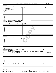|                  | Schedule D (Form 990) 2020                                                                                        |                              | WORLD MEDICAL RELIEF INCORPORATED |  | 38-1575570<br>Page 3                                                                                                                                                                                                                                                                                    |
|------------------|-------------------------------------------------------------------------------------------------------------------|------------------------------|-----------------------------------|--|---------------------------------------------------------------------------------------------------------------------------------------------------------------------------------------------------------------------------------------------------------------------------------------------------------|
| <b>Part VIII</b> | <b>Investments - Other Securities.</b>                                                                            |                              |                                   |  |                                                                                                                                                                                                                                                                                                         |
|                  | Complete if the organization answered "Yes" on Form 990, Part IV, line 11b. See Form 990, Part X, line 12.        |                              |                                   |  |                                                                                                                                                                                                                                                                                                         |
|                  | (a) Description of security or category (including name of security)                                              |                              | (b) Book value                    |  | (c) Method of valuation: Cost or end-of-year market value                                                                                                                                                                                                                                               |
|                  | (1) Financial derivatives                                                                                         |                              |                                   |  |                                                                                                                                                                                                                                                                                                         |
|                  |                                                                                                                   |                              |                                   |  |                                                                                                                                                                                                                                                                                                         |
| (3) Other        |                                                                                                                   |                              |                                   |  |                                                                                                                                                                                                                                                                                                         |
| (A)              |                                                                                                                   |                              |                                   |  |                                                                                                                                                                                                                                                                                                         |
| (B)              |                                                                                                                   |                              |                                   |  |                                                                                                                                                                                                                                                                                                         |
| (C)              |                                                                                                                   |                              |                                   |  |                                                                                                                                                                                                                                                                                                         |
| (D)              |                                                                                                                   |                              |                                   |  |                                                                                                                                                                                                                                                                                                         |
| (E)              |                                                                                                                   |                              |                                   |  |                                                                                                                                                                                                                                                                                                         |
| (F)              |                                                                                                                   |                              |                                   |  |                                                                                                                                                                                                                                                                                                         |
| (G)              |                                                                                                                   |                              |                                   |  |                                                                                                                                                                                                                                                                                                         |
| (H)              |                                                                                                                   |                              |                                   |  |                                                                                                                                                                                                                                                                                                         |
|                  | Total. (Col. (b) must equal Form 990, Part X, col. (B) line 12.)                                                  |                              |                                   |  |                                                                                                                                                                                                                                                                                                         |
|                  | Part VIII Investments - Program Related.                                                                          |                              |                                   |  |                                                                                                                                                                                                                                                                                                         |
|                  | Complete if the organization answered "Yes" on Form 990, Part IV, line 11c. See Form 990, Part X, line 13.        |                              |                                   |  |                                                                                                                                                                                                                                                                                                         |
|                  | (a) Description of investment                                                                                     |                              | (b) Book value                    |  | (c) Method of valuation: Cost or end-of-year market value                                                                                                                                                                                                                                               |
| (1)              |                                                                                                                   |                              |                                   |  |                                                                                                                                                                                                                                                                                                         |
| (2)              |                                                                                                                   |                              |                                   |  |                                                                                                                                                                                                                                                                                                         |
| (3)              |                                                                                                                   |                              |                                   |  |                                                                                                                                                                                                                                                                                                         |
| (4)              |                                                                                                                   |                              |                                   |  |                                                                                                                                                                                                                                                                                                         |
| (5)              |                                                                                                                   |                              |                                   |  |                                                                                                                                                                                                                                                                                                         |
| (6)              |                                                                                                                   |                              |                                   |  |                                                                                                                                                                                                                                                                                                         |
| (7)              |                                                                                                                   |                              |                                   |  |                                                                                                                                                                                                                                                                                                         |
| (8)              |                                                                                                                   |                              |                                   |  |                                                                                                                                                                                                                                                                                                         |
| (9)              |                                                                                                                   |                              |                                   |  |                                                                                                                                                                                                                                                                                                         |
| Part IX          | Total. (Col. (b) must equal Form 990, Part X, col. (B) line 13.)<br><b>Other Assets.</b>                          |                              |                                   |  |                                                                                                                                                                                                                                                                                                         |
|                  |                                                                                                                   |                              |                                   |  |                                                                                                                                                                                                                                                                                                         |
|                  | Complete if the organization answered "Yes" on Form 990, Part IV, line 11d. See Form 990, Part X, line 15.        |                              | (a) Description                   |  | (b) Book value                                                                                                                                                                                                                                                                                          |
|                  |                                                                                                                   |                              |                                   |  |                                                                                                                                                                                                                                                                                                         |
| (1)              |                                                                                                                   |                              |                                   |  |                                                                                                                                                                                                                                                                                                         |
| (2)              |                                                                                                                   |                              |                                   |  |                                                                                                                                                                                                                                                                                                         |
| (3)              |                                                                                                                   |                              |                                   |  |                                                                                                                                                                                                                                                                                                         |
| (4)              |                                                                                                                   |                              |                                   |  |                                                                                                                                                                                                                                                                                                         |
| (5)              |                                                                                                                   |                              |                                   |  |                                                                                                                                                                                                                                                                                                         |
| (6)              |                                                                                                                   |                              |                                   |  |                                                                                                                                                                                                                                                                                                         |
| (7)<br>(8)       |                                                                                                                   |                              |                                   |  |                                                                                                                                                                                                                                                                                                         |
| (9)              |                                                                                                                   |                              |                                   |  |                                                                                                                                                                                                                                                                                                         |
|                  | Total. (Column (b) must equal Form 990, Part X, col. (B) line 15.)                                                |                              |                                   |  |                                                                                                                                                                                                                                                                                                         |
| Part X           | <b>Other Liabilities.</b>                                                                                         |                              |                                   |  |                                                                                                                                                                                                                                                                                                         |
|                  | Complete if the organization answered "Yes" on Form 990, Part IV, line 11e or 11f. See Form 990, Part X, line 25. |                              |                                   |  |                                                                                                                                                                                                                                                                                                         |
| 1.               |                                                                                                                   | (a) Description of liability |                                   |  | (b) Book value                                                                                                                                                                                                                                                                                          |
| (1)              | Federal income taxes                                                                                              |                              |                                   |  |                                                                                                                                                                                                                                                                                                         |
| (2)              |                                                                                                                   |                              |                                   |  |                                                                                                                                                                                                                                                                                                         |
| (3)              |                                                                                                                   |                              |                                   |  |                                                                                                                                                                                                                                                                                                         |
| (4)              |                                                                                                                   |                              |                                   |  |                                                                                                                                                                                                                                                                                                         |
| (5)              |                                                                                                                   |                              |                                   |  |                                                                                                                                                                                                                                                                                                         |
| (6)              |                                                                                                                   |                              |                                   |  |                                                                                                                                                                                                                                                                                                         |
| (7)              |                                                                                                                   |                              |                                   |  |                                                                                                                                                                                                                                                                                                         |
| (8)              |                                                                                                                   |                              |                                   |  |                                                                                                                                                                                                                                                                                                         |
| (9)              |                                                                                                                   |                              |                                   |  |                                                                                                                                                                                                                                                                                                         |
|                  |                                                                                                                   |                              |                                   |  |                                                                                                                                                                                                                                                                                                         |
|                  |                                                                                                                   |                              |                                   |  |                                                                                                                                                                                                                                                                                                         |
|                  |                                                                                                                   |                              |                                   |  | 2. Liability for uncertain tax positions. In Part XIII, provide the text of the footnote to the organization's financial statements that reports the<br>organization's liability for uncertain tax positions under FASB ASC 740. Check here if the text of the footnote has been provided in Part XIII. |

**Schedule D (Form 990) 2020**

032053 12-01-20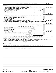|    | WORLD MEDICAL RELIEF INCORPORATED<br>Schedule D (Form 990) 2020                                                                                                |                |           |                | 38-1575570 Page 4 |
|----|----------------------------------------------------------------------------------------------------------------------------------------------------------------|----------------|-----------|----------------|-------------------|
|    | Reconciliation of Revenue per Audited Financial Statements With Revenue per Return.<br>Part XI                                                                 |                |           |                |                   |
|    | Complete if the organization answered "Yes" on Form 990, Part IV, line 12a.                                                                                    |                |           |                |                   |
| 1  | Total revenue, gains, and other support per audited financial statements                                                                                       |                |           | $\blacksquare$ | 34,380,251.       |
| 2  | Amounts included on line 1 but not on Form 990, Part VIII, line 12:                                                                                            |                |           |                |                   |
| a  | Net unrealized gains (losses) on investments [111] Met unrealized gains (losses) on investments [11] Metamanic                                                 | 2a             | 1,634.    |                |                   |
| b  |                                                                                                                                                                | 2 <sub>b</sub> | 105, 130. |                |                   |
| с  |                                                                                                                                                                | 2c             |           |                |                   |
| d  | Other (Describe in Part XIII.) (2000) (2000) (2000) (2010) (2010) (2010) (2010) (2010) (2010) (2010) (2010) (20                                                | 2d             |           |                |                   |
|    | e Add lines 2a through 2d                                                                                                                                      |                |           | 2е             | 106,764.          |
| 3  |                                                                                                                                                                |                |           | 3              | 34, 273, 487.     |
| 4  | Amounts included on Form 990, Part VIII, line 12, but not on line 1:                                                                                           |                |           |                |                   |
| a  | Investment expenses not included on Form 990, Part VIII, line 7b                                                                                               | 4a             |           |                |                   |
| b  |                                                                                                                                                                | 4b             |           |                |                   |
| c. | Add lines 4a and 4b                                                                                                                                            |                |           | 4c             | 0.                |
|    |                                                                                                                                                                |                |           | 5              | 34, 273, 487.     |
|    | Part XII   Reconciliation of Expenses per Audited Financial Statements With Expenses per Return.                                                               |                |           |                |                   |
|    | Complete if the organization answered "Yes" on Form 990, Part IV, line 12a.                                                                                    |                |           |                |                   |
| 1  |                                                                                                                                                                |                |           | $\blacksquare$ | 34,337,495.       |
| 2  | Amounts included on line 1 but not on Form 990, Part IX, line 25:                                                                                              |                |           |                |                   |
| a  |                                                                                                                                                                | 2a             | 105, 130. |                |                   |
| b  | Prior year adjustments <i>www.www.www.www.www.www.www.www.www.</i> ww.                                                                                         | 2 <sub>b</sub> |           |                |                   |
| c  |                                                                                                                                                                | 2 <sub>c</sub> |           |                |                   |
| d  |                                                                                                                                                                | 2d             |           |                |                   |
|    | e Add lines 2a through 2d <b>must be a constructed as a constructed by a construction of the Add lines 2a through 2d</b>                                       |                |           | 2e             | 105, 130.         |
| З  |                                                                                                                                                                |                |           | 3              | 34, 232, 365.     |
| 4  | Amounts included on Form 990, Part IX, line 25, but not on line 1:                                                                                             |                |           |                |                   |
| a  | Investment expenses not included on Form 990, Part VIII, line 7b [1000111111111111111111111111111111                                                           | 4a             |           |                |                   |
| b  |                                                                                                                                                                | 4 <sub>h</sub> |           |                |                   |
|    | c Add lines 4a and 4b                                                                                                                                          |                |           | 4c             | 0.                |
|    |                                                                                                                                                                |                |           | 5              | 34, 232, 365.     |
|    | Part XIII Supplemental Information.                                                                                                                            |                |           |                |                   |
|    | Provide the descriptions required for Part II, lines 3, 5, and 9; Part III, lines 1a and 4; Part IV, lines 1b and 2b; Part V, line 4; Part X, line 2; Part XI, |                |           |                |                   |
|    | lines 2d and 4b; and Part XII, lines 2d and 4b. Also complete this part to provide any additional information.                                                 |                |           |                |                   |
|    |                                                                                                                                                                |                |           |                |                   |
|    |                                                                                                                                                                |                |           |                |                   |

PART V, LINE 4:

INVESTMENT EARNINGS FROM THE FUNDS WILL BE USED TO SUPPORT FUTURE

OPERATIONS AND PROGRAMS OF THE ORGANIZATION.

032054 12-01-20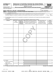|              |                                        |                              |                                 | <b>Statement of Activities Outside the United States</b>                                                                                                                                                                                             |                               | OMB No. 1545-0047                     |
|--------------|----------------------------------------|------------------------------|---------------------------------|------------------------------------------------------------------------------------------------------------------------------------------------------------------------------------------------------------------------------------------------------|-------------------------------|---------------------------------------|
|              | <b>SCHEDULE F</b><br>(Form 990)        |                              |                                 | Complete if the organization answered "Yes" on Form 990, Part IV, line 14b, 15, or 16.                                                                                                                                                               |                               |                                       |
|              | Department of the Treasury             |                              |                                 | Attach to Form 990.                                                                                                                                                                                                                                  |                               | <b>Open to Public</b>                 |
|              | Internal Revenue Service               |                              |                                 | Go to www.irs.gov/Form990 for instructions and the latest information.                                                                                                                                                                               |                               | Inspection                            |
|              | Name of the organization               |                              |                                 |                                                                                                                                                                                                                                                      |                               | <b>Employer identification number</b> |
|              | WORLD MEDICAL RELIEF INCORPORATED      |                              |                                 |                                                                                                                                                                                                                                                      | 38-1575570                    |                                       |
|              | Part I                                 |                              |                                 | General Information on Activities Outside the United States. Complete if the organization answered "Yes" on                                                                                                                                          |                               |                                       |
|              |                                        | Form 990, Part IV, line 14b. |                                 |                                                                                                                                                                                                                                                      |                               |                                       |
| 1.           |                                        |                              |                                 | For grantmakers. Does the organization maintain records to substantiate the amount of its grants and other assistance,<br>the grantees' eligibility for the grants or assistance, and the selection criteria used to award the grants or assistance? |                               | $\boxed{\text{X}}$ No<br><b>」Yes</b>  |
|              |                                        |                              |                                 |                                                                                                                                                                                                                                                      |                               |                                       |
| $\mathbf{2}$ |                                        |                              |                                 | For grantmakers. Describe in Part V the organization's procedures for monitoring the use of its grants and other assistance outside the                                                                                                              |                               |                                       |
|              | United States.                         |                              |                                 |                                                                                                                                                                                                                                                      |                               |                                       |
| 3            | (a) Region                             |                              | (b) Number of $ $ (c) Number of | Activities per Region. (The following Part I, line 3 table can be duplicated if additional space is needed.)<br>(d) Activities conducted in the region                                                                                               | (e) If activity listed in (d) | (f) Total                             |
|              |                                        | offices                      | employees,<br>agents, and       | (by type) (such as, fundraising, pro-                                                                                                                                                                                                                | is a program service,         | expenditures                          |
|              |                                        | in the region                | independent                     | gram services, investments, grants to                                                                                                                                                                                                                | describe specific type        | for and<br>investments                |
|              |                                        |                              | contractors<br>in the region    | recipients located in the region)                                                                                                                                                                                                                    | of service(s) in the region   | in the region                         |
|              |                                        |                              |                                 |                                                                                                                                                                                                                                                      |                               |                                       |
|              |                                        |                              |                                 |                                                                                                                                                                                                                                                      |                               |                                       |
|              |                                        |                              |                                 |                                                                                                                                                                                                                                                      |                               |                                       |
|              |                                        |                              |                                 |                                                                                                                                                                                                                                                      |                               |                                       |
|              |                                        |                              |                                 |                                                                                                                                                                                                                                                      |                               |                                       |
|              |                                        |                              |                                 |                                                                                                                                                                                                                                                      |                               |                                       |
|              |                                        |                              |                                 |                                                                                                                                                                                                                                                      |                               |                                       |
|              |                                        |                              |                                 |                                                                                                                                                                                                                                                      |                               |                                       |
|              |                                        |                              |                                 |                                                                                                                                                                                                                                                      |                               |                                       |
|              |                                        |                              |                                 |                                                                                                                                                                                                                                                      |                               |                                       |
|              |                                        |                              |                                 |                                                                                                                                                                                                                                                      |                               |                                       |
|              |                                        |                              |                                 |                                                                                                                                                                                                                                                      |                               |                                       |
|              |                                        |                              |                                 |                                                                                                                                                                                                                                                      |                               |                                       |
|              |                                        |                              |                                 |                                                                                                                                                                                                                                                      |                               |                                       |
|              |                                        |                              |                                 |                                                                                                                                                                                                                                                      |                               |                                       |
|              |                                        |                              |                                 |                                                                                                                                                                                                                                                      |                               |                                       |
|              |                                        |                              |                                 |                                                                                                                                                                                                                                                      |                               |                                       |
|              |                                        |                              |                                 |                                                                                                                                                                                                                                                      |                               |                                       |
|              |                                        |                              |                                 |                                                                                                                                                                                                                                                      |                               |                                       |
|              |                                        |                              |                                 |                                                                                                                                                                                                                                                      |                               |                                       |
|              |                                        |                              |                                 |                                                                                                                                                                                                                                                      |                               |                                       |
|              |                                        |                              |                                 |                                                                                                                                                                                                                                                      |                               |                                       |
|              |                                        |                              |                                 |                                                                                                                                                                                                                                                      |                               |                                       |
|              |                                        |                              |                                 |                                                                                                                                                                                                                                                      |                               |                                       |
|              |                                        |                              |                                 |                                                                                                                                                                                                                                                      |                               |                                       |
|              |                                        |                              |                                 |                                                                                                                                                                                                                                                      |                               |                                       |
|              | <b>3 a</b> Subtotal<br>.               | 0                            | 0                               |                                                                                                                                                                                                                                                      |                               | 0.                                    |
|              | <b>b</b> Total from continuation       |                              |                                 |                                                                                                                                                                                                                                                      |                               |                                       |
|              | sheets to Part I                       | n                            | 0                               |                                                                                                                                                                                                                                                      |                               | 0.                                    |
|              | c Totals (add lines 3a<br>and 3b)<br>. |                              | 0                               |                                                                                                                                                                                                                                                      |                               | 0.                                    |
|              |                                        |                              |                                 |                                                                                                                                                                                                                                                      |                               |                                       |

**For Paperwork Reduction Act Notice, see the Instructions for Form 990. Schedule F (Form 990) 2020** LHA

OMB No. 1545-0047

032071 12-03-20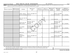Part II | Grants and Other Assistance to Organizations or Entities Outside the United States. Complete if the organization answered "Yes" on Form 990, Part IV, line 15, for any recipient who received more than \$5,000. Part II can be duplicated if additional space is needed.

| 1<br>(a) Name of organization                              | (b) IRS code section<br>and EIN (if applicable) | (c) Region                      | (d) Purpose of<br>grant                                                                                                                 | (e) Amount<br>of cash grant | (f) Manner of<br>cash disbursement | (g) Amount of<br>noncash<br>assistance | (h) Description<br>of noncash<br>assistance | (i) Method of<br>valuation (book, FMV,<br>appraisal, other) |
|------------------------------------------------------------|-------------------------------------------------|---------------------------------|-----------------------------------------------------------------------------------------------------------------------------------------|-----------------------------|------------------------------------|----------------------------------------|---------------------------------------------|-------------------------------------------------------------|
|                                                            |                                                 |                                 |                                                                                                                                         |                             |                                    |                                        |                                             |                                                             |
|                                                            |                                                 | CENTRAL AMERICA                 | MEDICAL EQUIPMENT AND                                                                                                                   |                             |                                    |                                        | MEDICAL EQUIPMENT                           |                                                             |
|                                                            |                                                 | AND THE CARIBBEAN               | <b>SUPPLIES</b>                                                                                                                         | $\mathbf{0}$                |                                    |                                        | 483,800. AND SUPPLIES                       | FMV & ESTIMATE                                              |
|                                                            |                                                 |                                 |                                                                                                                                         |                             |                                    |                                        |                                             |                                                             |
|                                                            |                                                 | EAST ASIA AND THE               |                                                                                                                                         |                             |                                    |                                        |                                             |                                                             |
|                                                            |                                                 | PACIFIC                         | MEDICINE                                                                                                                                | $\overline{0}$              |                                    |                                        | 32,051. MEDICINE                            | FMV & ESTIMATE                                              |
|                                                            |                                                 |                                 |                                                                                                                                         |                             |                                    |                                        |                                             |                                                             |
|                                                            |                                                 |                                 | MEDICINE, MEDICAL                                                                                                                       |                             |                                    |                                        | MEDICINE, MEDICAL                           |                                                             |
|                                                            |                                                 | MIDDLE EAST AND<br>NORTH AFRICA | EQUIPMENT AND<br>SUPPLIES                                                                                                               | 0                           |                                    |                                        | EQUIPMENT AND<br>12693918SUPPLIES           | FMV & ESTIMATE                                              |
|                                                            |                                                 |                                 |                                                                                                                                         |                             |                                    |                                        |                                             |                                                             |
|                                                            |                                                 |                                 | MEDICINE, MEDICAL                                                                                                                       |                             |                                    |                                        | MEDICINE, MEDICAL                           |                                                             |
|                                                            |                                                 | <b>SUB-SAHARAN</b>              | EQUIPMENT AND                                                                                                                           |                             |                                    |                                        | EOUIPMENT AND                               |                                                             |
|                                                            |                                                 | AFRICA                          | SUPPLIES                                                                                                                                | 0                           |                                    |                                        | 15884752SUPPLIES                            | FMV & ESTIMATE                                              |
|                                                            |                                                 |                                 |                                                                                                                                         |                             |                                    |                                        |                                             |                                                             |
|                                                            |                                                 |                                 | MEDICAL EQUIPMENT AND                                                                                                                   |                             |                                    |                                        | MEDICAL EQUIPMENT                           |                                                             |
|                                                            |                                                 | SOUTH ASIA                      | SUPPLIES                                                                                                                                | $\mathbf{0}$                |                                    |                                        | 511,860. AND SUPPLIES                       | FMV & ESTIMATE                                              |
|                                                            |                                                 |                                 |                                                                                                                                         |                             |                                    |                                        |                                             |                                                             |
|                                                            |                                                 | <b>RUSSIA</b> &                 |                                                                                                                                         |                             |                                    |                                        |                                             |                                                             |
|                                                            |                                                 | NEIGHBORING                     | MEDICAL EQUIPMENT AND                                                                                                                   |                             |                                    |                                        | MEDICAL EQUIPMENT                           |                                                             |
|                                                            |                                                 | <b>STATES</b>                   | SUPPLIES                                                                                                                                | $\mathbf 0$                 |                                    |                                        | 1086480. AND SUPPLIES                       | FMV & ESTIMATE                                              |
|                                                            |                                                 |                                 |                                                                                                                                         |                             |                                    |                                        |                                             |                                                             |
|                                                            |                                                 |                                 |                                                                                                                                         |                             |                                    |                                        |                                             |                                                             |
|                                                            |                                                 |                                 |                                                                                                                                         |                             |                                    |                                        |                                             |                                                             |
|                                                            |                                                 |                                 |                                                                                                                                         |                             |                                    |                                        |                                             |                                                             |
|                                                            |                                                 |                                 |                                                                                                                                         |                             |                                    |                                        |                                             |                                                             |
|                                                            |                                                 |                                 |                                                                                                                                         |                             |                                    |                                        |                                             |                                                             |
| 2                                                          |                                                 |                                 | Enter total number of recipient organizations listed above that are recognized as charities by the foreign country, recognized as a tax |                             |                                    |                                        |                                             |                                                             |
|                                                            |                                                 |                                 |                                                                                                                                         |                             |                                    |                                        |                                             |                                                             |
| Enter total number of other organizations or entities<br>3 |                                                 |                                 |                                                                                                                                         |                             |                                    |                                        |                                             |                                                             |

**Schedule F (Form 990) 2020**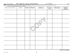| Schedule F (Form 990) 2020 | INCORPORATED<br>MEDICAL<br>RELIEF<br><b>WORLD</b> | E7EE7A<br>ി റ<br>־ הי | Page |
|----------------------------|---------------------------------------------------|-----------------------|------|

Page 3

Part III Grants and Other Assistance to Individuals Outside the United States. Complete if the organization answered "Yes" on Form 990, Part IV, line 16. Part III can be duplicated if additional space is needed.

| a ca. . so asp. ca.ca.  ass.<br>(a) Type of grant or assistance | (b) Region | (c) Number of<br>recipients | (d) Amount of<br>cash grant | (e) Manner of<br>cash disbursement | (f) Amount of<br>noncash<br>assistance | (g) Description of<br>noncash assistance | (h) Method of<br>valuation<br>(book, FMV,<br>appraisal, other) |
|-----------------------------------------------------------------|------------|-----------------------------|-----------------------------|------------------------------------|----------------------------------------|------------------------------------------|----------------------------------------------------------------|
|                                                                 |            |                             |                             |                                    |                                        |                                          |                                                                |
|                                                                 |            |                             |                             |                                    |                                        |                                          |                                                                |
|                                                                 |            |                             |                             |                                    |                                        |                                          |                                                                |
|                                                                 |            |                             |                             |                                    |                                        |                                          |                                                                |
|                                                                 |            |                             |                             |                                    |                                        |                                          |                                                                |
|                                                                 |            |                             |                             |                                    |                                        |                                          |                                                                |
|                                                                 |            |                             |                             |                                    |                                        |                                          |                                                                |
|                                                                 |            |                             |                             |                                    |                                        |                                          |                                                                |
|                                                                 |            |                             |                             |                                    |                                        |                                          |                                                                |
|                                                                 |            |                             |                             |                                    |                                        |                                          |                                                                |

**Schedule F (Form 990) 2020**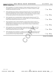#### Schedule F (Form 990) 2020 WORLD MEDICAL RELIEF INCORPORATED 38-1575570 <sub>Page</sub> **Part IV F** (Form 990) 2020 **I**<br>**Part IV Foreign Forms**

| 2<br>3<br>4<br>5<br>6 |                                                                                                                                                                                                                                                                                                                                   |     |                            |
|-----------------------|-----------------------------------------------------------------------------------------------------------------------------------------------------------------------------------------------------------------------------------------------------------------------------------------------------------------------------------|-----|----------------------------|
|                       | Did the organization have any operations in or related to any boycotting countries during the tax year? If<br>"Yes," the organization may be required to separately file Form 5713, International Boycott Report (see                                                                                                             | Yes | $\overline{X}$ No          |
|                       | Did the organization have an ownership interest in a foreign partnership during the tax year? If "Yes,"<br>the organization may be required to file Form 8865, Return of U.S. Persons With Respect to Certain                                                                                                                     | Yes | $\overline{\mathbf{X}}$ No |
|                       | Was the organization a direct or indirect shareholder of a passive foreign investment company or a<br>qualified electing fund during the tax year? If "Yes," the organization may be required to file Form 8621,<br>Information Return by a Shareholder of a Passive Foreign Investment Company or Qualified Electing             | Yes | $\overline{X}$ No          |
|                       | Did the organization have an ownership interest in a foreign corporation during the tax year? If "Yes,"<br>the organization may be required to file Form 5471, Information Return of U.S. Persons With Respect to                                                                                                                 | Yes | $X _{N_{\Omega}}$          |
|                       | Did the organization have an interest in a foreign trust during the tax year? If "Yes," the organization may<br>be required to separately file Form 3520, Annual Return To Report Transactions With Foreign Trusts and<br>Receipt of Certain Foreign Gifts, and/or Form 3520-A, Annual Information Return of Foreign Trust With a | Yes | $\overline{X}$ No          |
| 1                     | Was the organization a U.S. transferor of property to a foreign corporation during the tax year? If "Yes,"<br>the organization may be required to file Form 926, Return by a U.S. Transferor of Property to a Foreign                                                                                                             | Yes | $X$ No                     |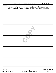|               | Schedule F (Form 990) 2020      |  | WORLD MEDICAL RELIEF INCORPORATED | 38-1575570                                                                                                                            | Page |
|---------------|---------------------------------|--|-----------------------------------|---------------------------------------------------------------------------------------------------------------------------------------|------|
| <b>Part V</b> | <b>Supplemental Information</b> |  |                                   |                                                                                                                                       |      |
|               |                                 |  |                                   | Provide the information required by Part I, line 2 (monitoring of funds); Part I, line 3, column (f) (accounting method; amounts of   |      |
|               |                                 |  |                                   | investments vs. expenditures per region); Part II, line 1 (accounting method); Part III (accounting method); and Part III, column (c) |      |
|               |                                 |  |                                   | (estimated number of recipients), as applicable. Also complete this part to provide any additional information. See instructions.     |      |
|               |                                 |  |                                   |                                                                                                                                       |      |
|               |                                 |  |                                   |                                                                                                                                       |      |
|               |                                 |  |                                   |                                                                                                                                       |      |
|               |                                 |  |                                   |                                                                                                                                       |      |
|               |                                 |  |                                   |                                                                                                                                       |      |
|               |                                 |  |                                   |                                                                                                                                       |      |
|               |                                 |  |                                   |                                                                                                                                       |      |
|               |                                 |  |                                   |                                                                                                                                       |      |
|               |                                 |  |                                   |                                                                                                                                       |      |
|               |                                 |  |                                   |                                                                                                                                       |      |
|               |                                 |  |                                   |                                                                                                                                       |      |
|               |                                 |  |                                   |                                                                                                                                       |      |
|               |                                 |  |                                   |                                                                                                                                       |      |
|               |                                 |  |                                   |                                                                                                                                       |      |
|               |                                 |  |                                   |                                                                                                                                       |      |
|               |                                 |  |                                   |                                                                                                                                       |      |
|               |                                 |  |                                   |                                                                                                                                       |      |
|               |                                 |  |                                   |                                                                                                                                       |      |
|               |                                 |  |                                   |                                                                                                                                       |      |
|               |                                 |  |                                   |                                                                                                                                       |      |
|               |                                 |  |                                   |                                                                                                                                       |      |
|               |                                 |  |                                   |                                                                                                                                       |      |
|               |                                 |  |                                   |                                                                                                                                       |      |
|               |                                 |  |                                   |                                                                                                                                       |      |
|               |                                 |  |                                   |                                                                                                                                       |      |
|               |                                 |  |                                   |                                                                                                                                       |      |
|               |                                 |  |                                   |                                                                                                                                       |      |
|               |                                 |  |                                   |                                                                                                                                       |      |
|               |                                 |  |                                   |                                                                                                                                       |      |
|               |                                 |  |                                   |                                                                                                                                       |      |
|               |                                 |  |                                   |                                                                                                                                       |      |
|               |                                 |  |                                   |                                                                                                                                       |      |
|               |                                 |  |                                   |                                                                                                                                       |      |
|               |                                 |  |                                   |                                                                                                                                       |      |
|               |                                 |  |                                   |                                                                                                                                       |      |
|               |                                 |  |                                   |                                                                                                                                       |      |
|               |                                 |  |                                   |                                                                                                                                       |      |
|               |                                 |  |                                   |                                                                                                                                       |      |
|               |                                 |  |                                   |                                                                                                                                       |      |
|               |                                 |  |                                   |                                                                                                                                       |      |
|               |                                 |  |                                   |                                                                                                                                       |      |
|               |                                 |  |                                   |                                                                                                                                       |      |
|               |                                 |  |                                   |                                                                                                                                       |      |
|               |                                 |  |                                   |                                                                                                                                       |      |
|               |                                 |  |                                   |                                                                                                                                       |      |
|               |                                 |  |                                   |                                                                                                                                       |      |
|               |                                 |  |                                   |                                                                                                                                       |      |
|               |                                 |  |                                   |                                                                                                                                       |      |
|               |                                 |  |                                   |                                                                                                                                       |      |
|               |                                 |  |                                   |                                                                                                                                       |      |
|               |                                 |  |                                   |                                                                                                                                       |      |
|               |                                 |  |                                   |                                                                                                                                       |      |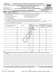| <b>SCHEDULE G</b>                                                                                  |                                                                                                        | <b>Supplemental Information Regarding Fundraising or Gaming Activities</b>                                                                         |     |                                         |                                       |  |                                        | OMB No. 1545-0047                       |
|----------------------------------------------------------------------------------------------------|--------------------------------------------------------------------------------------------------------|----------------------------------------------------------------------------------------------------------------------------------------------------|-----|-----------------------------------------|---------------------------------------|--|----------------------------------------|-----------------------------------------|
| (Form 990 or 990-EZ)                                                                               |                                                                                                        | Complete if the organization answered "Yes" on Form 990, Part IV, line 17, 18, or 19, or if the                                                    |     |                                         |                                       |  |                                        |                                         |
| Department of the Treasury                                                                         | organization entered more than \$15,000 on Form 990-EZ, line 6a.<br>Attach to Form 990 or Form 990-EZ. |                                                                                                                                                    |     |                                         |                                       |  |                                        | <b>Open to Public</b>                   |
| Internal Revenue Service<br>Go to www.irs.gov/Form990 for instructions and the latest information. |                                                                                                        |                                                                                                                                                    |     |                                         |                                       |  | Inspection                             |                                         |
| Name of the organization                                                                           |                                                                                                        |                                                                                                                                                    |     |                                         |                                       |  |                                        | <b>Employer identification number</b>   |
|                                                                                                    |                                                                                                        | WORLD MEDICAL RELIEF INCORPORATED                                                                                                                  |     |                                         |                                       |  | 38-1575570                             |                                         |
| Part I                                                                                             | required to complete this part.                                                                        | Fundraising Activities. Complete if the organization answered "Yes" on Form 990, Part IV, line 17. Form 990-EZ filers are not                      |     |                                         |                                       |  |                                        |                                         |
|                                                                                                    |                                                                                                        | 1 Indicate whether the organization raised funds through any of the following activities. Check all that apply.                                    |     |                                         |                                       |  |                                        |                                         |
| Mail solicitations<br>a                                                                            |                                                                                                        | e                                                                                                                                                  |     |                                         | Solicitation of non-government grants |  |                                        |                                         |
| b                                                                                                  | Internet and email solicitations                                                                       | f                                                                                                                                                  |     |                                         | Solicitation of government grants     |  |                                        |                                         |
| Phone solicitations<br>c                                                                           |                                                                                                        | Special fundraising events<br>g                                                                                                                    |     |                                         |                                       |  |                                        |                                         |
| In-person solicitations<br>d                                                                       |                                                                                                        | 2 a Did the organization have a written or oral agreement with any individual (including officers, directors, trustees, or                         |     |                                         |                                       |  |                                        |                                         |
|                                                                                                    |                                                                                                        | key employees listed in Form 990, Part VII) or entity in connection with professional fundraising services?                                        |     |                                         |                                       |  | Yes                                    | No                                      |
|                                                                                                    |                                                                                                        | b If "Yes," list the 10 highest paid individuals or entities (fundraisers) pursuant to agreements under which the fundraiser is to be              |     |                                         |                                       |  |                                        |                                         |
| compensated at least \$5,000 by the organization.                                                  |                                                                                                        |                                                                                                                                                    |     |                                         |                                       |  |                                        |                                         |
|                                                                                                    |                                                                                                        |                                                                                                                                                    |     |                                         |                                       |  |                                        |                                         |
| (i) Name and address of individual                                                                 |                                                                                                        | (ii) Activity                                                                                                                                      |     | (iii) Did<br>fundraiser<br>have custody | (iv) Gross receipts                   |  | (v) Amount paid<br>to (or retained by) | (vi) Amount paid<br>to (or retained by) |
| or entity (fundraiser)                                                                             |                                                                                                        |                                                                                                                                                    |     | or control of<br>contributions?         | from activity                         |  | fundraiser<br>listed in col. (i)       | organization                            |
|                                                                                                    |                                                                                                        |                                                                                                                                                    | Yes | No.                                     |                                       |  |                                        |                                         |
|                                                                                                    |                                                                                                        |                                                                                                                                                    |     |                                         |                                       |  |                                        |                                         |
|                                                                                                    |                                                                                                        |                                                                                                                                                    |     |                                         |                                       |  |                                        |                                         |
|                                                                                                    |                                                                                                        |                                                                                                                                                    |     |                                         |                                       |  |                                        |                                         |
|                                                                                                    |                                                                                                        |                                                                                                                                                    |     |                                         |                                       |  |                                        |                                         |
|                                                                                                    |                                                                                                        |                                                                                                                                                    |     |                                         |                                       |  |                                        |                                         |
|                                                                                                    |                                                                                                        |                                                                                                                                                    |     |                                         |                                       |  |                                        |                                         |
|                                                                                                    |                                                                                                        |                                                                                                                                                    |     |                                         |                                       |  |                                        |                                         |
|                                                                                                    |                                                                                                        |                                                                                                                                                    |     |                                         |                                       |  |                                        |                                         |
|                                                                                                    |                                                                                                        |                                                                                                                                                    |     |                                         |                                       |  |                                        |                                         |
|                                                                                                    |                                                                                                        |                                                                                                                                                    |     |                                         |                                       |  |                                        |                                         |
|                                                                                                    |                                                                                                        |                                                                                                                                                    |     |                                         |                                       |  |                                        |                                         |
|                                                                                                    |                                                                                                        |                                                                                                                                                    |     |                                         |                                       |  |                                        |                                         |
|                                                                                                    |                                                                                                        |                                                                                                                                                    |     |                                         |                                       |  |                                        |                                         |
| Total                                                                                              |                                                                                                        |                                                                                                                                                    |     |                                         |                                       |  |                                        |                                         |
| or licensing.                                                                                      |                                                                                                        | 3 List all states in which the organization is registered or licensed to solicit contributions or has been notified it is exempt from registration |     |                                         |                                       |  |                                        |                                         |
|                                                                                                    |                                                                                                        |                                                                                                                                                    |     |                                         |                                       |  |                                        |                                         |
|                                                                                                    |                                                                                                        |                                                                                                                                                    |     |                                         |                                       |  |                                        |                                         |
|                                                                                                    |                                                                                                        |                                                                                                                                                    |     |                                         |                                       |  |                                        |                                         |
|                                                                                                    |                                                                                                        |                                                                                                                                                    |     |                                         |                                       |  |                                        |                                         |
|                                                                                                    |                                                                                                        |                                                                                                                                                    |     |                                         |                                       |  |                                        |                                         |
|                                                                                                    |                                                                                                        |                                                                                                                                                    |     |                                         |                                       |  |                                        |                                         |
|                                                                                                    |                                                                                                        |                                                                                                                                                    |     |                                         |                                       |  |                                        |                                         |
|                                                                                                    |                                                                                                        |                                                                                                                                                    |     |                                         |                                       |  |                                        |                                         |
|                                                                                                    |                                                                                                        |                                                                                                                                                    |     |                                         |                                       |  |                                        |                                         |
|                                                                                                    |                                                                                                        |                                                                                                                                                    |     |                                         |                                       |  |                                        |                                         |

**For Paperwork Reduction Act Notice, see the Instructions for Form 990 or 990-EZ. Schedule G (Form 990 or 990-EZ) 2020** LHA

032081 11-25-20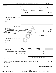Part II | Fundraising Events. Complete if the organization answered "Yes" on Form 990, Part IV, line 18, or reported more than \$15,000

|                 |              | of fundraising event contributions and gross income on Form 990-EZ, lines 1 and 6b. List events with gross receipts greater than \$5,000.           |                |                                                  |                                 |                                                     |
|-----------------|--------------|-----------------------------------------------------------------------------------------------------------------------------------------------------|----------------|--------------------------------------------------|---------------------------------|-----------------------------------------------------|
|                 |              |                                                                                                                                                     | $(a)$ Event #1 | (b) Event #2                                     | (c) Other events<br><b>NONE</b> | (d) Total events<br>(add col. (a) through           |
|                 |              |                                                                                                                                                     | GALA           |                                                  |                                 | col. (c)                                            |
|                 |              |                                                                                                                                                     | (event type)   | (event type)                                     | (total number)                  |                                                     |
| Revenue         | 1.           |                                                                                                                                                     | 47,276.        |                                                  |                                 | 47,276.                                             |
|                 | $\mathbf{2}$ |                                                                                                                                                     |                |                                                  |                                 |                                                     |
|                 | 3            | Gross income (line 1 minus line 2)                                                                                                                  | 47,276.        |                                                  |                                 | 47,276.                                             |
|                 | 4            |                                                                                                                                                     |                |                                                  |                                 |                                                     |
|                 | 5            |                                                                                                                                                     |                |                                                  |                                 |                                                     |
|                 | 6            |                                                                                                                                                     |                |                                                  |                                 |                                                     |
| Direct Expenses | 7            | Food and beverages                                                                                                                                  |                |                                                  |                                 |                                                     |
|                 | 8            |                                                                                                                                                     |                |                                                  |                                 |                                                     |
|                 | 9            |                                                                                                                                                     | 9,565.         |                                                  |                                 | 9,565.                                              |
|                 | 10           | Direct expense summary. Add lines 4 through 9 in column (d)                                                                                         |                |                                                  |                                 | 9,565.                                              |
|                 |              | 11 Net income summary. Subtract line 10 from line 3, column (d)                                                                                     |                |                                                  |                                 | 37,711.                                             |
|                 | Part III     | Gaming. Complete if the organization answered "Yes" on Form 990, Part IV, line 19, or reported more than                                            |                |                                                  |                                 |                                                     |
|                 |              | \$15,000 on Form 990-EZ, line 6a.                                                                                                                   |                |                                                  |                                 |                                                     |
| Revenue         |              |                                                                                                                                                     | (a) Bingo      | (b) Pull tabs/instant<br>bingo/progressive bingo | (c) Other gaming                | (d) Total gaming (add<br>col. (a) through col. (c)) |
|                 |              |                                                                                                                                                     |                |                                                  |                                 |                                                     |
|                 | 1.           |                                                                                                                                                     |                |                                                  |                                 |                                                     |
|                 | 2            |                                                                                                                                                     |                |                                                  |                                 |                                                     |
| Direct Expenses | 3            |                                                                                                                                                     |                |                                                  |                                 |                                                     |
|                 | 4            |                                                                                                                                                     |                |                                                  |                                 |                                                     |
|                 |              |                                                                                                                                                     |                |                                                  |                                 |                                                     |
|                 |              |                                                                                                                                                     | %<br>Yes       | Yes<br>%                                         | Yes<br>%                        |                                                     |
|                 |              | 6 Volunteer labor                                                                                                                                   | No             | No                                               | No                              |                                                     |
|                 | 7            | Direct expense summary. Add lines 2 through 5 in column (d)                                                                                         |                |                                                  |                                 |                                                     |
|                 | 8            |                                                                                                                                                     |                |                                                  |                                 |                                                     |
|                 |              |                                                                                                                                                     |                |                                                  |                                 |                                                     |
| 9               |              | Enter the state(s) in which the organization conducts gaming activities:                                                                            |                |                                                  |                                 |                                                     |
|                 |              |                                                                                                                                                     |                |                                                  |                                 | Yes<br><b>No</b>                                    |
|                 |              | <b>b</b> If "No," explain:<br><u> 1989 - Johann Johann Stoff, deutscher Stoff, der Stoff, der Stoff, der Stoff, der Stoff, der Stoff, der Stoff</u> |                |                                                  |                                 |                                                     |
|                 |              |                                                                                                                                                     |                |                                                  |                                 |                                                     |
|                 |              |                                                                                                                                                     |                |                                                  |                                 | Yes<br>No                                           |
|                 |              |                                                                                                                                                     |                |                                                  |                                 |                                                     |
|                 |              |                                                                                                                                                     |                |                                                  |                                 |                                                     |
|                 |              |                                                                                                                                                     |                |                                                  |                                 |                                                     |
|                 |              | 032082 11-25-20                                                                                                                                     |                |                                                  |                                 | Schedule G (Form 990 or 990-EZ) 2020                |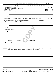| Schedule G (Form 990 or 990-EZ) 2020 WORLD MEDICAL RELIEF INCORPORATED                                                                                                                                                                                             | $38 - 1575570$ Page 3 |           |
|--------------------------------------------------------------------------------------------------------------------------------------------------------------------------------------------------------------------------------------------------------------------|-----------------------|-----------|
|                                                                                                                                                                                                                                                                    | Yes                   | <b>No</b> |
| 12 Is the organization a grantor, beneficiary or trustee of a trust, or a member of a partnership or other entity formed                                                                                                                                           | <b>」Yes</b>           | <b>No</b> |
| 13 Indicate the percentage of gaming activity conducted in:                                                                                                                                                                                                        |                       |           |
|                                                                                                                                                                                                                                                                    | 13a                   | %         |
| <b>b</b> An outside facility <i>www.communicality.communicality.communicality www.communicality.communicality.communicality</i>                                                                                                                                    | 13 <sub>b</sub>       | %         |
| 14 Enter the name and address of the person who prepares the organization's gaming/special events books and records:                                                                                                                                               |                       |           |
| Name $\blacktriangleright$<br><u>and the state of the state of the state of the state of the state of the state of the state of the state of the state of the state of the state of the state of the state of the state of the state of the state of the state</u> |                       |           |
| Address ><br><u> 1989 - Johann Stoff, amerikansk politiker (* 1908)</u>                                                                                                                                                                                            |                       |           |
|                                                                                                                                                                                                                                                                    |                       | No        |
|                                                                                                                                                                                                                                                                    |                       |           |
| of gaming revenue retained by the third party $\triangleright$ \$                                                                                                                                                                                                  |                       |           |
| c If "Yes," enter name and address of the third party:                                                                                                                                                                                                             |                       |           |
| Name $\blacktriangleright$<br><u>and the state of the state of the state of the state of the state of the state of the state of the state of the state of the state of the state of the state of the state of the state of the state of the state of the state</u> |                       |           |
| Address ><br><u>and the state of the state of the state of the state of the state of the state of the state of the state of the state of the state of the state of the state of the state of the state of the state of the state of the state</u>                  |                       |           |
|                                                                                                                                                                                                                                                                    |                       |           |
| <b>16</b> Gaming manager information:                                                                                                                                                                                                                              |                       |           |
|                                                                                                                                                                                                                                                                    |                       |           |
| Name $\blacktriangleright$<br><u>and the state of the state of the state of the state of the state of the state of the state of the state of the state of the state of the state of the state of the state of the state of the state of the state of the state</u> |                       |           |
| Gaming manager compensation > \$                                                                                                                                                                                                                                   |                       |           |
|                                                                                                                                                                                                                                                                    |                       |           |
| Description of services provided >                                                                                                                                                                                                                                 |                       |           |
|                                                                                                                                                                                                                                                                    |                       |           |
|                                                                                                                                                                                                                                                                    |                       |           |
| Director/officer<br>Employee<br>Independent contractor                                                                                                                                                                                                             |                       |           |
| <b>17</b> Mandatory distributions:                                                                                                                                                                                                                                 |                       |           |
| a Is the organization required under state law to make charitable distributions from the gaming proceeds to                                                                                                                                                        |                       |           |
| retain the state gaming license?                                                                                                                                                                                                                                   | $\Box$ Yes $\Box$ No  |           |
| <b>b</b> Enter the amount of distributions required under state law to be distributed to other exempt organizations or spent in the                                                                                                                                |                       |           |
| organization's own exempt activities during the tax year $\triangleright$ \$                                                                                                                                                                                       |                       |           |
| Supplemental Information. Provide the explanations required by Part I, line 2b, columns (iii) and (v); and Part III, lines 9, 9b, 10b,<br><b>Part IV</b>                                                                                                           |                       |           |
| 15b, 15c, 16, and 17b, as applicable. Also provide any additional information. See instructions.                                                                                                                                                                   |                       |           |
|                                                                                                                                                                                                                                                                    |                       |           |
|                                                                                                                                                                                                                                                                    |                       |           |
|                                                                                                                                                                                                                                                                    |                       |           |
|                                                                                                                                                                                                                                                                    |                       |           |
|                                                                                                                                                                                                                                                                    |                       |           |
|                                                                                                                                                                                                                                                                    |                       |           |
|                                                                                                                                                                                                                                                                    |                       |           |
|                                                                                                                                                                                                                                                                    |                       |           |
|                                                                                                                                                                                                                                                                    |                       |           |
|                                                                                                                                                                                                                                                                    |                       |           |
|                                                                                                                                                                                                                                                                    |                       |           |
|                                                                                                                                                                                                                                                                    |                       |           |
|                                                                                                                                                                                                                                                                    |                       |           |
| Schedule G (Form 990 or 990-EZ) 2020<br>032083 11-25-20<br>32                                                                                                                                                                                                      |                       |           |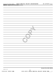|                | Schedule G (Form 990 or 990-EZ)             | WORLD | MEDICAL | RELIEF | INCORPORATED | 5570'<br>38–<br>5755 | $P$ age 4 |
|----------------|---------------------------------------------|-------|---------|--------|--------------|----------------------|-----------|
| <b>Part IV</b> | <b>Supplemental Information (continued)</b> |       |         |        |              |                      |           |
|                |                                             |       |         |        |              |                      |           |

|                     | Schedule G (Form 990 or 990-EZ)                                  |
|---------------------|------------------------------------------------------------------|
| 032084 04-01-20     |                                                                  |
| 15351106 748923 WMR | 33<br>2020.04011 WORLD MEDICAL RELIEF INCORP WMR<br>$\mathbf{1}$ |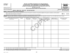| <b>SCHEDULE I</b><br>(Form 990)                        |                                                                                                                                                                                                                                                                                           |           | <b>Grants and Other Assistance to Organizations,</b><br>Governments, and Individuals in the United States<br>Complete if the organization answered "Yes" on Form 990, Part IV, line 21 or 22. |                             |                                                       |                                                                |                                          | OMB No. 1545-0047<br>202                            |
|--------------------------------------------------------|-------------------------------------------------------------------------------------------------------------------------------------------------------------------------------------------------------------------------------------------------------------------------------------------|-----------|-----------------------------------------------------------------------------------------------------------------------------------------------------------------------------------------------|-----------------------------|-------------------------------------------------------|----------------------------------------------------------------|------------------------------------------|-----------------------------------------------------|
| Department of the Treasury<br>Internal Revenue Service |                                                                                                                                                                                                                                                                                           |           |                                                                                                                                                                                               | Attach to Form 990.         | Go to www.irs.gov/Form990 for the latest information. |                                                                |                                          | <b>Open to Public</b><br>Inspection                 |
| Name of the organization                               |                                                                                                                                                                                                                                                                                           |           | WORLD MEDICAL RELIEF INCORPORATED                                                                                                                                                             |                             |                                                       |                                                                |                                          | <b>Employer identification number</b><br>38-1575570 |
| Part I                                                 | <b>General Information on Grants and Assistance</b>                                                                                                                                                                                                                                       |           |                                                                                                                                                                                               |                             |                                                       |                                                                |                                          |                                                     |
| $\mathbf 1$<br>$\mathbf{2}$                            | Does the organization maintain records to substantiate the amount of the grants or assistance, the grantees' eligibility for the grants or assistance, and the selection<br>Describe in Part IV the organization's procedures for monitoring the use of grant funds in the United States. |           |                                                                                                                                                                                               |                             |                                                       |                                                                |                                          | $\boxed{\text{X}}$ Yes<br>l No                      |
| Part II                                                | Grants and Other Assistance to Domestic Organizations and Domestic Governments. Complete if the organization answered "Yes" on Form 990, Part IV, line 21, for any                                                                                                                        |           |                                                                                                                                                                                               |                             |                                                       |                                                                |                                          |                                                     |
|                                                        | recipient that received more than \$5,000. Part II can be duplicated if additional space is needed.                                                                                                                                                                                       |           |                                                                                                                                                                                               |                             |                                                       |                                                                |                                          |                                                     |
|                                                        | 1 (a) Name and address of organization<br>or government                                                                                                                                                                                                                                   | $(b)$ EIN | (c) IRC section<br>(if applicable)                                                                                                                                                            | (d) Amount of<br>cash grant | (e) Amount of<br>non-cash<br>assistance               | (f) Method of<br>valuation (book,<br>FMV, appraisal,<br>other) | (g) Description of<br>noncash assistance | (h) Purpose of grant<br>or assistance               |
|                                                        |                                                                                                                                                                                                                                                                                           |           |                                                                                                                                                                                               |                             |                                                       |                                                                |                                          |                                                     |
|                                                        |                                                                                                                                                                                                                                                                                           |           |                                                                                                                                                                                               |                             |                                                       |                                                                |                                          |                                                     |
|                                                        |                                                                                                                                                                                                                                                                                           |           |                                                                                                                                                                                               |                             |                                                       |                                                                |                                          |                                                     |
|                                                        |                                                                                                                                                                                                                                                                                           |           |                                                                                                                                                                                               |                             |                                                       |                                                                |                                          |                                                     |
|                                                        |                                                                                                                                                                                                                                                                                           |           |                                                                                                                                                                                               |                             |                                                       |                                                                |                                          |                                                     |
|                                                        |                                                                                                                                                                                                                                                                                           |           |                                                                                                                                                                                               |                             |                                                       |                                                                |                                          |                                                     |
| $\mathbf{2}$<br>3                                      |                                                                                                                                                                                                                                                                                           |           |                                                                                                                                                                                               |                             |                                                       |                                                                |                                          |                                                     |

**For Paperwork Reduction Act Notice, see the Instructions for Form 990. Schedule I (Form 990) 2020** LHA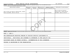#### Schedule I (Form 990) 2020 Page WORLD MEDICAL RELIEF INCORPORATED 38-1575570

**2**

Part III | Grants and Other Assistance to Domestic Individuals. Complete if the organization answered "Yes" on Form 990, Part IV, line 22. Part III can be duplicated if additional space is needed.

| (a) Type of grant or assistance                                                          | (b) Number of<br>recipients                                                                                                               | (c) Amount of<br>cash grant | (d) Amount of non-<br>cash assistance | (e) Method of valuation<br>(book, FMV, appraisal, other) | (f) Description of noncash assistance                                                       |  |  |  |  |
|------------------------------------------------------------------------------------------|-------------------------------------------------------------------------------------------------------------------------------------------|-----------------------------|---------------------------------------|----------------------------------------------------------|---------------------------------------------------------------------------------------------|--|--|--|--|
| FREE OR BELOW COST MEDICAL PRESCRIPTIONS, DURABLE<br>MEDICAL EQUIPMENT, MEDICAL SUPPLIES | 25155                                                                                                                                     | 0.                          |                                       | 2,362,525. FMV AND ESTIMATE                              | FREE OR BELOW COST MEDICAL<br>PRESCRIPTIONS, DURABLE MEDICAL<br>EQUIPMENT, MEDICAL SUPPLIES |  |  |  |  |
|                                                                                          |                                                                                                                                           |                             |                                       |                                                          |                                                                                             |  |  |  |  |
|                                                                                          |                                                                                                                                           |                             |                                       |                                                          |                                                                                             |  |  |  |  |
|                                                                                          |                                                                                                                                           |                             |                                       |                                                          |                                                                                             |  |  |  |  |
|                                                                                          |                                                                                                                                           |                             |                                       |                                                          |                                                                                             |  |  |  |  |
| Part IV                                                                                  | Supplemental Information. Provide the information required in Part I, line 2; Part III, column (b); and any other additional information. |                             |                                       |                                                          |                                                                                             |  |  |  |  |

PART I, LINE 2:

THE ORGANIZATION RECEIVES FUNDING TO PROVIDE SPECIFIC ASSISTANCE TO

INDIVIDUALS. INDIVIDUALS ARE SCREENED TO DETERMINE IF THEY QUALIFY FOR

ASSISTANCE BASED ON FUNDER CRITERIA. DOCUMENTATION OF THIS SCREENING

PROCESS IS MAINTAINED BY THE ORGANIZATION.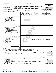#### **SCHEDULE M (Form 990)**

### **Noncash Contributions**

OMB No. 1545-0047

**Open to Public**

Department of the Treasury Internal Revenue Service

Name of the organization

◆ Complete if the organizations answered "Yes" on Form 990, Part IV, lines 29 or 30.<br>● Complete if the organizations answered "Yes" on Form 990, Part IV, lines 29 or 30. **Attach to Form 990.**  $\blacktriangleright$ 

 **Go to www.irs.gov/Form990 for instructions and the latest information.** J

**Inspection Employer identification number**

### WORLD MEDICAL RELIEF INCORPORATED | 38-1575570

| Part I | <b>Types of Property</b>                                                                                                                                                  |                               |                                      |                                                    |                                                              |     |     |    |
|--------|---------------------------------------------------------------------------------------------------------------------------------------------------------------------------|-------------------------------|--------------------------------------|----------------------------------------------------|--------------------------------------------------------------|-----|-----|----|
|        |                                                                                                                                                                           | (a)<br>Check if<br>applicable | (b)<br>Number of<br>contributions or | (c)<br>Noncash contribution<br>amounts reported on | (d)<br>Method of determining<br>noncash contribution amounts |     |     |    |
|        |                                                                                                                                                                           |                               |                                      | litems contributed Form 990, Part VIII, line 1g    |                                                              |     |     |    |
| 1      |                                                                                                                                                                           |                               |                                      |                                                    |                                                              |     |     |    |
| 2      |                                                                                                                                                                           |                               |                                      |                                                    |                                                              |     |     |    |
| З      | Art - Fractional interests                                                                                                                                                |                               |                                      |                                                    |                                                              |     |     |    |
| 4      |                                                                                                                                                                           |                               |                                      |                                                    |                                                              |     |     |    |
| 5      | Clothing and household goods                                                                                                                                              |                               |                                      |                                                    |                                                              |     |     |    |
| 6      |                                                                                                                                                                           |                               |                                      |                                                    |                                                              |     |     |    |
| 7      |                                                                                                                                                                           |                               |                                      |                                                    |                                                              |     |     |    |
| 8      |                                                                                                                                                                           |                               |                                      |                                                    |                                                              |     |     |    |
| 9      | Securities - Publicly traded                                                                                                                                              |                               |                                      |                                                    |                                                              |     |     |    |
| 10     | Securities - Closely held stock                                                                                                                                           |                               |                                      |                                                    |                                                              |     |     |    |
| 11     | Securities - Partnership, LLC, or                                                                                                                                         |                               |                                      |                                                    |                                                              |     |     |    |
| 12     |                                                                                                                                                                           |                               |                                      |                                                    |                                                              |     |     |    |
| 13     | Qualified conservation contribution -                                                                                                                                     |                               |                                      |                                                    |                                                              |     |     |    |
|        |                                                                                                                                                                           |                               |                                      |                                                    |                                                              |     |     |    |
| 14     | Qualified conservation contribution - Other                                                                                                                               |                               |                                      |                                                    |                                                              |     |     |    |
| 15     | Real estate - Residential                                                                                                                                                 |                               |                                      |                                                    |                                                              |     |     |    |
| 16     | Real estate - Commercial                                                                                                                                                  |                               |                                      |                                                    |                                                              |     |     |    |
| 17     |                                                                                                                                                                           |                               |                                      |                                                    |                                                              |     |     |    |
| 18     |                                                                                                                                                                           |                               |                                      |                                                    |                                                              |     |     |    |
| 19     |                                                                                                                                                                           |                               |                                      |                                                    |                                                              |     |     |    |
| 20     | Drugs and medical supplies                                                                                                                                                | $\overline{\text{x}}$         |                                      | 33,160,179. FMV AND ESTIMATE                       |                                                              |     |     |    |
| 21     |                                                                                                                                                                           |                               |                                      |                                                    |                                                              |     |     |    |
| 22     |                                                                                                                                                                           |                               |                                      |                                                    |                                                              |     |     |    |
| 23     |                                                                                                                                                                           |                               |                                      |                                                    |                                                              |     |     |    |
| 24     |                                                                                                                                                                           |                               |                                      |                                                    |                                                              |     |     |    |
| 25     | Other $\blacktriangleright$                                                                                                                                               |                               |                                      |                                                    |                                                              |     |     |    |
| 26     | Other $\blacktriangleright$                                                                                                                                               |                               |                                      |                                                    |                                                              |     |     |    |
| 27     | Other $\blacktriangleright$                                                                                                                                               |                               |                                      |                                                    |                                                              |     |     |    |
| 28     | Other $\blacktriangleright$                                                                                                                                               |                               |                                      |                                                    |                                                              |     |     |    |
| 29     | Number of Forms 8283 received by the organization during the tax year for contributions                                                                                   |                               |                                      |                                                    |                                                              |     |     |    |
|        | for which the organization completed Form 8283, Part V, Donee Acknowledgement                                                                                             |                               |                                      | 29                                                 |                                                              |     |     |    |
|        |                                                                                                                                                                           |                               |                                      |                                                    |                                                              |     | Yes | No |
|        | 30a During the year, did the organization receive by contribution any property reported in Part I, lines 1 through 28, that it                                            |                               |                                      |                                                    |                                                              |     |     |    |
|        | must hold for at least three years from the date of the initial contribution, and which isn't required to be used for                                                     |                               |                                      |                                                    |                                                              |     |     | x. |
|        |                                                                                                                                                                           |                               |                                      |                                                    |                                                              | 30a |     |    |
|        | <b>b</b> If "Yes," describe the arrangement in Part II.<br>Does the organization have a gift acceptance policy that requires the review of any nonstandard contributions? |                               |                                      |                                                    |                                                              | 31  |     | x  |
| 31     | 32a Does the organization hire or use third parties or related organizations to solicit, process, or sell noncash                                                         |                               |                                      |                                                    |                                                              |     |     |    |
|        | contributions?                                                                                                                                                            |                               |                                      |                                                    |                                                              | 32a |     | x  |
|        | <b>b</b> If "Yes," describe in Part II.                                                                                                                                   |                               |                                      |                                                    |                                                              |     |     |    |
|        |                                                                                                                                                                           |                               |                                      |                                                    |                                                              |     |     |    |

- **33** If the organization didn't report an amount in column (c) for a type of property for which column (a) is checked, describe in Part II.
- **For Paperwork Reduction Act Notice, see the Instructions for Form 990. Schedule M (Form 990) 2020** LHA

032141 11-23-20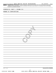Part II | Supplemental Information. Provide the information required by Part I, lines 30b, 32b, and 33, and whether the organization is reporting in Part I, column (b), the number of contributions, the number of items received, or a combination of both. Also complete this part for any additional information.

**COPY** 

SCHEDULE M, PART I, COLUMN (B):

#### NUMBER OF CONTRIBUTIONS

**Schedule M (Form 990) 2020**

032142 11-23-20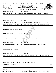Department of the Treasury **(Form 990 or 990-EZ)**

Name of the organization

Internal Revenue Service

**SCHEDULE O Supplemental Information to Form 990 or 990-EZ 2020**<br>(Form 990 or 990-EZ) Complete to provide information for responses to specific questions on

**Complete to provide information for responses to specific questions on Form 990 or 990-EZ or to provide any additional information. | Attach to Form 990 or 990-EZ. | Go to www.irs.gov/Form990 for the latest information.**



**Employer identification number** WORLD MEDICAL RELIEF INCORPORATED | 38-1575570

FORM 990, PART VI, SECTION A, LINE 8B:

THE ORGANIZATION DOES NOT HAVE ANY COMMITTEES WITH AUTHORITY TO MAKE

DECISIONS INDEPENDENT OF THE BOARD OF DIRECTORS.

FORM 990, PART VI, SECTION B, LINE 11B:

THE BOARD OF DIRECTORS ENGAGES AN INDEPENDENT CERTIFIED PUBLIC ACCOUNTING

FIRM TO PREPARE THE FORM 990. THE COMPLETED RETURN IS REVIEWED BY THE

DENT/CEO AND MAILED TO THE<br>
.<br>
.<br>
. LINE 12C:<br>
O COMPLETE A WRITTEN ACKNOW<br>
EST AT THE TIME OF APPOINTM<br>
.. LINE 15A: FINANCE COMMITTEE, THE PRESIDENT/CEO AND MAILED TO THE REST OF THE BOARD OF

DIRECTORS BEFORE BEING FILED.

FORM 990, PART VI, SECTION B, LINE 12C:

BOARD MEMBERS ARE REQUIRED TO COMPLETE A WRITTEN ACKNOWLEDGEMENT REGARDING

POTENTIAL CONFLICTS OF INTEREST AT THE TIME OF APPOINTMENT.

FORM 990, PART VI, SECTION B, LINE 15A:

A COMPENSATION COMMITTEE MAKES RECOMMENDATIONS AND BASED ON THESE

RECOMMENDATIONS THE BOARD OF DIRECTORS REVIEWS AND APPROVES THE

PRESIDENT/CEO'S SALARY.

FORM 990, PART VI, SECTION C, LINE 19:

THE ORGANIZATION MAKES ITS FINANCIAL STATEMENTS, FORM 990, AND PRIVACY

POLICY AVAILABLE TO THE PUBLIC ON THEIR WEBSITE.

FORM 990, PART XI, LINE 9, CHANGES IN NET ASSETS:

INVENTORY ADJUSTMENT -52,285.

032211 11-20-20 **For Paperwork Reduction Act Notice, see the Instructions for Form 990 or 990-EZ. Schedule O (Form 990 or 990-EZ) 2020** LHA

15351106 748923 WMR 2020.04011 WORLD MEDICAL RELIEF INCORP WMR\_\_\_\_1

38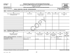| <b>SCHEDULE R</b> |
|-------------------|
|                   |

Department of the Treasury

### **Related Organizations and Unrelated Partnerships**

**(Form 990) Complete if the organization answered "Yes" on Form 990, Part IV, line 33, 34, 35b, 36, or 37.** |

■ Attach to Form 990. **Dependent of Attach to Form 990.** Open to Public

OMB No. 1545-0047

**| Go to www.irs.gov/Form990 for instructions and the latest information. Inspection 2020**<br>Open to Public

**Employer identification number**

Internal Revenue Service Name of the organization

#### WORLD MEDICAL RELIEF INCORPORATED

Part I ldentification of Disregarded Entities. Complete if the organization answered "Yes" on Form 990, Part IV, line 33.

| (a)<br>Name, address, and EIN (if applicable)<br>of disregarded entity                                                                                                                                                        | (b)<br>Primary activity | (c)<br>Legal domicile (state or<br>foreign country) | (d)<br>Total income | (e)<br>End-of-year assets | (f)<br>Direct controlling<br>entity |  |  |  |  |
|-------------------------------------------------------------------------------------------------------------------------------------------------------------------------------------------------------------------------------|-------------------------|-----------------------------------------------------|---------------------|---------------------------|-------------------------------------|--|--|--|--|
|                                                                                                                                                                                                                               |                         |                                                     |                     |                           |                                     |  |  |  |  |
|                                                                                                                                                                                                                               |                         |                                                     |                     |                           |                                     |  |  |  |  |
|                                                                                                                                                                                                                               |                         |                                                     |                     |                           |                                     |  |  |  |  |
|                                                                                                                                                                                                                               |                         |                                                     |                     |                           |                                     |  |  |  |  |
| Identification of Related Tax-Exempt Organizations. Complete if the organization answered "Yes" on Form 990, Part IV, line 34, because it had one or more related tax-exempt<br>Part II<br>organizations during the tax year. |                         |                                                     |                     |                           |                                     |  |  |  |  |

#### **Part II** Identification of Related Tax-Exempt Organizations. Complete if the organization answered "Yes" on Form 990, Part IV, line 34, because it had one or more related tax-exempt<br>Part II acconizations during the tax ye organizations during the tax year.

| (a)<br>Name, address, and EIN<br>of related organization | (b)<br>Primary activity | (c)<br>Legal domicile (state or<br>foreign country) | (d)<br>Exempt Code<br>section | (e)<br>Public charity<br>status (if section | (f)<br>Direct controlling<br>entity |     | $(g)$<br>Section 512(b)(13)<br>controlled<br>entity? |
|----------------------------------------------------------|-------------------------|-----------------------------------------------------|-------------------------------|---------------------------------------------|-------------------------------------|-----|------------------------------------------------------|
|                                                          |                         |                                                     |                               | 501(c)(3))                                  |                                     | Yes | No                                                   |
| IRENE M. AUBERLIN FOUNDATION - 38-2815534                |                         |                                                     |                               |                                             | WORLD MEDICAL                       |     |                                                      |
| 21725 MELROSE AVENUE                                     | PUBLIC SUPPORTING       |                                                     |                               | LINE 12 TYPE                                | RELIEF                              |     |                                                      |
| SOUTHFIELD, MI 48075                                     | <b>DRGANIZATION</b>     | MICHIGAN                                            | 501(C)(3)                     |                                             | INCORPORATED                        |     | X                                                    |
|                                                          |                         |                                                     |                               |                                             |                                     |     |                                                      |
|                                                          |                         |                                                     |                               |                                             |                                     |     |                                                      |
|                                                          |                         |                                                     |                               |                                             |                                     |     |                                                      |

**For Paperwork Reduction Act Notice, see the Instructions for Form 990. Schedule R (Form 990) 2020**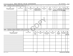#### Schedule R (Form 990) 2020 WORLD MEDICAL RELIEF INCORPORATED 38-1575570  $_{\text{Page}}$

**2**

Part III Identification of Related Organizations Taxable as a Partnership. Complete if the organization answered "Yes" on Form 990, Part IV, line 34, because it had one or more related<br>Read to the organizations tracted as organizations treated as a partnership during the tax year.

| (a)                                                                                                                                                                                                                                                                         | (b)              | (c)                            | (d)                          |                      | (e)                                                                   | (f)                      | (g)                     | (h)                              |           | (i)                         |            | (i)      | (k)                                |    |
|-----------------------------------------------------------------------------------------------------------------------------------------------------------------------------------------------------------------------------------------------------------------------------|------------------|--------------------------------|------------------------------|----------------------|-----------------------------------------------------------------------|--------------------------|-------------------------|----------------------------------|-----------|-----------------------------|------------|----------|------------------------------------|----|
| Name, address, and EIN<br>of related organization                                                                                                                                                                                                                           | Primary activity | Legal<br>domicile<br>(state or | Direct controlling<br>entity |                      | Predominant income<br>(related, unrelated,<br>excluded from tax under | Share of total<br>income | Share of<br>end-of-year | Disproportionate<br>allocations? |           | Code V-UBI<br>amount in box |            | managing | General or Percentage<br>ownership |    |
|                                                                                                                                                                                                                                                                             |                  | foreian                        |                              |                      | sections $512-514$ )                                                  |                          | assets                  |                                  | <b>No</b> | 20 of Schedule              |            |          |                                    |    |
|                                                                                                                                                                                                                                                                             |                  | country)                       |                              |                      |                                                                       |                          |                         | <b>Yes</b>                       |           | K-1 (Form 1065) Yes No      |            |          |                                    |    |
|                                                                                                                                                                                                                                                                             |                  |                                |                              |                      |                                                                       |                          |                         |                                  |           |                             |            |          |                                    |    |
|                                                                                                                                                                                                                                                                             |                  |                                |                              |                      |                                                                       |                          |                         |                                  |           |                             |            |          |                                    |    |
|                                                                                                                                                                                                                                                                             |                  |                                |                              |                      |                                                                       |                          |                         |                                  |           |                             |            |          |                                    |    |
|                                                                                                                                                                                                                                                                             |                  |                                |                              |                      |                                                                       |                          |                         |                                  |           |                             |            |          |                                    |    |
|                                                                                                                                                                                                                                                                             |                  |                                |                              |                      |                                                                       |                          |                         |                                  |           |                             |            |          |                                    |    |
|                                                                                                                                                                                                                                                                             |                  |                                |                              |                      |                                                                       |                          |                         |                                  |           |                             |            |          |                                    |    |
|                                                                                                                                                                                                                                                                             |                  |                                |                              |                      |                                                                       |                          |                         |                                  |           |                             |            |          |                                    |    |
|                                                                                                                                                                                                                                                                             |                  |                                |                              |                      |                                                                       |                          |                         |                                  |           |                             |            |          |                                    |    |
|                                                                                                                                                                                                                                                                             |                  |                                |                              |                      |                                                                       |                          |                         |                                  |           |                             |            |          |                                    |    |
|                                                                                                                                                                                                                                                                             |                  |                                |                              |                      |                                                                       |                          |                         |                                  |           |                             |            |          |                                    |    |
|                                                                                                                                                                                                                                                                             |                  |                                |                              |                      |                                                                       |                          |                         |                                  |           |                             |            |          |                                    |    |
|                                                                                                                                                                                                                                                                             |                  |                                |                              |                      |                                                                       |                          |                         |                                  |           |                             |            |          |                                    |    |
|                                                                                                                                                                                                                                                                             |                  |                                |                              |                      |                                                                       |                          |                         |                                  |           |                             |            |          |                                    |    |
|                                                                                                                                                                                                                                                                             |                  |                                |                              |                      |                                                                       |                          |                         |                                  |           |                             |            |          |                                    |    |
|                                                                                                                                                                                                                                                                             |                  |                                |                              |                      |                                                                       |                          |                         |                                  |           |                             |            |          |                                    |    |
|                                                                                                                                                                                                                                                                             |                  |                                |                              |                      |                                                                       |                          |                         |                                  |           |                             |            |          |                                    |    |
| Identification of Related Organizations Taxable as a Corporation or Trust. Complete if the organization answered "Yes" on Form 990, Part IV, line 34, because it had one or more related<br>Part IV<br>organizations treated as a corporation or trust during the tax year. |                  |                                |                              |                      |                                                                       |                          |                         |                                  |           |                             |            |          |                                    |    |
| (a)                                                                                                                                                                                                                                                                         |                  |                                | (b)                          | (c)                  | (d)                                                                   | (e)                      | (f)                     |                                  |           | (g)                         | (h)        |          | (i)<br>Section                     |    |
| Name, address, and EIN                                                                                                                                                                                                                                                      |                  |                                | Primary activity             | Legal domicile       | Direct controlling                                                    | Type of entity           | Share of total          |                                  |           | Share of                    | Percentage |          | 512(b)(13)                         |    |
| of related organization                                                                                                                                                                                                                                                     |                  |                                |                              | (state or<br>foreign | entity                                                                | (C corp, S corp,         | income                  |                                  |           | end-of-year                 | ownership  |          | controlled<br>entity?              |    |
|                                                                                                                                                                                                                                                                             |                  |                                |                              | country)             |                                                                       | or trust)                |                         |                                  |           | assets                      |            |          | Yes                                | No |
|                                                                                                                                                                                                                                                                             |                  |                                |                              |                      |                                                                       |                          |                         |                                  |           |                             |            |          |                                    |    |

| OF FUILLOU OF YOU HEALTON |  | foreign<br>country) | ີບການ |  | 11001110 | chu vi year<br>assets |  | entity?    |
|---------------------------|--|---------------------|-------|--|----------|-----------------------|--|------------|
|                           |  |                     |       |  |          |                       |  | $Yes$   No |
|                           |  |                     |       |  |          |                       |  |            |
|                           |  |                     |       |  |          |                       |  |            |
|                           |  |                     |       |  |          |                       |  |            |
|                           |  |                     |       |  |          |                       |  |            |
|                           |  |                     |       |  |          |                       |  |            |
|                           |  |                     |       |  |          |                       |  |            |
|                           |  |                     |       |  |          |                       |  |            |
|                           |  |                     |       |  |          |                       |  |            |
|                           |  |                     |       |  |          |                       |  |            |
|                           |  |                     |       |  |          |                       |  |            |
|                           |  |                     |       |  |          |                       |  |            |
|                           |  |                     |       |  |          |                       |  |            |
|                           |  |                     |       |  |          |                       |  |            |
|                           |  |                     |       |  |          |                       |  |            |
|                           |  |                     |       |  |          |                       |  |            |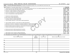#### Schedule R (Form 990) 2020 WORLD MEDICAL RELIEF INCORPORATED 38-1575570  $_{\text{Page}}$

|                                                                                                                                                                                | Note: Complete line 1 if any entity is listed in Parts II, III, or IV of this schedule.                                                                                                                                              |                    |                        |                                              |                 | <b>Yes</b>              | No                      |
|--------------------------------------------------------------------------------------------------------------------------------------------------------------------------------|--------------------------------------------------------------------------------------------------------------------------------------------------------------------------------------------------------------------------------------|--------------------|------------------------|----------------------------------------------|-----------------|-------------------------|-------------------------|
|                                                                                                                                                                                | During the tax year, did the organization engage in any of the following transactions with one or more related organizations listed in Parts II-IV?                                                                                  |                    |                        |                                              |                 |                         |                         |
|                                                                                                                                                                                |                                                                                                                                                                                                                                      |                    |                        |                                              | 1a              |                         | $\overline{\mathbf{x}}$ |
|                                                                                                                                                                                |                                                                                                                                                                                                                                      |                    |                        |                                              | 1 <sub>b</sub>  |                         | $\overline{\mathbf{X}}$ |
|                                                                                                                                                                                |                                                                                                                                                                                                                                      |                    |                        |                                              | 1 <sub>c</sub>  | $\overline{\textbf{x}}$ |                         |
|                                                                                                                                                                                | d Loans or loan guarantees to or for related organization(s) www.communities.com/www.communities.com/www.communities.com/www.communities.com/www.communities.com/www.communities.com/www.communities.com/www.communities.com/w       |                    |                        |                                              | 1 <sub>d</sub>  |                         | $\overline{\mathbf{x}}$ |
|                                                                                                                                                                                |                                                                                                                                                                                                                                      |                    |                        |                                              | 1e              |                         | $\overline{\textbf{x}}$ |
|                                                                                                                                                                                |                                                                                                                                                                                                                                      |                    |                        |                                              |                 |                         |                         |
|                                                                                                                                                                                | Dividends from related organization(s) manufactured and contract and contract or produced and contract and contract or produced and contract and contract and contract and contract and contract and contract and contract and<br>1f |                    |                        |                                              |                 |                         |                         |
| g                                                                                                                                                                              | Sale of assets to related organization(s) www.assemicroscopy.com/news/market/2010/03/2010 13/2010 13/30/2010 13/30/2010 13/30/2010 13/30/2010 13/30/2010 13/30/2010 13/30/2010 13/30/2010 13/30/2010 13/30/2010 13/30/2010 13/       |                    |                        |                                              | 1 <sub>g</sub>  |                         | $\overline{\texttt{x}}$ |
|                                                                                                                                                                                | h Purchase of assets from related organization(s) manufactured manufactured manufactured manufactured manufactured manufactured manufactured manufactured manufactured manufactured manufactured manufactured manufactured man       |                    |                        |                                              | 1 <sub>h</sub>  |                         | $\overline{\textbf{x}}$ |
|                                                                                                                                                                                | 11                                                                                                                                                                                                                                   |                    |                        |                                              |                 |                         | $\overline{\texttt{x}}$ |
|                                                                                                                                                                                |                                                                                                                                                                                                                                      |                    |                        |                                              | 1j              |                         | $\overline{\texttt{x}}$ |
|                                                                                                                                                                                |                                                                                                                                                                                                                                      |                    |                        |                                              |                 |                         |                         |
|                                                                                                                                                                                | 1k                                                                                                                                                                                                                                   |                    |                        |                                              |                 |                         |                         |
|                                                                                                                                                                                | Performance of services or membership or fundraising solicitations for related organization(s) [1999] Derformance of services or membership or fundraising solicitations for related organization(s)                                 |                    |                        |                                              | 11              |                         | $\overline{\mathbf{x}}$ |
|                                                                                                                                                                                |                                                                                                                                                                                                                                      |                    |                        |                                              | 1 <sub>m</sub>  |                         | $\overline{\texttt{x}}$ |
|                                                                                                                                                                                |                                                                                                                                                                                                                                      |                    |                        |                                              | 1n              |                         | $\overline{\texttt{x}}$ |
|                                                                                                                                                                                | <b>o</b> Sharing of paid employees with related organization(s)                                                                                                                                                                      |                    |                        |                                              | 10 <sub>o</sub> |                         | $\mathbf{x}$            |
|                                                                                                                                                                                |                                                                                                                                                                                                                                      |                    |                        |                                              |                 |                         |                         |
|                                                                                                                                                                                |                                                                                                                                                                                                                                      |                    |                        |                                              | 1p              |                         | X                       |
| a                                                                                                                                                                              |                                                                                                                                                                                                                                      |                    |                        |                                              | 1a              |                         | $\overline{\mathbf{x}}$ |
|                                                                                                                                                                                |                                                                                                                                                                                                                                      |                    |                        |                                              |                 |                         |                         |
|                                                                                                                                                                                | Other transfer of cash or property to related organization(s) www.communities.com/www.communities/communities/                                                                                                                       |                    |                        |                                              |                 |                         |                         |
|                                                                                                                                                                                |                                                                                                                                                                                                                                      |                    |                        |                                              |                 |                         | $\overline{\mathbf{x}}$ |
| 2 If the answer to any of the above is "Yes," see the instructions for information on who must complete this line, including covered relationships and transaction thresholds. |                                                                                                                                                                                                                                      |                    |                        |                                              |                 |                         |                         |
|                                                                                                                                                                                | Name of related organization                                                                                                                                                                                                         | (b)<br>Transaction | (c)<br>Amount involved | (d)<br>Method of determining amount involved |                 |                         |                         |

|     | Name of related organization | $\sim$<br>Transaction<br>type (a-s) | Amount involved | $\mathbf{v}$<br>Method of determining amount involved |
|-----|------------------------------|-------------------------------------|-----------------|-------------------------------------------------------|
| (1) |                              |                                     |                 |                                                       |
| (2) |                              |                                     |                 |                                                       |
| (3) |                              |                                     |                 |                                                       |
| (4) |                              |                                     |                 |                                                       |
| (5) |                              |                                     |                 |                                                       |
| (6) |                              | ---                                 |                 |                                                       |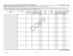#### Schedule R (Form 990) 2020 WORLD MEDICAL RELIEF INCORPORATED 38-1575570  $_{\text{Page}}$

#### Part VI Unrelated Organizations Taxable as a Partnership. Complete if the organization answered "Yes" on Form 990, Part IV, line 37.

Provide the following information for each entity taxed as a partnership through which the organization conducted more than five percent of its activities (measured by total assets or gross revenue) that was not a related organization. See instructions regarding exclusion for certain investment partnerships.

| (a)<br>Name, address, and EIN<br>of entity | . ت<br>(b)<br>Primary activity | (c)<br>Legal domicile<br>(state or foreign<br>country) | - - - - <sub>1</sub> - - 1<br>(d)<br>Predominant income<br>(related, unrelated,<br>excluded from tax under<br>sections 512-514) | (e)<br>Are all<br>partners sec.<br>$\frac{501(c)(3)}{0rgs?}$<br>Yes No | (f)<br>Share of<br>total<br>income | (g)<br>Share of<br>end-of-year<br>assets | (h)<br>Dispropor-<br>tionate<br>allocations?<br>Yes No | (i)<br>Code V-UBI<br>amount in box 20<br>of Schedule K-1<br>(Form 1065) | (i)<br>Yes NO | (k)<br>General or Percentage<br>managing<br>partner? Ownership |
|--------------------------------------------|--------------------------------|--------------------------------------------------------|---------------------------------------------------------------------------------------------------------------------------------|------------------------------------------------------------------------|------------------------------------|------------------------------------------|--------------------------------------------------------|-------------------------------------------------------------------------|---------------|----------------------------------------------------------------|
|                                            |                                |                                                        |                                                                                                                                 |                                                                        |                                    |                                          |                                                        |                                                                         |               |                                                                |
|                                            |                                |                                                        |                                                                                                                                 |                                                                        |                                    |                                          |                                                        |                                                                         |               |                                                                |
|                                            |                                |                                                        |                                                                                                                                 |                                                                        |                                    |                                          |                                                        |                                                                         |               |                                                                |
|                                            |                                |                                                        |                                                                                                                                 |                                                                        |                                    |                                          |                                                        |                                                                         |               |                                                                |
|                                            |                                |                                                        |                                                                                                                                 |                                                                        |                                    |                                          |                                                        |                                                                         |               |                                                                |
|                                            |                                |                                                        |                                                                                                                                 |                                                                        |                                    |                                          |                                                        |                                                                         |               |                                                                |
|                                            |                                |                                                        |                                                                                                                                 |                                                                        |                                    |                                          |                                                        |                                                                         |               |                                                                |
|                                            |                                |                                                        |                                                                                                                                 |                                                                        |                                    |                                          |                                                        |                                                                         |               |                                                                |

**Schedule R (Form 990) 2020**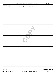|  | Part VII   Supplemental Information |  |
|--|-------------------------------------|--|
|--|-------------------------------------|--|

Provide additional information for responses to questions on Schedule R. See instructions.

| 032165 10-28-20     | Schedule R (Form 990) 2020                                 |
|---------------------|------------------------------------------------------------|
|                     | 43                                                         |
| 15351106 748923 WMR | 2020.04011 WORLD MEDICAL RELIEF INCORP WMR<br>$\mathbf{1}$ |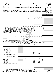| Form                                                           |
|----------------------------------------------------------------|
| Department of the Treasury<br>Internal Revenue Service<br>(99) |
|                                                                |

# **4562 Depreciation and Amortization**<br>(Including Information on Listed Property) 990 **2020**

**(Including Information on Listed Property)** 990

**| Attach to your tax return.**

**nternal Revenue Service**  $\left(99\right)$  **<b>b Go to www.irs.gov/Form4562 for instructions and the latest information.** Sequence No. 179<br>Name(s) shown on return and the lates and the lates are activity to which this form relates

Attachment Sequence No.

OMB No. 1545-0172

|     | WORLD MEDICAL RELIEF INCORPORATED                                                                                                                                                                                              |                           |                                                                                                 | <b>FORM 990 PAGE 10</b>      |                  |              | 38-1575570                 |
|-----|--------------------------------------------------------------------------------------------------------------------------------------------------------------------------------------------------------------------------------|---------------------------|-------------------------------------------------------------------------------------------------|------------------------------|------------------|--------------|----------------------------|
|     | Election To Expense Certain Property Under Section 179 Note: If you have any listed property, complete Part V before you complete Part I.<br><b>Part I</b>                                                                     |                           |                                                                                                 |                              |                  |              |                            |
|     | 1 Maximum amount (see instructions)                                                                                                                                                                                            |                           |                                                                                                 |                              |                  | 1            | 1,040,000.                 |
|     |                                                                                                                                                                                                                                |                           |                                                                                                 |                              |                  | $\mathbf{2}$ |                            |
| З.  | Threshold cost of section 179 property before reduction in limitation [11] manuscription control cost of section 179 property before reduction in limitation [11] manuscription of the section 179 property before reduction i |                           |                                                                                                 |                              |                  | 3            | 2,590,000.                 |
| 4   |                                                                                                                                                                                                                                | $\overline{\bf{4}}$       |                                                                                                 |                              |                  |              |                            |
| 5   |                                                                                                                                                                                                                                |                           |                                                                                                 | (b) Cost (business use only) | (c) Elected cost | 5            |                            |
| 6   | (a) Description of property                                                                                                                                                                                                    |                           |                                                                                                 |                              |                  |              |                            |
|     |                                                                                                                                                                                                                                |                           |                                                                                                 |                              |                  |              |                            |
|     |                                                                                                                                                                                                                                |                           |                                                                                                 |                              |                  |              |                            |
|     |                                                                                                                                                                                                                                |                           |                                                                                                 |                              |                  |              |                            |
|     |                                                                                                                                                                                                                                |                           |                                                                                                 |                              |                  |              |                            |
|     | 7 Listed property. Enter the amount from line 29                                                                                                                                                                               |                           |                                                                                                 | $\overline{7}$               |                  |              |                            |
|     |                                                                                                                                                                                                                                |                           |                                                                                                 |                              |                  | 8            |                            |
|     |                                                                                                                                                                                                                                |                           |                                                                                                 |                              | 9                |              |                            |
|     |                                                                                                                                                                                                                                |                           |                                                                                                 |                              |                  | 10           |                            |
|     |                                                                                                                                                                                                                                |                           |                                                                                                 |                              |                  | 11           |                            |
|     |                                                                                                                                                                                                                                |                           |                                                                                                 |                              |                  | 12           |                            |
|     | 13 Carryover of disallowed deduction to 2021. Add lines 9 and 10, less line 12                                                                                                                                                 |                           |                                                                                                 | 13                           |                  |              |                            |
|     | Note: Don't use Part II or Part III below for listed property. Instead, use Part V.<br><b>Part II</b>                                                                                                                          |                           |                                                                                                 |                              |                  |              |                            |
|     | Special Depreciation Allowance and Other Depreciation (Don't include listed property.)                                                                                                                                         |                           |                                                                                                 |                              |                  |              |                            |
|     | 14 Special depreciation allowance for qualified property (other than listed property) placed in service during                                                                                                                 |                           |                                                                                                 |                              |                  |              |                            |
|     | the tax year                                                                                                                                                                                                                   |                           |                                                                                                 |                              |                  | 14           |                            |
|     | 15 Property subject to section 168(f)(1) election material content content content and content and content and content and content and content and content and content and content and content and content and content and con |                           |                                                                                                 |                              |                  | 15           |                            |
|     | <b>16</b> Other depreciation (including ACRS)<br><b>Part III</b>                                                                                                                                                               |                           |                                                                                                 |                              |                  | 16           |                            |
|     | MACRS Depreciation (Don't include listed property. See instructions.)                                                                                                                                                          |                           | <b>Section A</b>                                                                                |                              |                  |              |                            |
|     |                                                                                                                                                                                                                                |                           |                                                                                                 |                              |                  |              |                            |
|     |                                                                                                                                                                                                                                |                           |                                                                                                 |                              |                  | 17           |                            |
|     | 18 If you are electing to group any assets placed in service during the tax year into one or more general asset accounts, check here                                                                                           |                           | Section B - Assets Placed in Service During 2020 Tax Year Using the General Depreciation System |                              |                  |              |                            |
|     |                                                                                                                                                                                                                                | (b) Month and             | (c) Basis for depreciation                                                                      |                              |                  |              |                            |
|     | (a) Classification of property                                                                                                                                                                                                 | year placed<br>in service | (business/investment use<br>only - see instructions)                                            | (d) Recovery<br>period       | (e) Convention   | (f) Method   | (g) Depreciation deduction |
| 19a | 3-year property                                                                                                                                                                                                                |                           |                                                                                                 |                              |                  |              |                            |
| b   | 5-year property                                                                                                                                                                                                                |                           |                                                                                                 |                              |                  |              |                            |
| c   | 7-year property                                                                                                                                                                                                                |                           |                                                                                                 |                              |                  |              |                            |
| d   | 10-year property                                                                                                                                                                                                               |                           |                                                                                                 |                              |                  |              |                            |
| е   | 15-year property                                                                                                                                                                                                               |                           |                                                                                                 |                              |                  |              |                            |
| f   | 20-year property                                                                                                                                                                                                               |                           |                                                                                                 |                              |                  |              |                            |
| g   | 25-year property                                                                                                                                                                                                               |                           |                                                                                                 | 25 yrs.                      |                  | S/L          |                            |
|     | Residential rental property                                                                                                                                                                                                    | $\prime$                  |                                                                                                 | 27.5 yrs.                    | MМ               | S/L          |                            |
| h   |                                                                                                                                                                                                                                | $\prime$                  |                                                                                                 | 27.5 yrs.                    | MМ               | S/L          |                            |
|     |                                                                                                                                                                                                                                | $\prime$                  |                                                                                                 | 39 yrs.                      | <b>MM</b>        | S/L          |                            |
| j.  | Nonresidential real property                                                                                                                                                                                                   |                           |                                                                                                 |                              | МM               | S/L          |                            |
|     | Section C - Assets Placed in Service During 2020 Tax Year Using the Alternative Depreciation System                                                                                                                            |                           |                                                                                                 |                              |                  |              |                            |
| 20a | Class life                                                                                                                                                                                                                     |                           |                                                                                                 |                              |                  | S/L          |                            |
| b   | 12-year                                                                                                                                                                                                                        |                           |                                                                                                 | 12 yrs.                      |                  | S/L          |                            |
| с   | 30-year                                                                                                                                                                                                                        |                           |                                                                                                 | 30 yrs.                      | MМ               | S/L          |                            |
| d   | 40-year                                                                                                                                                                                                                        | $\sqrt{2}$                |                                                                                                 | 40 yrs.                      | МM               | S/L          |                            |
|     | <b>Part IV</b><br><b>Summary (See instructions.)</b>                                                                                                                                                                           |                           |                                                                                                 |                              |                  |              |                            |
|     | 21 Listed property. Enter amount from line 28                                                                                                                                                                                  |                           |                                                                                                 |                              |                  | 21           |                            |
|     | 22 Total. Add amounts from line 12, lines 14 through 17, lines 19 and 20 in column (g), and line 21.                                                                                                                           |                           |                                                                                                 |                              |                  |              |                            |
|     | Enter here and on the appropriate lines of your return. Partnerships and S corporations - see instr.                                                                                                                           |                           |                                                                                                 |                              |                  | 22           | 0.                         |
|     | 23 For assets shown above and placed in service during the current year, enter the                                                                                                                                             |                           |                                                                                                 |                              |                  |              |                            |
|     |                                                                                                                                                                                                                                |                           |                                                                                                 | 23                           |                  |              |                            |
|     | 016251 12-18-20 LHA For Paperwork Reduction Act Notice, see separate instructions.                                                                                                                                             |                           |                                                                                                 |                              |                  |              | Form 4562 (2020)           |